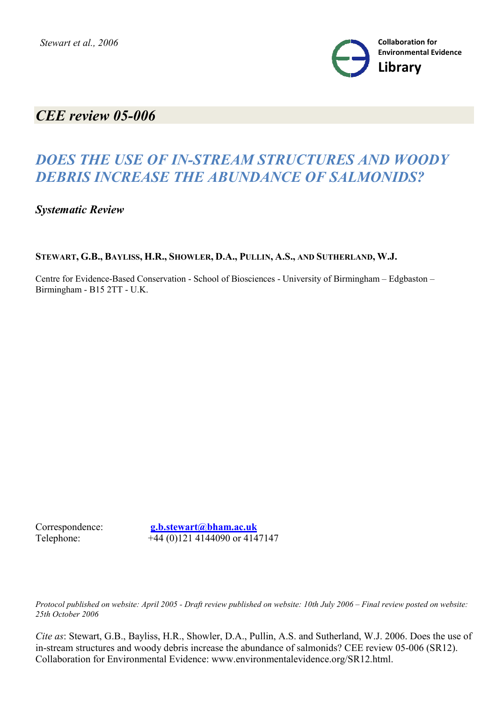

# *CEE review 05-006*

# *DOES THE USE OF IN-STREAM STRUCTURES AND WOODY DEBRIS INCREASE THE ABUNDANCE OF SALMONIDS?*

*Systematic Review*

STEWART, G.B., BAYLISS, H.R., SHOWLER, D.A., PULLIN, A.S., AND SUTHERLAND, W.J.

Centre for Evidence-Based Conservation - School of Biosciences - University of Birmingham – Edgbaston – Birmingham - B15 2TT - U.K.

Correspondence: **g.b.stewart@bham.ac.uk** Telephone: +44 (0)121 4144090 or 4147147

*Protocol published on website: April 2005 - Draft review published on website: 10th July 2006 – Final review posted on website: 25th October 2006*

*Cite as*: Stewart, G.B., Bayliss, H.R., Showler, D.A., Pullin, A.S. and Sutherland, W.J. 2006. Does the use of in-stream structures and woody debris increase the abundance of salmonids? CEE review 05-006 (SR12). Collaboration for Environmental Evidence: www.environmentalevidence.org/SR12.html.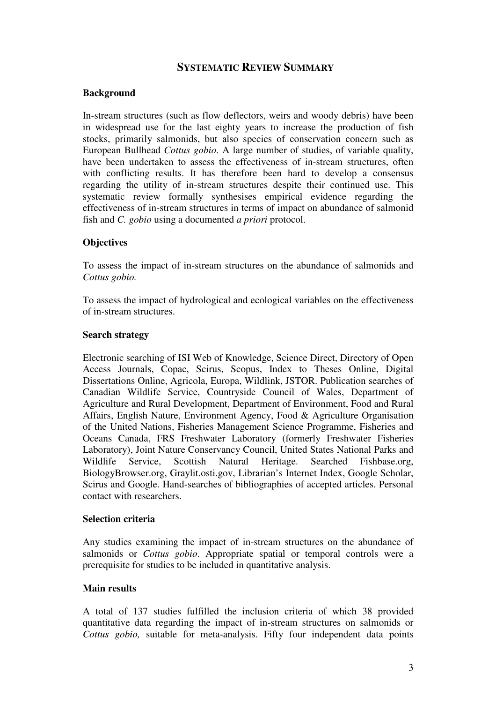# **SYSTEMATIC REVIEW SUMMARY**

### **Background**

In-stream structures (such as flow deflectors, weirs and woody debris) have been in widespread use for the last eighty years to increase the production of fish stocks, primarily salmonids, but also species of conservation concern such as European Bullhead *Cottus gobio*. A large number of studies, of variable quality, have been undertaken to assess the effectiveness of in-stream structures, often with conflicting results. It has therefore been hard to develop a consensus regarding the utility of in-stream structures despite their continued use. This systematic review formally synthesises empirical evidence regarding the effectiveness of in-stream structures in terms of impact on abundance of salmonid fish and *C. gobio* using a documented *a priori* protocol.

# **Objectives**

To assess the impact of in-stream structures on the abundance of salmonids and *Cottus gobio.*

To assess the impact of hydrological and ecological variables on the effectiveness of in-stream structures.

#### **Search strategy**

Electronic searching of ISI Web of Knowledge, Science Direct, Directory of Open Access Journals, Copac, Scirus, Scopus, Index to Theses Online, Digital Dissertations Online, Agricola, Europa, Wildlink, JSTOR. Publication searches of Canadian Wildlife Service, Countryside Council of Wales, Department of Agriculture and Rural Development, Department of Environment, Food and Rural Affairs, English Nature, Environment Agency, Food & Agriculture Organisation of the United Nations, Fisheries Management Science Programme, Fisheries and Oceans Canada, FRS Freshwater Laboratory (formerly Freshwater Fisheries Laboratory), Joint Nature Conservancy Council, United States National Parks and Wildlife Service, Scottish Natural Heritage. Searched Fishbase.org, BiologyBrowser.org, Graylit.osti.gov, Librarian's Internet Index, Google Scholar, Scirus and Google. Hand-searches of bibliographies of accepted articles. Personal contact with researchers.

### **Selection criteria**

Any studies examining the impact of in-stream structures on the abundance of salmonids or *Cottus gobio*. Appropriate spatial or temporal controls were a prerequisite for studies to be included in quantitative analysis.

### **Main results**

A total of 137 studies fulfilled the inclusion criteria of which 38 provided quantitative data regarding the impact of in-stream structures on salmonids or *Cottus gobio,* suitable for meta-analysis. Fifty four independent data points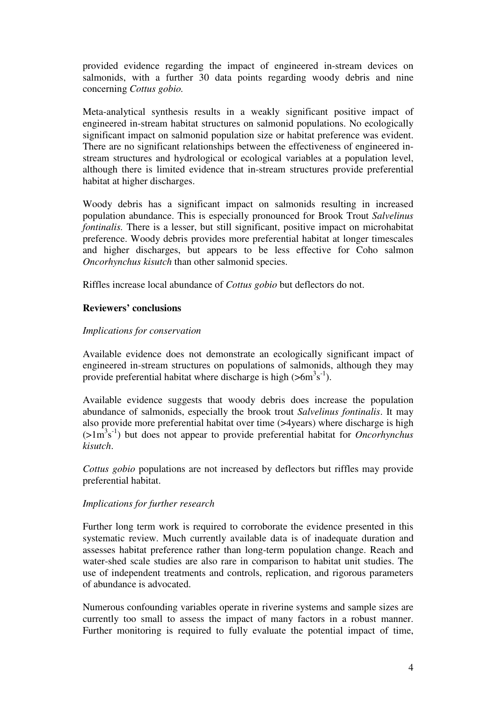provided evidence regarding the impact of engineered in-stream devices on salmonids, with a further 30 data points regarding woody debris and nine concerning *Cottus gobio.* 

Meta-analytical synthesis results in a weakly significant positive impact of engineered in-stream habitat structures on salmonid populations. No ecologically significant impact on salmonid population size or habitat preference was evident. There are no significant relationships between the effectiveness of engineered instream structures and hydrological or ecological variables at a population level, although there is limited evidence that in-stream structures provide preferential habitat at higher discharges.

Woody debris has a significant impact on salmonids resulting in increased population abundance. This is especially pronounced for Brook Trout *Salvelinus fontinalis*. There is a lesser, but still significant, positive impact on microhabitat preference. Woody debris provides more preferential habitat at longer timescales and higher discharges, but appears to be less effective for Coho salmon *Oncorhynchus kisutch* than other salmonid species.

Riffles increase local abundance of *Cottus gobio* but deflectors do not.

# **Reviewers' conclusions**

### *Implications for conservation*

Available evidence does not demonstrate an ecologically significant impact of engineered in-stream structures on populations of salmonids, although they may provide preferential habitat where discharge is high  $(56m^3s^1)$ .

Available evidence suggests that woody debris does increase the population abundance of salmonids, especially the brook trout *Salvelinus fontinalis*. It may also provide more preferential habitat over time (>4years) where discharge is high (>1m<sup>3</sup> s -1) but does not appear to provide preferential habitat for *Oncorhynchus kisutch*.

*Cottus gobio* populations are not increased by deflectors but riffles may provide preferential habitat.

### *Implications for further research*

Further long term work is required to corroborate the evidence presented in this systematic review. Much currently available data is of inadequate duration and assesses habitat preference rather than long-term population change. Reach and water-shed scale studies are also rare in comparison to habitat unit studies. The use of independent treatments and controls, replication, and rigorous parameters of abundance is advocated.

Numerous confounding variables operate in riverine systems and sample sizes are currently too small to assess the impact of many factors in a robust manner. Further monitoring is required to fully evaluate the potential impact of time,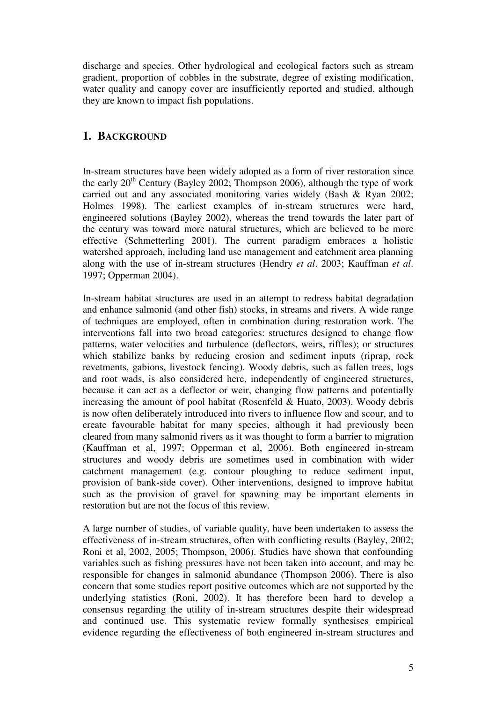discharge and species. Other hydrological and ecological factors such as stream gradient, proportion of cobbles in the substrate, degree of existing modification, water quality and canopy cover are insufficiently reported and studied, although they are known to impact fish populations.

# **1. BACKGROUND**

In-stream structures have been widely adopted as a form of river restoration since the early  $20^{th}$  Century (Bayley 2002; Thompson 2006), although the type of work carried out and any associated monitoring varies widely (Bash & Ryan 2002; Holmes 1998). The earliest examples of in-stream structures were hard, engineered solutions (Bayley 2002), whereas the trend towards the later part of the century was toward more natural structures, which are believed to be more effective (Schmetterling 2001). The current paradigm embraces a holistic watershed approach, including land use management and catchment area planning along with the use of in-stream structures (Hendry *et al*. 2003; Kauffman *et al*. 1997; Opperman 2004).

In-stream habitat structures are used in an attempt to redress habitat degradation and enhance salmonid (and other fish) stocks, in streams and rivers. A wide range of techniques are employed, often in combination during restoration work. The interventions fall into two broad categories: structures designed to change flow patterns, water velocities and turbulence (deflectors, weirs, riffles); or structures which stabilize banks by reducing erosion and sediment inputs (riprap, rock revetments, gabions, livestock fencing). Woody debris, such as fallen trees, logs and root wads, is also considered here, independently of engineered structures, because it can act as a deflector or weir, changing flow patterns and potentially increasing the amount of pool habitat (Rosenfeld  $& Huato, 2003$ ). Woody debris is now often deliberately introduced into rivers to influence flow and scour, and to create favourable habitat for many species, although it had previously been cleared from many salmonid rivers as it was thought to form a barrier to migration (Kauffman et al, 1997; Opperman et al, 2006). Both engineered in-stream structures and woody debris are sometimes used in combination with wider catchment management (e.g. contour ploughing to reduce sediment input, provision of bank-side cover). Other interventions, designed to improve habitat such as the provision of gravel for spawning may be important elements in restoration but are not the focus of this review.

A large number of studies, of variable quality, have been undertaken to assess the effectiveness of in-stream structures, often with conflicting results (Bayley, 2002; Roni et al, 2002, 2005; Thompson, 2006). Studies have shown that confounding variables such as fishing pressures have not been taken into account, and may be responsible for changes in salmonid abundance (Thompson 2006). There is also concern that some studies report positive outcomes which are not supported by the underlying statistics (Roni, 2002). It has therefore been hard to develop a consensus regarding the utility of in-stream structures despite their widespread and continued use. This systematic review formally synthesises empirical evidence regarding the effectiveness of both engineered in-stream structures and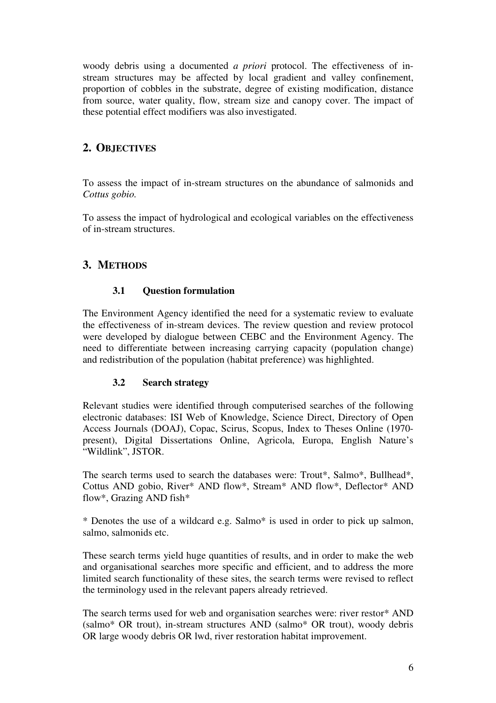woody debris using a documented *a priori* protocol. The effectiveness of instream structures may be affected by local gradient and valley confinement, proportion of cobbles in the substrate, degree of existing modification, distance from source, water quality, flow, stream size and canopy cover. The impact of these potential effect modifiers was also investigated.

# **2. OBJECTIVES**

To assess the impact of in-stream structures on the abundance of salmonids and *Cottus gobio.*

To assess the impact of hydrological and ecological variables on the effectiveness of in-stream structures.

# **3. METHODS**

# **3.1 Question formulation**

The Environment Agency identified the need for a systematic review to evaluate the effectiveness of in-stream devices. The review question and review protocol were developed by dialogue between CEBC and the Environment Agency. The need to differentiate between increasing carrying capacity (population change) and redistribution of the population (habitat preference) was highlighted.

# **3.2 Search strategy**

Relevant studies were identified through computerised searches of the following electronic databases: ISI Web of Knowledge, Science Direct, Directory of Open Access Journals (DOAJ), Copac, Scirus, Scopus, Index to Theses Online (1970 present), Digital Dissertations Online, Agricola, Europa, English Nature's "Wildlink", JSTOR.

The search terms used to search the databases were: Trout\*, Salmo\*, Bullhead\*, Cottus AND gobio, River\* AND flow\*, Stream\* AND flow\*, Deflector\* AND flow\*, Grazing AND fish\*

\* Denotes the use of a wildcard e.g. Salmo\* is used in order to pick up salmon, salmo, salmonids etc.

These search terms yield huge quantities of results, and in order to make the web and organisational searches more specific and efficient, and to address the more limited search functionality of these sites, the search terms were revised to reflect the terminology used in the relevant papers already retrieved.

The search terms used for web and organisation searches were: river restor\* AND (salmo\* OR trout), in-stream structures AND (salmo\* OR trout), woody debris OR large woody debris OR lwd, river restoration habitat improvement.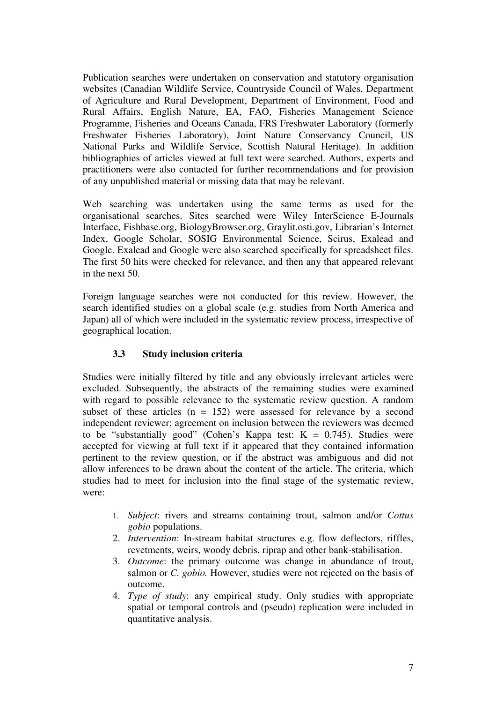Publication searches were undertaken on conservation and statutory organisation websites (Canadian Wildlife Service, Countryside Council of Wales, Department of Agriculture and Rural Development, Department of Environment, Food and Rural Affairs, English Nature, EA, FAO, Fisheries Management Science Programme, Fisheries and Oceans Canada, FRS Freshwater Laboratory (formerly Freshwater Fisheries Laboratory), Joint Nature Conservancy Council, US National Parks and Wildlife Service, Scottish Natural Heritage). In addition bibliographies of articles viewed at full text were searched. Authors, experts and practitioners were also contacted for further recommendations and for provision of any unpublished material or missing data that may be relevant.

Web searching was undertaken using the same terms as used for the organisational searches. Sites searched were Wiley InterScience E-Journals Interface, Fishbase.org, BiologyBrowser.org, Graylit.osti.gov, Librarian's Internet Index, Google Scholar, SOSIG Environmental Science, Scirus, Exalead and Google. Exalead and Google were also searched specifically for spreadsheet files. The first 50 hits were checked for relevance, and then any that appeared relevant in the next 50.

Foreign language searches were not conducted for this review. However, the search identified studies on a global scale (e.g. studies from North America and Japan) all of which were included in the systematic review process, irrespective of geographical location.

# **3.3 Study inclusion criteria**

Studies were initially filtered by title and any obviously irrelevant articles were excluded. Subsequently, the abstracts of the remaining studies were examined with regard to possible relevance to the systematic review question. A random subset of these articles  $(n = 152)$  were assessed for relevance by a second independent reviewer; agreement on inclusion between the reviewers was deemed to be "substantially good" (Cohen's Kappa test:  $K = 0.745$ ). Studies were accepted for viewing at full text if it appeared that they contained information pertinent to the review question, or if the abstract was ambiguous and did not allow inferences to be drawn about the content of the article. The criteria, which studies had to meet for inclusion into the final stage of the systematic review, were:

- 1. *Subject*: rivers and streams containing trout, salmon and/or *Cottus gobio* populations.
- 2. *Intervention*: In-stream habitat structures e.g. flow deflectors, riffles, revetments, weirs, woody debris, riprap and other bank-stabilisation.
- 3. *Outcome*: the primary outcome was change in abundance of trout, salmon or *C. gobio.* However, studies were not rejected on the basis of outcome.
- 4. *Type of study*: any empirical study. Only studies with appropriate spatial or temporal controls and (pseudo) replication were included in quantitative analysis.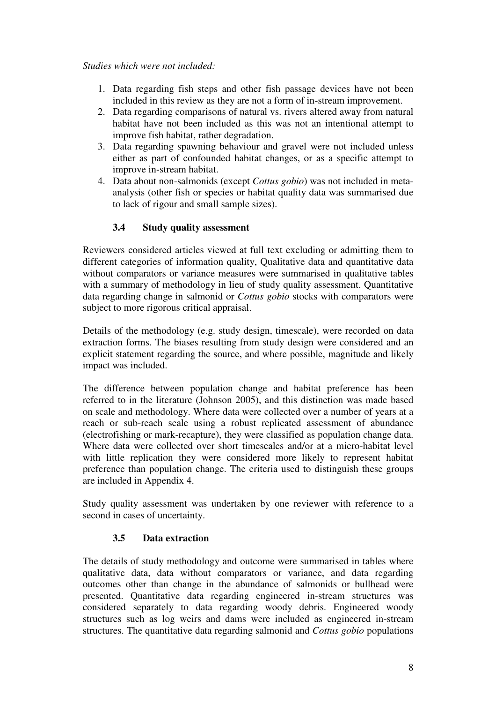#### *Studies which were not included:*

- 1. Data regarding fish steps and other fish passage devices have not been included in this review as they are not a form of in-stream improvement.
- 2. Data regarding comparisons of natural vs. rivers altered away from natural habitat have not been included as this was not an intentional attempt to improve fish habitat, rather degradation.
- 3. Data regarding spawning behaviour and gravel were not included unless either as part of confounded habitat changes, or as a specific attempt to improve in-stream habitat.
- 4. Data about non-salmonids (except *Cottus gobio*) was not included in metaanalysis (other fish or species or habitat quality data was summarised due to lack of rigour and small sample sizes).

# **3.4 Study quality assessment**

Reviewers considered articles viewed at full text excluding or admitting them to different categories of information quality, Qualitative data and quantitative data without comparators or variance measures were summarised in qualitative tables with a summary of methodology in lieu of study quality assessment. Quantitative data regarding change in salmonid or *Cottus gobio* stocks with comparators were subject to more rigorous critical appraisal.

Details of the methodology (e.g. study design, timescale), were recorded on data extraction forms. The biases resulting from study design were considered and an explicit statement regarding the source, and where possible, magnitude and likely impact was included.

The difference between population change and habitat preference has been referred to in the literature (Johnson 2005), and this distinction was made based on scale and methodology. Where data were collected over a number of years at a reach or sub-reach scale using a robust replicated assessment of abundance (electrofishing or mark-recapture), they were classified as population change data. Where data were collected over short timescales and/or at a micro-habitat level with little replication they were considered more likely to represent habitat preference than population change. The criteria used to distinguish these groups are included in Appendix 4.

Study quality assessment was undertaken by one reviewer with reference to a second in cases of uncertainty.

# **3.5 Data extraction**

The details of study methodology and outcome were summarised in tables where qualitative data, data without comparators or variance, and data regarding outcomes other than change in the abundance of salmonids or bullhead were presented. Quantitative data regarding engineered in-stream structures was considered separately to data regarding woody debris. Engineered woody structures such as log weirs and dams were included as engineered in-stream structures. The quantitative data regarding salmonid and *Cottus gobio* populations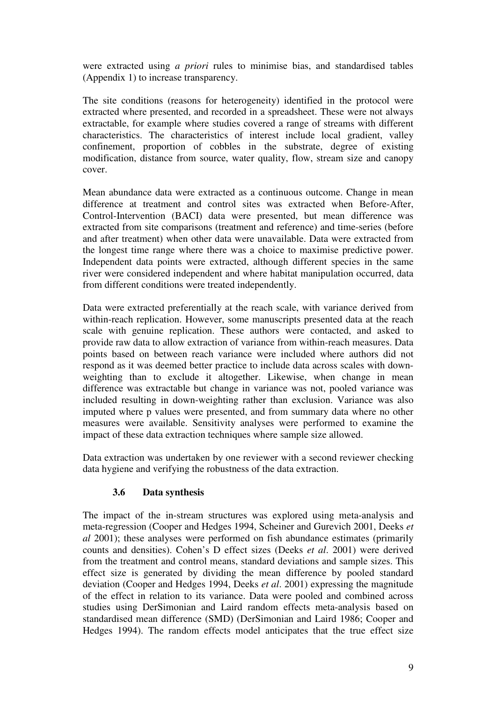were extracted using *a priori* rules to minimise bias, and standardised tables (Appendix 1) to increase transparency.

The site conditions (reasons for heterogeneity) identified in the protocol were extracted where presented, and recorded in a spreadsheet. These were not always extractable, for example where studies covered a range of streams with different characteristics. The characteristics of interest include local gradient, valley confinement, proportion of cobbles in the substrate, degree of existing modification, distance from source, water quality, flow, stream size and canopy cover.

Mean abundance data were extracted as a continuous outcome. Change in mean difference at treatment and control sites was extracted when Before-After, Control-Intervention (BACI) data were presented, but mean difference was extracted from site comparisons (treatment and reference) and time-series (before and after treatment) when other data were unavailable. Data were extracted from the longest time range where there was a choice to maximise predictive power. Independent data points were extracted, although different species in the same river were considered independent and where habitat manipulation occurred, data from different conditions were treated independently.

Data were extracted preferentially at the reach scale, with variance derived from within-reach replication. However, some manuscripts presented data at the reach scale with genuine replication. These authors were contacted, and asked to provide raw data to allow extraction of variance from within-reach measures. Data points based on between reach variance were included where authors did not respond as it was deemed better practice to include data across scales with downweighting than to exclude it altogether. Likewise, when change in mean difference was extractable but change in variance was not, pooled variance was included resulting in down-weighting rather than exclusion. Variance was also imputed where p values were presented, and from summary data where no other measures were available. Sensitivity analyses were performed to examine the impact of these data extraction techniques where sample size allowed.

Data extraction was undertaken by one reviewer with a second reviewer checking data hygiene and verifying the robustness of the data extraction.

# **3.6 Data synthesis**

The impact of the in-stream structures was explored using meta-analysis and meta-regression (Cooper and Hedges 1994, Scheiner and Gurevich 2001, Deeks *et al* 2001); these analyses were performed on fish abundance estimates (primarily counts and densities). Cohen's D effect sizes (Deeks *et al*. 2001) were derived from the treatment and control means, standard deviations and sample sizes. This effect size is generated by dividing the mean difference by pooled standard deviation (Cooper and Hedges 1994, Deeks *et al*. 2001) expressing the magnitude of the effect in relation to its variance. Data were pooled and combined across studies using DerSimonian and Laird random effects meta-analysis based on standardised mean difference (SMD) (DerSimonian and Laird 1986; Cooper and Hedges 1994). The random effects model anticipates that the true effect size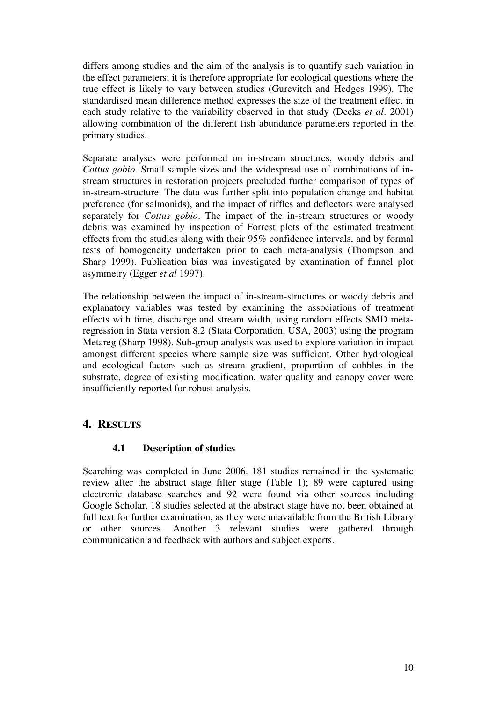differs among studies and the aim of the analysis is to quantify such variation in the effect parameters; it is therefore appropriate for ecological questions where the true effect is likely to vary between studies (Gurevitch and Hedges 1999). The standardised mean difference method expresses the size of the treatment effect in each study relative to the variability observed in that study (Deeks *et al*. 2001) allowing combination of the different fish abundance parameters reported in the primary studies.

Separate analyses were performed on in-stream structures, woody debris and *Cottus gobio*. Small sample sizes and the widespread use of combinations of instream structures in restoration projects precluded further comparison of types of in-stream-structure. The data was further split into population change and habitat preference (for salmonids), and the impact of riffles and deflectors were analysed separately for *Cottus gobio*. The impact of the in-stream structures or woody debris was examined by inspection of Forrest plots of the estimated treatment effects from the studies along with their 95% confidence intervals, and by formal tests of homogeneity undertaken prior to each meta-analysis (Thompson and Sharp 1999). Publication bias was investigated by examination of funnel plot asymmetry (Egger *et al* 1997).

The relationship between the impact of in-stream-structures or woody debris and explanatory variables was tested by examining the associations of treatment effects with time, discharge and stream width, using random effects SMD metaregression in Stata version 8.2 (Stata Corporation, USA, 2003) using the program Metareg (Sharp 1998). Sub-group analysis was used to explore variation in impact amongst different species where sample size was sufficient. Other hydrological and ecological factors such as stream gradient, proportion of cobbles in the substrate, degree of existing modification, water quality and canopy cover were insufficiently reported for robust analysis.

# **4. RESULTS**

# **4.1 Description of studies**

Searching was completed in June 2006. 181 studies remained in the systematic review after the abstract stage filter stage (Table 1); 89 were captured using electronic database searches and 92 were found via other sources including Google Scholar. 18 studies selected at the abstract stage have not been obtained at full text for further examination, as they were unavailable from the British Library or other sources. Another 3 relevant studies were gathered through communication and feedback with authors and subject experts.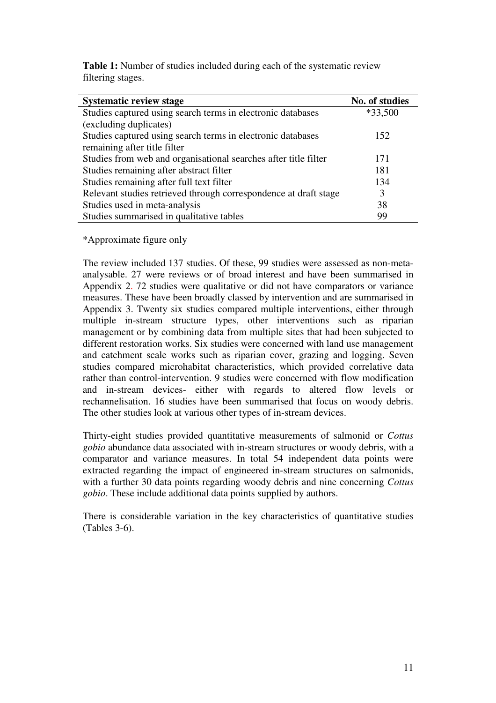| <b>Table 1:</b> Number of studies included during each of the systematic review |  |
|---------------------------------------------------------------------------------|--|
| filtering stages.                                                               |  |

| <b>Systematic review stage</b>                                   | No. of studies |
|------------------------------------------------------------------|----------------|
| Studies captured using search terms in electronic databases      | $*33,500$      |
| (excluding duplicates)                                           |                |
| Studies captured using search terms in electronic databases      | 152            |
| remaining after title filter                                     |                |
| Studies from web and organisational searches after title filter  | 171            |
| Studies remaining after abstract filter                          | 181            |
| Studies remaining after full text filter                         | 134            |
| Relevant studies retrieved through correspondence at draft stage | 3              |
| Studies used in meta-analysis                                    | 38             |
| Studies summarised in qualitative tables                         | 99             |

\*Approximate figure only

The review included 137 studies. Of these, 99 studies were assessed as non-metaanalysable. 27 were reviews or of broad interest and have been summarised in Appendix 2. 72 studies were qualitative or did not have comparators or variance measures. These have been broadly classed by intervention and are summarised in Appendix 3. Twenty six studies compared multiple interventions, either through multiple in-stream structure types, other interventions such as riparian management or by combining data from multiple sites that had been subjected to different restoration works. Six studies were concerned with land use management and catchment scale works such as riparian cover, grazing and logging. Seven studies compared microhabitat characteristics, which provided correlative data rather than control-intervention. 9 studies were concerned with flow modification and in-stream devices- either with regards to altered flow levels or rechannelisation. 16 studies have been summarised that focus on woody debris. The other studies look at various other types of in-stream devices.

Thirty-eight studies provided quantitative measurements of salmonid or *Cottus gobio* abundance data associated with in-stream structures or woody debris, with a comparator and variance measures. In total 54 independent data points were extracted regarding the impact of engineered in-stream structures on salmonids, with a further 30 data points regarding woody debris and nine concerning *Cottus gobio*. These include additional data points supplied by authors.

There is considerable variation in the key characteristics of quantitative studies (Tables 3-6).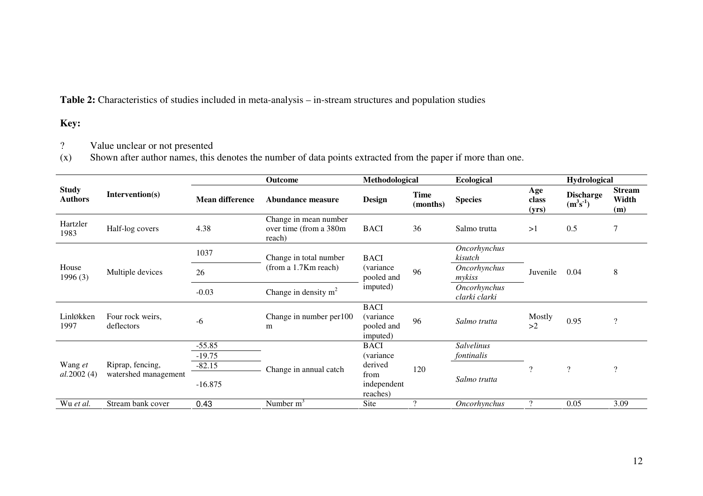**Table 2:** Characteristics of studies included in meta-analysis – in-stream structures and population studies

# **Key:**

? Value unclear or not presented (x) Shown after author names, this denotes the number of data points extracted from the paper if more than one.

|                                |                                |                        | Outcome                                                   | Methodological                                             |                         | <b>Ecological</b>             |                       | <b>Hydrological</b>            |                               |
|--------------------------------|--------------------------------|------------------------|-----------------------------------------------------------|------------------------------------------------------------|-------------------------|-------------------------------|-----------------------|--------------------------------|-------------------------------|
| <b>Study</b><br><b>Authors</b> | Intervention(s)                | <b>Mean difference</b> | Abundance measure                                         | Design                                                     | <b>Time</b><br>(months) | <b>Species</b>                | Age<br>class<br>(yrs) | <b>Discharge</b><br>$(m^3s^1)$ | <b>Stream</b><br>Width<br>(m) |
| Hartzler<br>1983               | Half-log covers                | 4.38                   | Change in mean number<br>over time (from a 380m<br>reach) | <b>BACI</b>                                                | 36                      | Salmo trutta                  | >1                    | 0.5                            |                               |
|                                |                                | 1037                   | Change in total number                                    | <b>BACI</b>                                                | 96                      | Oncorhynchus<br>kisutch       |                       |                                |                               |
| House<br>1996(3)               | Multiple devices               | 26                     | (from a 1.7Km reach)                                      | <i>(variance)</i><br>pooled and                            |                         | Oncorhynchus<br>mykiss        | Juvenile              | 0.04                           | 8                             |
|                                |                                | $-0.03$                | Change in density $m2$                                    | imputed)                                                   |                         | Oncorhynchus<br>clarki clarki |                       |                                |                               |
| Linløkken<br>1997              | Four rock weirs,<br>deflectors | $-6$                   | Change in number per 100<br>m                             | <b>BACI</b><br><i>(variance)</i><br>pooled and<br>imputed) | 96                      | Salmo trutta                  | Mostly<br>>2          | 0.95                           | $\overline{\mathcal{L}}$      |
|                                |                                | $-55.85$               |                                                           | <b>BACI</b>                                                |                         | <b>Salvelinus</b>             |                       |                                |                               |
|                                |                                | $-19.75$               |                                                           | (variance                                                  |                         | fontinalis                    |                       |                                |                               |
| Wang et                        | Riprap, fencing,               | $-82.15$               | Change in annual catch                                    | derived                                                    | 120                     |                               | $\gamma$              | $\gamma$                       | $\gamma$                      |
| al.2002(4)                     | watershed management           | $-16.875$              |                                                           | from<br>independent<br>reaches)                            |                         | Salmo trutta                  |                       |                                |                               |
| Wu et al.                      | Stream bank cover              | 0.43                   | Number m <sup>2</sup>                                     | Site                                                       | $\gamma$                | Oncorhynchus                  | $\gamma$              | 0.05                           | 3.09                          |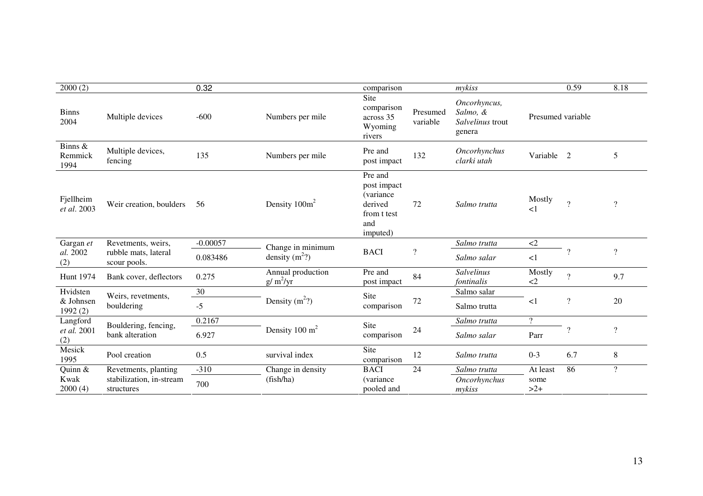| 2000(2)                         |                                        | 0.32       |                                 | comparison                                                                               |                      | mykiss                                                 |                    | 0.59           | 8.18           |
|---------------------------------|----------------------------------------|------------|---------------------------------|------------------------------------------------------------------------------------------|----------------------|--------------------------------------------------------|--------------------|----------------|----------------|
| <b>Binns</b><br>2004            | Multiple devices                       | $-600$     | Numbers per mile                | Site<br>comparison<br>across 35<br>Wyoming<br>rivers                                     | Presumed<br>variable | Oncorhyncus,<br>Salmo, &<br>Salvelinus trout<br>genera | Presumed variable  |                |                |
| Binns &<br>Remmick<br>1994      | Multiple devices,<br>fencing           | 135        | Numbers per mile                | Pre and<br>post impact                                                                   | 132                  | Oncorhynchus<br>clarki utah                            | Variable 2         |                | 5              |
| Fjellheim<br>et al. 2003        | Weir creation, boulders                | 56         | Density $100m^2$                | Pre and<br>post impact<br><i>(variance)</i><br>derived<br>from t test<br>and<br>imputed) | 72                   | Salmo trutta                                           | Mostly<br>$\leq$ 1 | $\overline{?}$ | $\gamma$       |
| Revetments, weirs,<br>Gargan et |                                        | $-0.00057$ | Change in minimum               |                                                                                          |                      | Salmo trutta                                           | $\langle 2$        |                |                |
| al. 2002<br>(2)                 | rubble mats, lateral<br>scour pools.   | 0.083486   | density $(m^2)$                 | $\boldsymbol{\mathcal{C}}$<br><b>BACI</b>                                                |                      | Salmo salar                                            | <1                 | $\gamma$       | $\gamma$       |
| <b>Hunt 1974</b>                | Bank cover, deflectors                 | 0.275      | Annual production<br>$g/m^2/yr$ | Pre and<br>post impact                                                                   | 84                   | <b>Salvelinus</b><br>fontinalis                        | Mostly<br>$\leq$   | $\mathcal{P}$  | 9.7            |
| Hvidsten                        | Weirs, revetments,                     | 30         |                                 | Site                                                                                     |                      | Salmo salar                                            |                    |                |                |
| & Johnsen<br>1992(2)            | bouldering                             | $-5$       | Density $(m^2)$                 | comparison                                                                               | $72\,$               | Salmo trutta                                           | $\leq$ 1           | $\overline{?}$ | 20             |
| Langford                        | Bouldering, fencing,                   | 0.2167     |                                 | Site                                                                                     |                      | Salmo trutta                                           | $\overline{?}$     |                |                |
| et al. 2001<br>(2)              | bank alteration                        | 6.927      | Density 100 $m2$                | comparison                                                                               | 24                   | Salmo salar                                            | Parr               | $\gamma$       | $\gamma$       |
| Mesick<br>1995                  | Pool creation                          | 0.5        | survival index                  | Site<br>comparison                                                                       | 12                   | Salmo trutta                                           | $0 - 3$            | 6.7            | 8              |
| Quinn &                         | Revetments, planting                   | $-310$     | Change in density               | <b>BACI</b>                                                                              | 24                   | Salmo trutta                                           | At least           | 86             | $\overline{?}$ |
| Kwak<br>2000(4)                 | stabilization, in-stream<br>structures | 700        | (fish/ha)                       | (variance)<br>pooled and                                                                 |                      | Oncorhynchus<br>mykiss                                 | some<br>$>2+$      |                |                |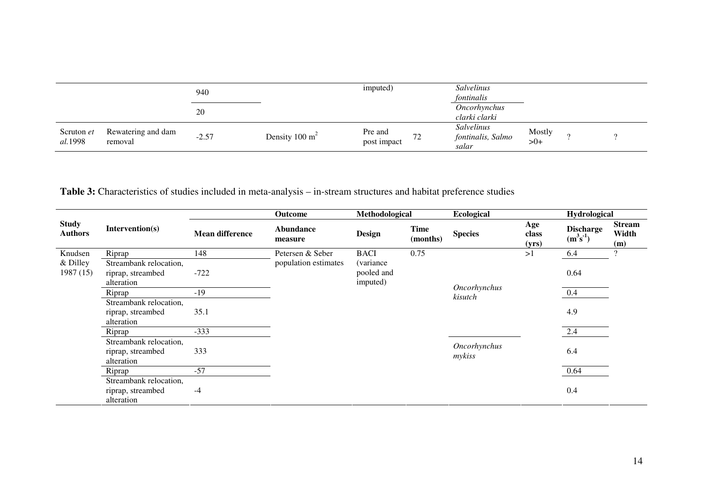|                       |                               | 940     |                  | imputed)               |                                | Salvelinus<br>fontinalis                 |                 |  |
|-----------------------|-------------------------------|---------|------------------|------------------------|--------------------------------|------------------------------------------|-----------------|--|
|                       |                               | 20      |                  |                        |                                | <i>Oncorhynchus</i><br>clarki clarki     |                 |  |
| Scruton et<br>al.1998 | Rewatering and dam<br>removal | $-2.57$ | Density 100 $m2$ | Pre and<br>post impact | $\overline{\phantom{a}}$<br>12 | Salvelinus<br>fontinalis, Salmo<br>salar | Mostly<br>$>0+$ |  |

**Table 3:** Characteristics of studies included in meta-analysis – in-stream structures and habitat preference studies

|                                |                                                           |                        | Outcome                     | Methodological                              |                         | <b>Ecological</b>       |                       | Hydrological                      |                               |
|--------------------------------|-----------------------------------------------------------|------------------------|-----------------------------|---------------------------------------------|-------------------------|-------------------------|-----------------------|-----------------------------------|-------------------------------|
| <b>Study</b><br><b>Authors</b> | Intervention(s)                                           | <b>Mean difference</b> | <b>Abundance</b><br>measure | Design                                      | <b>Time</b><br>(months) | <b>Species</b>          | Age<br>class<br>(yrs) | <b>Discharge</b><br>$(m^3s^{-1})$ | <b>Stream</b><br>Width<br>(m) |
| Knudsen                        | Riprap                                                    | 148                    | Petersen & Seber            | <b>BACI</b>                                 | 0.75                    |                         | >1                    | 6.4                               | $\Omega$                      |
| & Dilley<br>1987(15)           | Streambank relocation,<br>riprap, streambed<br>alteration | $-722$                 | population estimates        | <i>(variance)</i><br>pooled and<br>imputed) |                         |                         |                       | 0.64                              |                               |
|                                | Riprap                                                    | $-19$                  |                             |                                             |                         | Oncorhynchus<br>kisutch |                       | 0.4                               |                               |
|                                | Streambank relocation,<br>riprap, streambed<br>alteration | 35.1                   |                             |                                             |                         |                         |                       | 4.9                               |                               |
|                                | Riprap                                                    | $-333$                 |                             |                                             |                         |                         |                       | 2.4                               |                               |
|                                | Streambank relocation,<br>riprap, streambed<br>alteration | 333                    |                             |                                             |                         | Oncorhynchus<br>mykiss  |                       | 6.4                               |                               |
|                                | Riprap                                                    | $-57$                  |                             |                                             |                         |                         |                       | 0.64                              |                               |
|                                | Streambank relocation,<br>riprap, streambed<br>alteration | $-4$                   |                             |                                             |                         |                         |                       | 0.4                               |                               |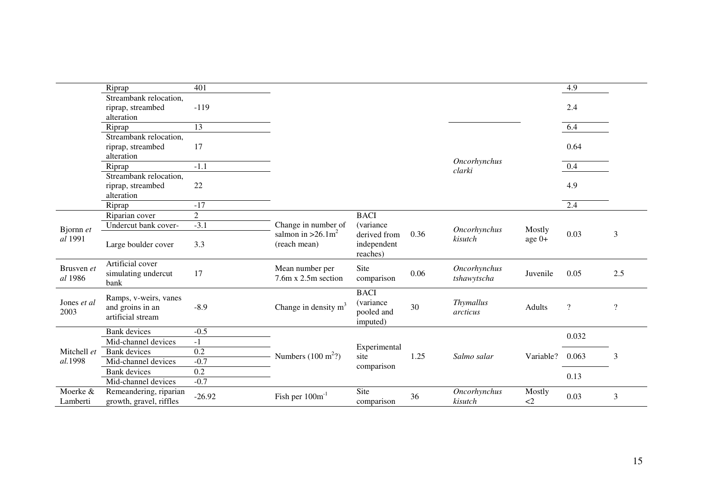|                       | Riprap                                                         | 401             |                                                  |                                                    |      |                             |                  | 4.9                      |          |
|-----------------------|----------------------------------------------------------------|-----------------|--------------------------------------------------|----------------------------------------------------|------|-----------------------------|------------------|--------------------------|----------|
|                       | Streambank relocation,                                         |                 |                                                  |                                                    |      |                             |                  |                          |          |
|                       | riprap, streambed<br>alteration                                | $-119$          |                                                  |                                                    |      |                             |                  | 2.4                      |          |
|                       | Riprap                                                         | $\overline{13}$ |                                                  |                                                    |      |                             |                  | 6.4                      |          |
|                       | Streambank relocation,<br>riprap, streambed<br>alteration      | 17              |                                                  |                                                    |      |                             |                  | 0.64                     |          |
|                       | Riprap                                                         | $-1.1$          |                                                  |                                                    |      | Oncorhynchus                |                  | 0.4                      |          |
|                       | Streambank relocation,<br>riprap, streambed<br>alteration      | 22              |                                                  |                                                    |      | clarki                      |                  | 4.9                      |          |
|                       | Riprap                                                         | $-17$           |                                                  |                                                    |      |                             |                  | 2.4                      |          |
|                       | Riparian cover                                                 | $\overline{2}$  |                                                  | <b>BACI</b>                                        |      |                             |                  |                          |          |
|                       | Undercut bank cover-                                           | $-3.1$          | Change in number of                              | (variance                                          |      |                             |                  |                          |          |
| Bjornn et<br>al 1991  | Large boulder cover                                            | 3.3             | salmon in $>26.1$ m <sup>2</sup><br>(reach mean) | derived from<br>independent<br>reaches)            | 0.36 | Oncorhynchus<br>kisutch     | Mostly<br>age 0+ | 0.03                     | 3        |
| Brusven et<br>al 1986 | Artificial cover<br>simulating undercut<br>bank                | 17              | Mean number per<br>7.6m x 2.5m section           | Site<br>comparison                                 | 0.06 | Oncorhynchus<br>tshawytscha | Juvenile         | 0.05                     | 2.5      |
| Jones et al<br>2003   | Ramps, v-weirs, vanes<br>and groins in an<br>artificial stream | $-8.9$          | Change in density $m3$                           | <b>BACI</b><br>(variance<br>pooled and<br>imputed) | 30   | Thymallus<br>arcticus       | Adults           | $\overline{\mathcal{L}}$ | $\gamma$ |
|                       | <b>Bank</b> devices                                            | $-0.5$          |                                                  |                                                    |      |                             |                  | 0.032                    |          |
|                       | Mid-channel devices                                            | $-1$            |                                                  | Experimental                                       |      |                             |                  |                          |          |
| Mitchell et           | <b>Bank</b> devices                                            | 0.2             | Numbers $(100 \text{ m}^2)$                      | site                                               | 1.25 | Salmo salar                 | Variable?        | 0.063                    | 3        |
| al.1998               | Mid-channel devices                                            | $-0.7$          |                                                  | comparison                                         |      |                             |                  |                          |          |
|                       | <b>Bank</b> devices                                            | 0.2             |                                                  |                                                    |      |                             |                  | 0.13                     |          |
|                       | Mid-channel devices                                            | $-0.7$          |                                                  |                                                    |      |                             |                  |                          |          |
| Moerke &<br>Lamberti  | Remeandering, riparian<br>growth, gravel, riffles              | $-26.92$        | Fish per $100m^{-1}$                             | Site<br>comparison                                 | 36   | Oncorhynchus<br>kisutch     | Mostly<br>$\leq$ | 0.03                     | 3        |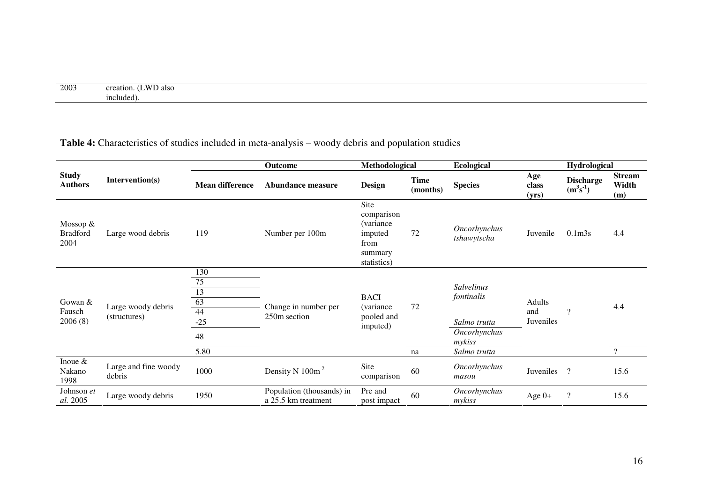| 2003 | ጉሥ<br>'also<br>. Jaun<br>the contract of the contract of the contract of the contract of the contract of the contract of the contract of |
|------|------------------------------------------------------------------------------------------------------------------------------------------|
|      | include                                                                                                                                  |

### **Table 4:** Characteristics of studies included in meta-analysis – woody debris and population studies

|                                       |                                    |                             | Outcome                                          | Methodological                                                                       |                         | Ecological                                             |                       | Hydrological                   |                               |
|---------------------------------------|------------------------------------|-----------------------------|--------------------------------------------------|--------------------------------------------------------------------------------------|-------------------------|--------------------------------------------------------|-----------------------|--------------------------------|-------------------------------|
| <b>Study</b><br><b>Authors</b>        | Intervention(s)                    | <b>Mean difference</b>      | Abundance measure                                | <b>Design</b>                                                                        | <b>Time</b><br>(months) | <b>Species</b>                                         | Age<br>class<br>(yrs) | <b>Discharge</b><br>$(m^3s^1)$ | <b>Stream</b><br>Width<br>(m) |
| Mossop $&$<br><b>Bradford</b><br>2004 | Large wood debris                  | 119                         | Number per 100m                                  | Site<br>comparison<br><i>(variance)</i><br>imputed<br>from<br>summary<br>statistics) | 72                      | Oncorhynchus<br>tshawytscha                            | Juvenile              | 0.1 <sub>m3s</sub>             | 4.4                           |
| Gowan $&$<br>Fausch<br>2006(8)        | Large woody debris<br>(structures) | 130<br>75<br>13<br>63<br>44 | Change in number per<br>250m section             | <b>BACI</b><br><i>(variance)</i><br>pooled and<br>imputed)                           | 72                      | Salvelinus<br>fontinalis                               | Adults<br>and         | $\gamma$                       | 4.4                           |
|                                       |                                    | $-25$<br>48<br>5.80         |                                                  |                                                                                      | na                      | Salmo trutta<br>Oncorhynchus<br>mykiss<br>Salmo trutta | Juveniles             |                                | $\gamma$                      |
| Inoue $\&$<br>Nakano<br>1998          | Large and fine woody<br>debris     | 1000                        | Density N $100m^{-2}$                            | Site<br>comparison                                                                   | 60                      | <b>Oncorhynchus</b><br>masou                           | Juveniles             | $\gamma$                       | 15.6                          |
| Johnson et<br>al. 2005                | Large woody debris                 | 1950                        | Population (thousands) in<br>a 25.5 km treatment | Pre and<br>post impact                                                               | 60                      | Oncorhynchus<br>mykiss                                 | Age $0+$              | $\overline{?}$                 | 15.6                          |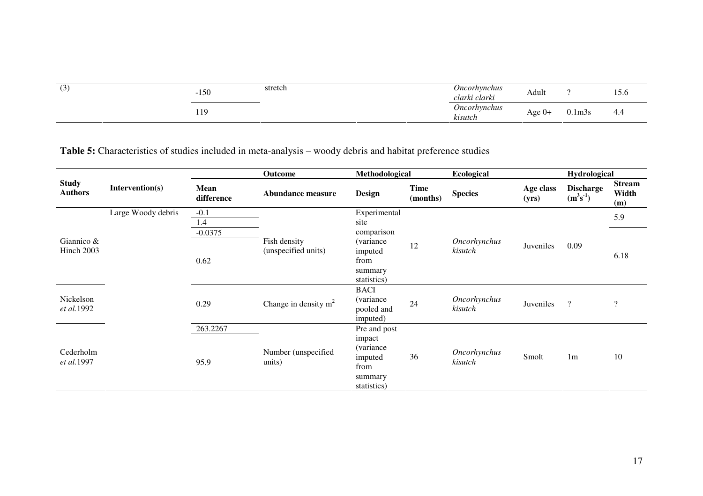| (3) | 150<br>$-1$ | stretch | Oncorhynchus<br>clarki clarki         | Adult  |                                | $\tilde{\phantom{a}}$<br>15.6 |
|-----|-------------|---------|---------------------------------------|--------|--------------------------------|-------------------------------|
|     | 119         |         | <i><b>Oncorhynchus</b></i><br>kisutch | Age 0+ | 0.1m3s<br>$\sim$ $\sim$ $\sim$ | 4.4                           |

**Table 5:** Characteristics of studies included in meta-analysis – woody debris and habitat preference studies

|                                |                    |                    | Outcome                             | Methodological                                                                    |                         | <b>Ecological</b>       |                    | <b>Hydrological</b>            |                               |
|--------------------------------|--------------------|--------------------|-------------------------------------|-----------------------------------------------------------------------------------|-------------------------|-------------------------|--------------------|--------------------------------|-------------------------------|
| <b>Study</b><br><b>Authors</b> | Intervention(s)    | Mean<br>difference | <b>Abundance measure</b>            | <b>Design</b>                                                                     | <b>Time</b><br>(months) | <b>Species</b>          | Age class<br>(yrs) | <b>Discharge</b><br>$(m^3s^1)$ | <b>Stream</b><br>Width<br>(m) |
|                                | Large Woody debris | $-0.1$<br>1.4      |                                     | Experimental<br>site                                                              |                         |                         |                    |                                | 5.9                           |
| Giannico $&$<br>Hinch 2003     |                    | $-0.0375$<br>0.62  | Fish density<br>(unspecified units) | comparison<br><i>(variance)</i><br>imputed<br>from<br>summary<br>statistics)      | 12                      | Oncorhynchus<br>kisutch | Juveniles          | 0.09                           | 6.18                          |
| Nickelson<br>et al.1992        |                    | 0.29               | Change in density $m2$              | <b>BACI</b><br>(variance<br>pooled and<br>imputed)                                | 24                      | Oncorhynchus<br>kisutch | Juveniles          | $\gamma$                       | $\overline{\mathcal{L}}$      |
| Cederholm<br>et al.1997        |                    | 263.2267<br>95.9   | Number (unspecified<br>units)       | Pre and post<br>impact<br>(variance)<br>imputed<br>from<br>summary<br>statistics) | 36                      | Oncorhynchus<br>kisutch | Smolt              | 1 <sub>m</sub>                 | 10                            |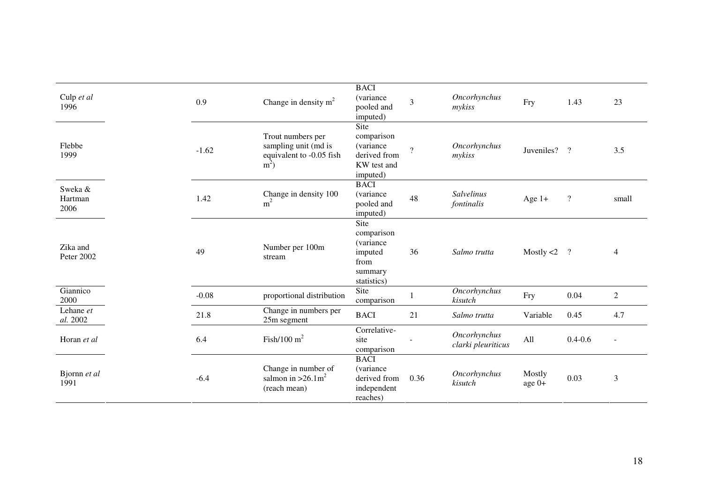| Culp et al<br>1996         | 0.9     | Change in density $m2$                                                         | <b>BACI</b><br>(variance<br>pooled and<br>imputed)                           | $\overline{3}$ | Oncorhynchus<br>mykiss                    | Fry              | 1.43               | 23           |
|----------------------------|---------|--------------------------------------------------------------------------------|------------------------------------------------------------------------------|----------------|-------------------------------------------|------------------|--------------------|--------------|
| Flebbe<br>1999             | $-1.62$ | Trout numbers per<br>sampling unit (md is<br>equivalent to -0.05 fish<br>$m^2$ | Site<br>comparison<br>(variance<br>derived from<br>KW test and<br>imputed)   | $\gamma$       | Oncorhynchus<br>mykiss                    | Juveniles?       | $\gamma$           | 3.5          |
| Sweka &<br>Hartman<br>2006 | 1.42    | Change in density 100<br>m <sup>2</sup>                                        | <b>BACI</b><br>(variance<br>pooled and<br>imputed)                           | 48             | <b>Salvelinus</b><br>fontinalis           | Age $1+$         | $\overline{\cdot}$ | small        |
| Zika and<br>Peter 2002     | 49      | Number per 100m<br>stream                                                      | Site<br>comparison<br>(variance<br>imputed<br>from<br>summary<br>statistics) | 36             | Salmo trutta                              | Mostly $<$ 2     | $\cdot$ ?          | 4            |
| Giannico<br>2000           | $-0.08$ | proportional distribution                                                      | Site<br>comparison                                                           |                | <b>Oncorhynchus</b><br>kisutch            | Fry              | 0.04               | $\mathbf{2}$ |
| Lehane et<br>al. 2002      | 21.8    | Change in numbers per<br>25m segment                                           | <b>BACI</b>                                                                  | 21             | Salmo trutta                              | Variable         | 0.45               | 4.7          |
| Horan et al                | 6.4     | Fish/100 $m^2$                                                                 | Correlative-<br>site<br>comparison                                           |                | <b>Oncorhynchus</b><br>clarki pleuriticus | All              | $0.4 - 0.6$        |              |
| Bjornn et al<br>1991       | $-6.4$  | Change in number of<br>salmon in $>26.1$ m <sup>2</sup><br>(reach mean)        | <b>BACI</b><br>(variance<br>derived from<br>independent<br>reaches)          | 0.36           | <b>Oncorhynchus</b><br>kisutch            | Mostly<br>age 0+ | 0.03               | 3            |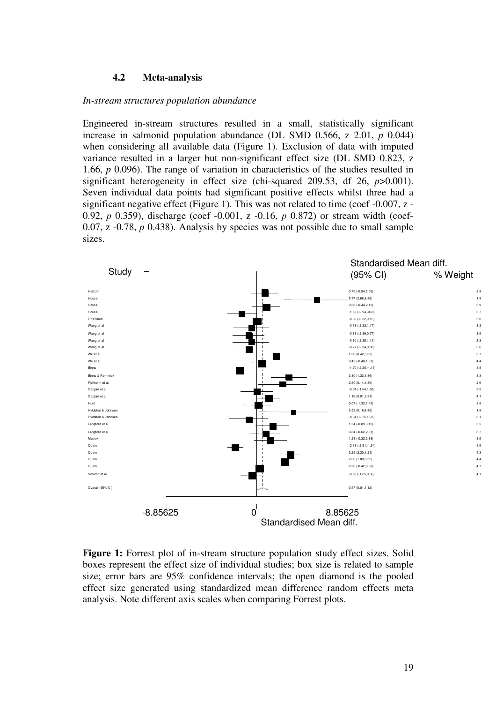#### **4.2 Meta-analysis**

#### *In-stream structures population abundance*

Engineered in-stream structures resulted in a small, statistically significant increase in salmonid population abundance (DL SMD 0.566, z 2.01, *p* 0.044) when considering all available data (Figure 1). Exclusion of data with imputed variance resulted in a larger but non-significant effect size (DL SMD 0.823, z 1.66, *p* 0.096). The range of variation in characteristics of the studies resulted in significant heterogeneity in effect size (chi-squared 209.53, df 26, *p*>0.001). Seven individual data points had significant positive effects whilst three had a significant negative effect (Figure 1). This was not related to time (coef  $-0.007$ , z  $-$ 0.92, *p* 0.359), discharge (coef -0.001, z -0.16, *p* 0.872) or stream width (coef-0.07, z -0.78, *p* 0.438). Analysis by species was not possible due to small sample sizes.



**Figure 1:** Forrest plot of in-stream structure population study effect sizes. Solid boxes represent the effect size of individual studies; box size is related to sample size; error bars are 95% confidence intervals; the open diamond is the pooled effect size generated using standardized mean difference random effects meta analysis. Note different axis scales when comparing Forrest plots.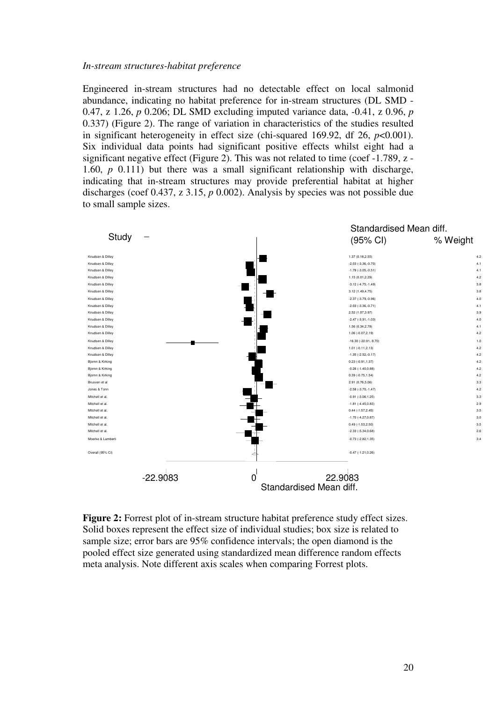#### *In-stream structures-habitat preference*

Engineered in-stream structures had no detectable effect on local salmonid abundance, indicating no habitat preference for in-stream structures (DL SMD - 0.47, z 1.26, *p* 0.206; DL SMD excluding imputed variance data, -0.41, z 0.96, *p* 0.337) (Figure 2). The range of variation in characteristics of the studies resulted in significant heterogeneity in effect size (chi-squared 169.92, df 26, *p*<0.001). Six individual data points had significant positive effects whilst eight had a significant negative effect (Figure 2). This was not related to time (coef -1.789, z - 1.60, *p* 0.111) but there was a small significant relationship with discharge, indicating that in-stream structures may provide preferential habitat at higher discharges (coef 0.437, z 3.15, *p* 0.002). Analysis by species was not possible due to small sample sizes.



**Figure 2:** Forrest plot of in-stream structure habitat preference study effect sizes. Solid boxes represent the effect size of individual studies; box size is related to sample size; error bars are 95% confidence intervals; the open diamond is the pooled effect size generated using standardized mean difference random effects meta analysis. Note different axis scales when comparing Forrest plots.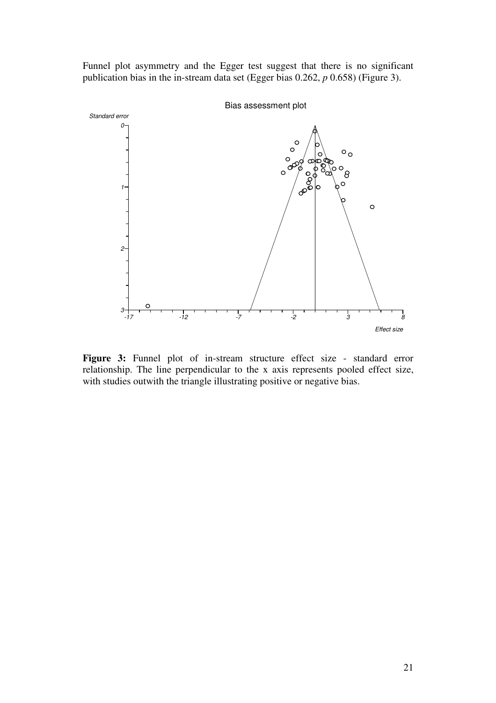Funnel plot asymmetry and the Egger test suggest that there is no significant publication bias in the in-stream data set (Egger bias 0.262, *p* 0.658) (Figure 3).



Figure 3: Funnel plot of in-stream structure effect size - standard error relationship. The line perpendicular to the x axis represents pooled effect size, with studies outwith the triangle illustrating positive or negative bias.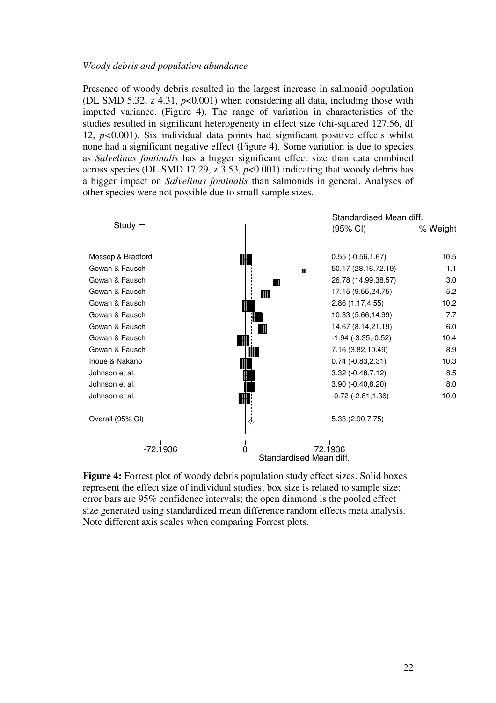#### *Woody debris and population abundance*

Presence of woody debris resulted in the largest increase in salmonid population (DL SMD 5.32, z 4.31, *p*<0.001) when considering all data, including those with imputed variance. (Figure 4). The range of variation in characteristics of the studies resulted in significant heterogeneity in effect size (chi-squared 127.56, df 12, *p<*0.001). Six individual data points had significant positive effects whilst none had a significant negative effect (Figure 4). Some variation is due to species as *Salvelinus fontinalis* has a bigger significant effect size than data combined across species (DL SMD 17.29, z 3.53, *p*<0.001) indicating that woody debris has a bigger impact on *Salvelinus fontinalis* than salmonids in general. Analyses of other species were not possible due to small sample sizes.



**Figure 4:** Forrest plot of woody debris population study effect sizes. Solid boxes represent the effect size of individual studies; box size is related to sample size; error bars are 95% confidence intervals; the open diamond is the pooled effect size generated using standardized mean difference random effects meta analysis. Note different axis scales when comparing Forrest plots.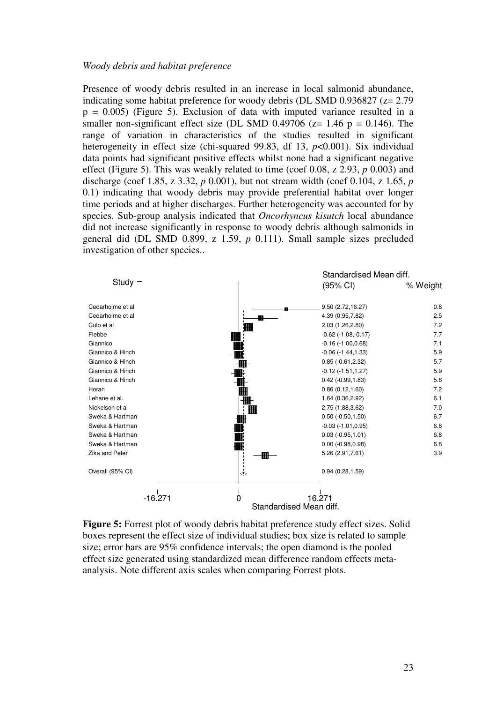#### *Woody debris and habitat preference*

Presence of woody debris resulted in an increase in local salmonid abundance, indicating some habitat preference for woody debris (DL SMD 0.936827 (z= 2.79  $p = 0.005$ ) (Figure 5). Exclusion of data with imputed variance resulted in a smaller non-significant effect size (DL SMD 0.49706 ( $z= 1.46$  p = 0.146). The range of variation in characteristics of the studies resulted in significant heterogeneity in effect size (chi-squared 99.83, df 13, *p*<0.001). Six individual data points had significant positive effects whilst none had a significant negative effect (Figure 5). This was weakly related to time (coef 0.08, z 2.93, *p* 0.003) and discharge (coef 1.85, z 3.32, *p* 0.001), but not stream width (coef 0.104, z 1.65, *p* 0.1) indicating that woody debris may provide preferential habitat over longer time periods and at higher discharges. Further heterogeneity was accounted for by species. Sub-group analysis indicated that *Oncorhyncus kisutch* local abundance did not increase significantly in response to woody debris although salmonids in general did (DL SMD 0.899, z 1.59, *p* 0.111). Small sample sizes precluded investigation of other species..



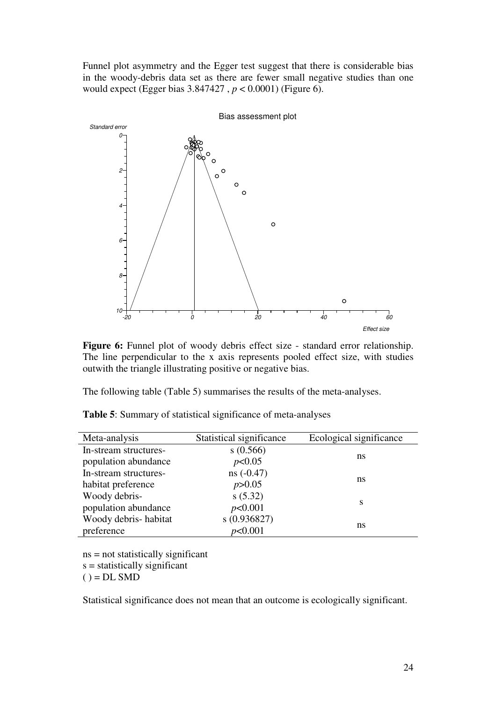Funnel plot asymmetry and the Egger test suggest that there is considerable bias in the woody-debris data set as there are fewer small negative studies than one would expect (Egger bias 3.847427 , *p* < 0.0001) (Figure 6).



**Figure 6:** Funnel plot of woody debris effect size - standard error relationship. The line perpendicular to the x axis represents pooled effect size, with studies outwith the triangle illustrating positive or negative bias.

The following table (Table 5) summarises the results of the meta-analyses.

| Meta-analysis         | Statistical significance | Ecological significance |
|-----------------------|--------------------------|-------------------------|
| In-stream structures- | s(0.566)                 | ns                      |
| population abundance  | p<0.05                   |                         |
| In-stream structures- | $ns(-0.47)$              | ns                      |
| habitat preference    | p > 0.05                 |                         |
| Woody debris-         | s(5.32)                  | S                       |
| population abundance  | p<0.001                  |                         |
| Woody debris-habitat  | s(0.936827)              | ns                      |
| preference            | p<0.001                  |                         |

**Table 5**: Summary of statistical significance of meta-analyses

ns = not statistically significant  $s =$  statistically significant  $() = DL SMD$ 

Statistical significance does not mean that an outcome is ecologically significant.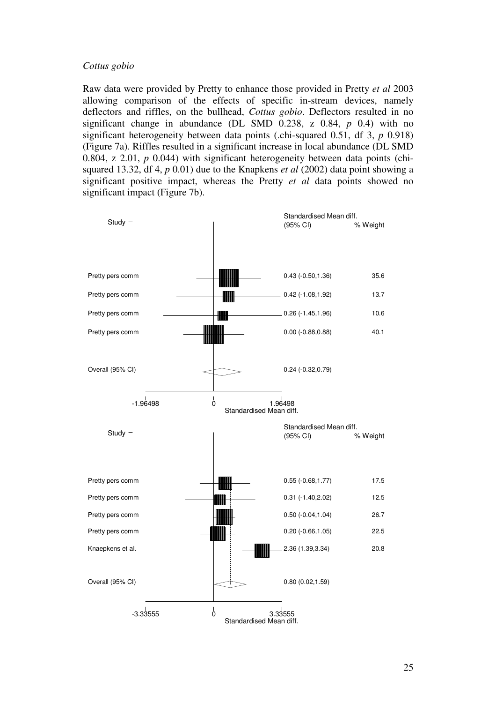#### *Cottus gobio*

Raw data were provided by Pretty to enhance those provided in Pretty *et al* 2003 allowing comparison of the effects of specific in-stream devices, namely deflectors and riffles, on the bullhead, *Cottus gobio*. Deflectors resulted in no significant change in abundance (DL SMD 0.238, z 0.84, *p* 0.4) with no significant heterogeneity between data points (.chi-squared 0.51, df 3, *p* 0.918) (Figure 7a). Riffles resulted in a significant increase in local abundance (DL SMD 0.804, z 2.01, *p* 0.044) with significant heterogeneity between data points (chisquared 13.32, df 4, *p* 0.01) due to the Knapkens *et al* (2002) data point showing a significant positive impact, whereas the Pretty *et al* data points showed no significant impact (Figure 7b).

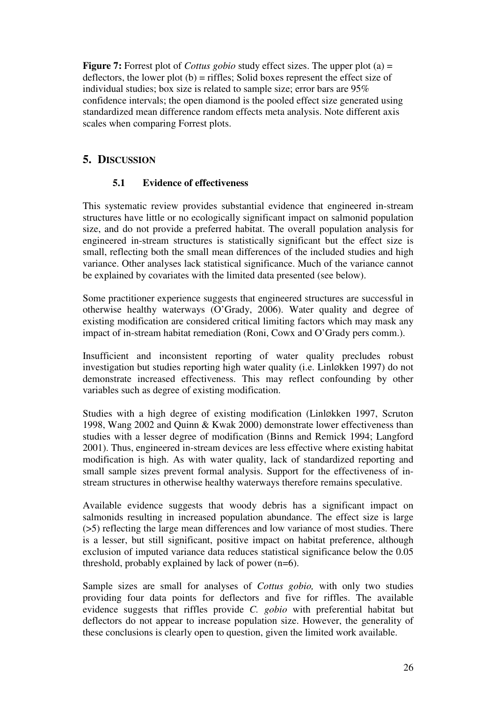**Figure 7:** Forrest plot of *Cottus gobio* study effect sizes. The upper plot (a) = deflectors, the lower plot  $(b)$  = riffles; Solid boxes represent the effect size of individual studies; box size is related to sample size; error bars are 95% confidence intervals; the open diamond is the pooled effect size generated using standardized mean difference random effects meta analysis. Note different axis scales when comparing Forrest plots.

# **5. DISCUSSION**

# **5.1 Evidence of effectiveness**

This systematic review provides substantial evidence that engineered in-stream structures have little or no ecologically significant impact on salmonid population size, and do not provide a preferred habitat. The overall population analysis for engineered in-stream structures is statistically significant but the effect size is small, reflecting both the small mean differences of the included studies and high variance. Other analyses lack statistical significance. Much of the variance cannot be explained by covariates with the limited data presented (see below).

Some practitioner experience suggests that engineered structures are successful in otherwise healthy waterways (O'Grady, 2006). Water quality and degree of existing modification are considered critical limiting factors which may mask any impact of in-stream habitat remediation (Roni, Cowx and O'Grady pers comm.).

Insufficient and inconsistent reporting of water quality precludes robust investigation but studies reporting high water quality (i.e. LinlØkken 1997) do not demonstrate increased effectiveness. This may reflect confounding by other variables such as degree of existing modification.

Studies with a high degree of existing modification (LinlØkken 1997, Scruton 1998, Wang 2002 and Quinn & Kwak 2000) demonstrate lower effectiveness than studies with a lesser degree of modification (Binns and Remick 1994; Langford 2001). Thus, engineered in-stream devices are less effective where existing habitat modification is high. As with water quality, lack of standardized reporting and small sample sizes prevent formal analysis. Support for the effectiveness of instream structures in otherwise healthy waterways therefore remains speculative.

Available evidence suggests that woody debris has a significant impact on salmonids resulting in increased population abundance. The effect size is large (>5) reflecting the large mean differences and low variance of most studies. There is a lesser, but still significant, positive impact on habitat preference, although exclusion of imputed variance data reduces statistical significance below the 0.05 threshold, probably explained by lack of power  $(n=6)$ .

Sample sizes are small for analyses of *Cottus gobio,* with only two studies providing four data points for deflectors and five for riffles. The available evidence suggests that riffles provide *C. gobio* with preferential habitat but deflectors do not appear to increase population size. However, the generality of these conclusions is clearly open to question, given the limited work available.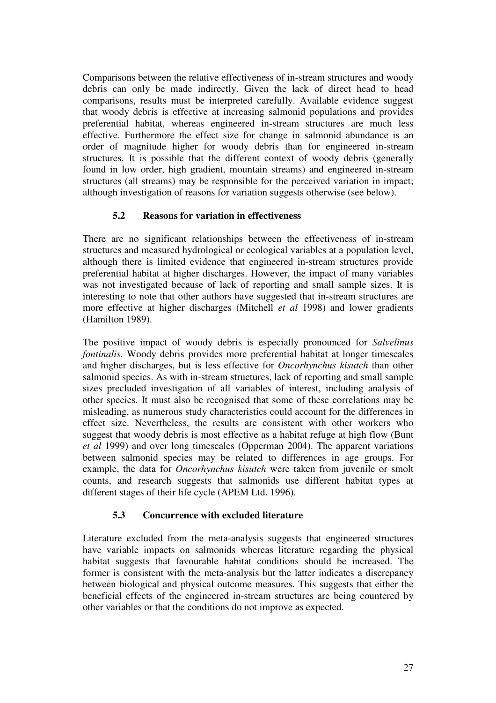Comparisons between the relative effectiveness of in-stream structures and woody debris can only be made indirectly. Given the lack of direct head to head comparisons, results must be interpreted carefully. Available evidence suggest that woody debris is effective at increasing salmonid populations and provides preferential habitat, whereas engineered in-stream structures are much less effective. Furthermore the effect size for change in salmonid abundance is an order of magnitude higher for woody debris than for engineered in-stream structures. It is possible that the different context of woody debris (generally found in low order, high gradient, mountain streams) and engineered in-stream structures (all streams) may be responsible for the perceived variation in impact; although investigation of reasons for variation suggests otherwise (see below).

# **5.2 Reasons for variation in effectiveness**

There are no significant relationships between the effectiveness of in-stream structures and measured hydrological or ecological variables at a population level, although there is limited evidence that engineered in-stream structures provide preferential habitat at higher discharges. However, the impact of many variables was not investigated because of lack of reporting and small sample sizes. It is interesting to note that other authors have suggested that in-stream structures are more effective at higher discharges (Mitchell *et al* 1998) and lower gradients (Hamilton 1989).

The positive impact of woody debris is especially pronounced for *Salvelinus fontinalis.* Woody debris provides more preferential habitat at longer timescales and higher discharges, but is less effective for *Oncorhynchus kisutch* than other salmonid species. As with in-stream structures, lack of reporting and small sample sizes precluded investigation of all variables of interest, including analysis of other species. It must also be recognised that some of these correlations may be misleading, as numerous study characteristics could account for the differences in effect size. Nevertheless, the results are consistent with other workers who suggest that woody debris is most effective as a habitat refuge at high flow (Bunt *et al* 1999) and over long timescales (Opperman 2004). The apparent variations between salmonid species may be related to differences in age groups. For example, the data for *Oncorhynchus kisutch* were taken from juvenile or smolt counts, and research suggests that salmonids use different habitat types at different stages of their life cycle (APEM Ltd. 1996).

# **5.3 Concurrence with excluded literature**

Literature excluded from the meta-analysis suggests that engineered structures have variable impacts on salmonids whereas literature regarding the physical habitat suggests that favourable habitat conditions should be increased. The former is consistent with the meta-analysis but the latter indicates a discrepancy between biological and physical outcome measures. This suggests that either the beneficial effects of the engineered in-stream structures are being countered by other variables or that the conditions do not improve as expected.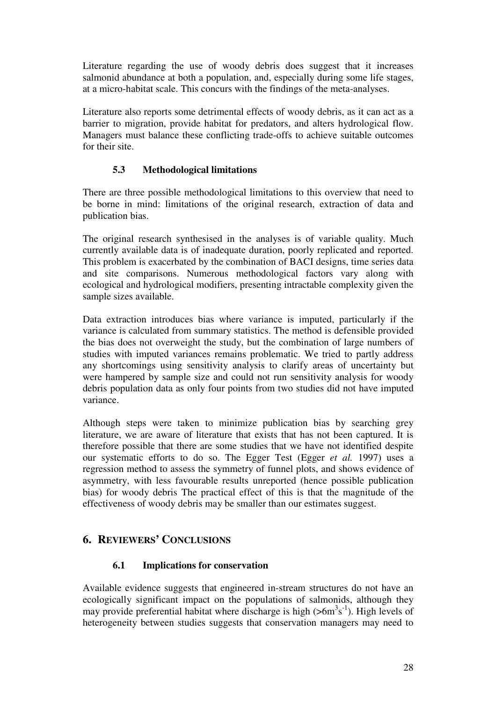Literature regarding the use of woody debris does suggest that it increases salmonid abundance at both a population, and, especially during some life stages, at a micro-habitat scale. This concurs with the findings of the meta-analyses.

Literature also reports some detrimental effects of woody debris, as it can act as a barrier to migration, provide habitat for predators, and alters hydrological flow. Managers must balance these conflicting trade-offs to achieve suitable outcomes for their site.

# **5.3 Methodological limitations**

There are three possible methodological limitations to this overview that need to be borne in mind: limitations of the original research, extraction of data and publication bias.

The original research synthesised in the analyses is of variable quality. Much currently available data is of inadequate duration, poorly replicated and reported. This problem is exacerbated by the combination of BACI designs, time series data and site comparisons. Numerous methodological factors vary along with ecological and hydrological modifiers, presenting intractable complexity given the sample sizes available.

Data extraction introduces bias where variance is imputed, particularly if the variance is calculated from summary statistics. The method is defensible provided the bias does not overweight the study, but the combination of large numbers of studies with imputed variances remains problematic. We tried to partly address any shortcomings using sensitivity analysis to clarify areas of uncertainty but were hampered by sample size and could not run sensitivity analysis for woody debris population data as only four points from two studies did not have imputed variance.

Although steps were taken to minimize publication bias by searching grey literature, we are aware of literature that exists that has not been captured. It is therefore possible that there are some studies that we have not identified despite our systematic efforts to do so. The Egger Test (Egger *et al.* 1997) uses a regression method to assess the symmetry of funnel plots, and shows evidence of asymmetry, with less favourable results unreported (hence possible publication bias) for woody debris The practical effect of this is that the magnitude of the effectiveness of woody debris may be smaller than our estimates suggest.

# **6. REVIEWERS' CONCLUSIONS**

# **6.1 Implications for conservation**

Available evidence suggests that engineered in-stream structures do not have an ecologically significant impact on the populations of salmonids, although they may provide preferential habitat where discharge is high  $(56m^3s^{-1})$ . High levels of heterogeneity between studies suggests that conservation managers may need to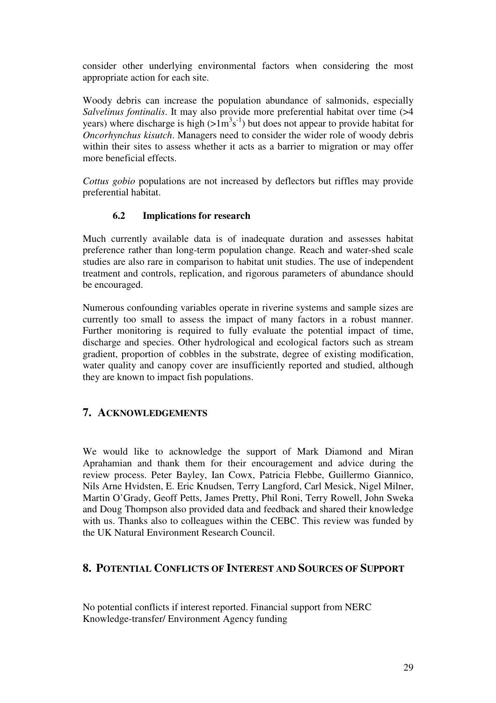consider other underlying environmental factors when considering the most appropriate action for each site.

Woody debris can increase the population abundance of salmonids, especially *Salvelinus fontinalis*. It may also provide more preferential habitat over time (>4 years) where discharge is high  $(>\frac{1}{3}$ s<sup>-1</sup>) but does not appear to provide habitat for *Oncorhynchus kisutch*. Managers need to consider the wider role of woody debris within their sites to assess whether it acts as a barrier to migration or may offer more beneficial effects.

*Cottus gobio* populations are not increased by deflectors but riffles may provide preferential habitat.

### **6.2 Implications for research**

Much currently available data is of inadequate duration and assesses habitat preference rather than long-term population change. Reach and water-shed scale studies are also rare in comparison to habitat unit studies. The use of independent treatment and controls, replication, and rigorous parameters of abundance should be encouraged.

Numerous confounding variables operate in riverine systems and sample sizes are currently too small to assess the impact of many factors in a robust manner. Further monitoring is required to fully evaluate the potential impact of time, discharge and species. Other hydrological and ecological factors such as stream gradient, proportion of cobbles in the substrate, degree of existing modification, water quality and canopy cover are insufficiently reported and studied, although they are known to impact fish populations.

# **7. ACKNOWLEDGEMENTS**

We would like to acknowledge the support of Mark Diamond and Miran Aprahamian and thank them for their encouragement and advice during the review process. Peter Bayley, Ian Cowx, Patricia Flebbe, Guillermo Giannico, Nils Arne Hvidsten, E. Eric Knudsen, Terry Langford, Carl Mesick, Nigel Milner, Martin O'Grady, Geoff Petts, James Pretty, Phil Roni, Terry Rowell, John Sweka and Doug Thompson also provided data and feedback and shared their knowledge with us. Thanks also to colleagues within the CEBC. This review was funded by the UK Natural Environment Research Council.

# **8. POTENTIAL CONFLICTS OF INTEREST AND SOURCES OF SUPPORT**

No potential conflicts if interest reported. Financial support from NERC Knowledge-transfer/ Environment Agency funding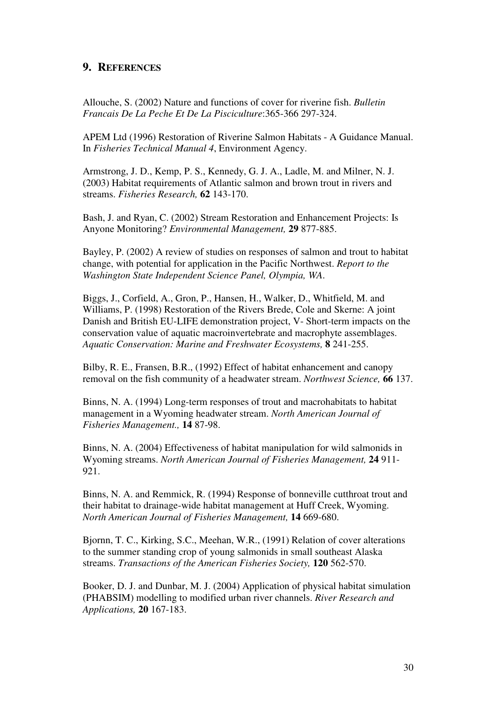# **9. REFERENCES**

Allouche, S. (2002) Nature and functions of cover for riverine fish. *Bulletin Francais De La Peche Et De La Pisciculture*:365-366 297-324.

APEM Ltd (1996) Restoration of Riverine Salmon Habitats - A Guidance Manual. In *Fisheries Technical Manual 4*, Environment Agency.

Armstrong, J. D., Kemp, P. S., Kennedy, G. J. A., Ladle, M. and Milner, N. J. (2003) Habitat requirements of Atlantic salmon and brown trout in rivers and streams. *Fisheries Research,* **62** 143-170.

Bash, J. and Ryan, C. (2002) Stream Restoration and Enhancement Projects: Is Anyone Monitoring? *Environmental Management,* **29** 877-885.

Bayley, P. (2002) A review of studies on responses of salmon and trout to habitat change, with potential for application in the Pacific Northwest. *Report to the Washington State Independent Science Panel, Olympia, WA*.

Biggs, J., Corfield, A., Gron, P., Hansen, H., Walker, D., Whitfield, M. and Williams, P. (1998) Restoration of the Rivers Brede, Cole and Skerne: A joint Danish and British EU-LIFE demonstration project, V- Short-term impacts on the conservation value of aquatic macroinvertebrate and macrophyte assemblages. *Aquatic Conservation: Marine and Freshwater Ecosystems,* **8** 241-255.

Bilby, R. E., Fransen, B.R., (1992) Effect of habitat enhancement and canopy removal on the fish community of a headwater stream. *Northwest Science,* **66** 137.

Binns, N. A. (1994) Long-term responses of trout and macrohabitats to habitat management in a Wyoming headwater stream. *North American Journal of Fisheries Management.,* **14** 87-98.

Binns, N. A. (2004) Effectiveness of habitat manipulation for wild salmonids in Wyoming streams. *North American Journal of Fisheries Management,* **24** 911- 921.

Binns, N. A. and Remmick, R. (1994) Response of bonneville cutthroat trout and their habitat to drainage-wide habitat management at Huff Creek, Wyoming. *North American Journal of Fisheries Management,* **14** 669-680.

Bjornn, T. C., Kirking, S.C., Meehan, W.R., (1991) Relation of cover alterations to the summer standing crop of young salmonids in small southeast Alaska streams. *Transactions of the American Fisheries Society,* **120** 562-570.

Booker, D. J. and Dunbar, M. J. (2004) Application of physical habitat simulation (PHABSIM) modelling to modified urban river channels. *River Research and Applications,* **20** 167-183.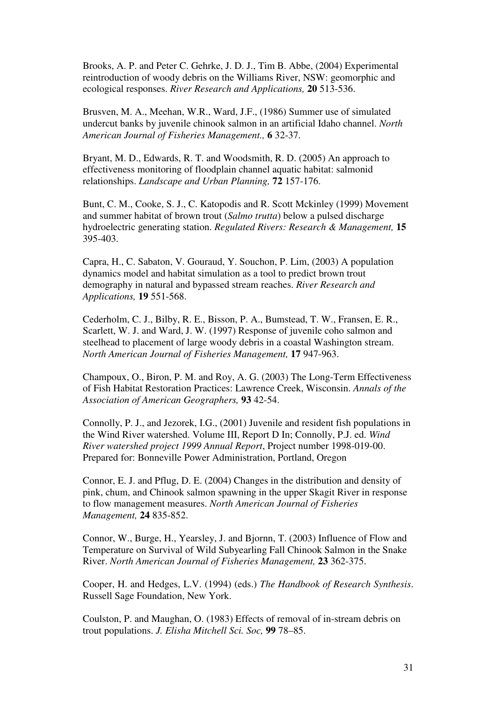Brooks, A. P. and Peter C. Gehrke, J. D. J., Tim B. Abbe, (2004) Experimental reintroduction of woody debris on the Williams River, NSW: geomorphic and ecological responses. *River Research and Applications,* **20** 513-536.

Brusven, M. A., Meehan, W.R., Ward, J.F., (1986) Summer use of simulated undercut banks by juvenile chinook salmon in an artificial Idaho channel. *North American Journal of Fisheries Management.,* **6** 32-37.

Bryant, M. D., Edwards, R. T. and Woodsmith, R. D. (2005) An approach to effectiveness monitoring of floodplain channel aquatic habitat: salmonid relationships. *Landscape and Urban Planning,* **72** 157-176.

Bunt, C. M., Cooke, S. J., C. Katopodis and R. Scott Mckinley (1999) Movement and summer habitat of brown trout (*Salmo trutta*) below a pulsed discharge hydroelectric generating station. *Regulated Rivers: Research & Management,* **15** 395-403.

Capra, H., C. Sabaton, V. Gouraud, Y. Souchon, P. Lim, (2003) A population dynamics model and habitat simulation as a tool to predict brown trout demography in natural and bypassed stream reaches. *River Research and Applications,* **19** 551-568.

Cederholm, C. J., Bilby, R. E., Bisson, P. A., Bumstead, T. W., Fransen, E. R., Scarlett, W. J. and Ward, J. W. (1997) Response of juvenile coho salmon and steelhead to placement of large woody debris in a coastal Washington stream. *North American Journal of Fisheries Management,* **17** 947-963.

Champoux, O., Biron, P. M. and Roy, A. G. (2003) The Long-Term Effectiveness of Fish Habitat Restoration Practices: Lawrence Creek, Wisconsin. *Annals of the Association of American Geographers,* **93** 42-54.

Connolly, P. J., and Jezorek, I.G., (2001) Juvenile and resident fish populations in the Wind River watershed. Volume III, Report D In; Connolly, P.J. ed. *Wind River watershed project 1999 Annual Report*, Project number 1998-019-00. Prepared for: Bonneville Power Administration, Portland, Oregon

Connor, E. J. and Pflug, D. E. (2004) Changes in the distribution and density of pink, chum, and Chinook salmon spawning in the upper Skagit River in response to flow management measures. *North American Journal of Fisheries Management,* **24** 835-852.

Connor, W., Burge, H., Yearsley, J. and Bjornn, T. (2003) Influence of Flow and Temperature on Survival of Wild Subyearling Fall Chinook Salmon in the Snake River. *North American Journal of Fisheries Management,* **23** 362-375.

Cooper, H. and Hedges, L.V. (1994) (eds.) *The Handbook of Research Synthesis*. Russell Sage Foundation, New York.

Coulston, P. and Maughan, O. (1983) Effects of removal of in-stream debris on trout populations. *J. Elisha Mitchell Sci. Soc,* **99** 78–85.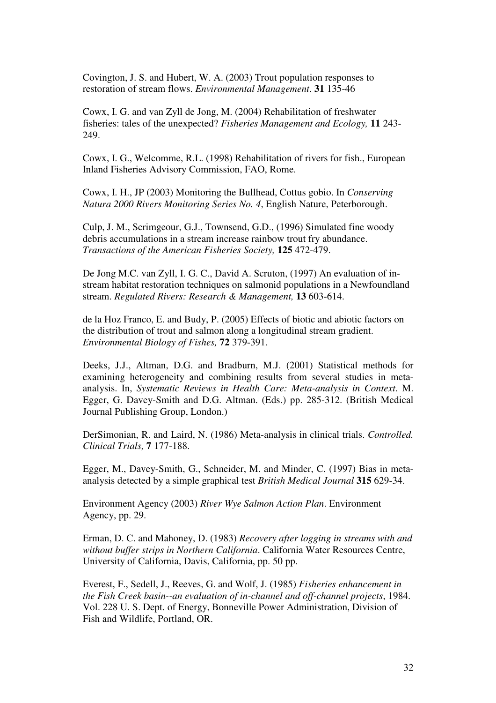Covington, J. S. and Hubert, W. A. (2003) Trout population responses to restoration of stream flows. *Environmental Management*. **31** 135-46

Cowx, I. G. and van Zyll de Jong, M. (2004) Rehabilitation of freshwater fisheries: tales of the unexpected? *Fisheries Management and Ecology,* **11** 243- 249.

Cowx, I. G., Welcomme, R.L. (1998) Rehabilitation of rivers for fish., European Inland Fisheries Advisory Commission, FAO, Rome.

Cowx, I. H., JP (2003) Monitoring the Bullhead, Cottus gobio. In *Conserving Natura 2000 Rivers Monitoring Series No. 4*, English Nature, Peterborough.

Culp, J. M., Scrimgeour, G.J., Townsend, G.D., (1996) Simulated fine woody debris accumulations in a stream increase rainbow trout fry abundance. *Transactions of the American Fisheries Society,* **125** 472-479.

De Jong M.C. van Zyll, I. G. C., David A. Scruton, (1997) An evaluation of instream habitat restoration techniques on salmonid populations in a Newfoundland stream. *Regulated Rivers: Research & Management,* **13** 603-614.

de la Hoz Franco, E. and Budy, P. (2005) Effects of biotic and abiotic factors on the distribution of trout and salmon along a longitudinal stream gradient. *Environmental Biology of Fishes,* **72** 379-391.

Deeks, J.J., Altman, D.G. and Bradburn, M.J. (2001) Statistical methods for examining heterogeneity and combining results from several studies in metaanalysis. In, *Systematic Reviews in Health Care: Meta-analysis in Context*. M. Egger, G. Davey-Smith and D.G. Altman. (Eds.) pp. 285-312. (British Medical Journal Publishing Group, London.)

DerSimonian, R. and Laird, N. (1986) Meta-analysis in clinical trials. *Controlled. Clinical Trials,* **7** 177-188.

Egger, M., Davey-Smith, G., Schneider, M. and Minder, C. (1997) Bias in metaanalysis detected by a simple graphical test *British Medical Journal* **315** 629-34.

Environment Agency (2003) *River Wye Salmon Action Plan*. Environment Agency, pp. 29.

Erman, D. C. and Mahoney, D. (1983) *Recovery after logging in streams with and without buffer strips in Northern California*. California Water Resources Centre, University of California, Davis, California, pp. 50 pp.

Everest, F., Sedell, J., Reeves, G. and Wolf, J. (1985) *Fisheries enhancement in the Fish Creek basin--an evaluation of in-channel and off-channel projects*, 1984. Vol. 228 U. S. Dept. of Energy, Bonneville Power Administration, Division of Fish and Wildlife, Portland, OR.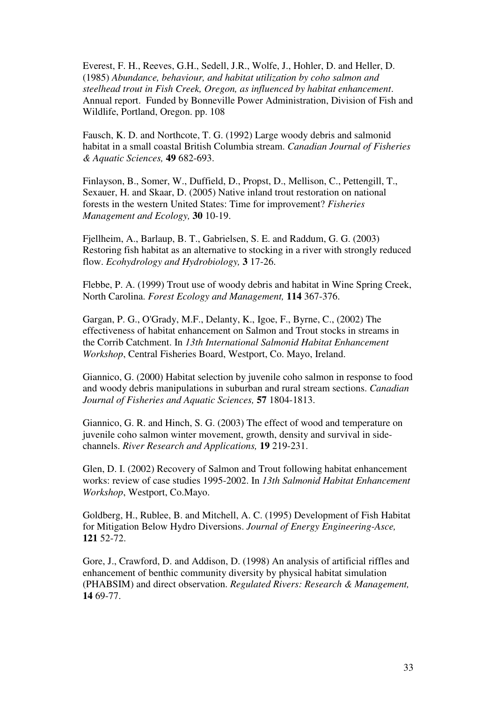Everest, F. H., Reeves, G.H., Sedell, J.R., Wolfe, J., Hohler, D. and Heller, D. (1985) *Abundance, behaviour, and habitat utilization by coho salmon and steelhead trout in Fish Creek, Oregon, as influenced by habitat enhancement*. Annual report. Funded by Bonneville Power Administration, Division of Fish and Wildlife, Portland, Oregon. pp. 108

Fausch, K. D. and Northcote, T. G. (1992) Large woody debris and salmonid habitat in a small coastal British Columbia stream. *Canadian Journal of Fisheries & Aquatic Sciences,* **49** 682-693.

Finlayson, B., Somer, W., Duffield, D., Propst, D., Mellison, C., Pettengill, T., Sexauer, H. and Skaar, D. (2005) Native inland trout restoration on national forests in the western United States: Time for improvement? *Fisheries Management and Ecology,* **30** 10-19.

Fjellheim, A., Barlaup, B. T., Gabrielsen, S. E. and Raddum, G. G. (2003) Restoring fish habitat as an alternative to stocking in a river with strongly reduced flow. *Ecohydrology and Hydrobiology,* **3** 17-26.

Flebbe, P. A. (1999) Trout use of woody debris and habitat in Wine Spring Creek, North Carolina. *Forest Ecology and Management,* **114** 367-376.

Gargan, P. G., O'Grady, M.F., Delanty, K., Igoe, F., Byrne, C., (2002) The effectiveness of habitat enhancement on Salmon and Trout stocks in streams in the Corrib Catchment. In *13th International Salmonid Habitat Enhancement Workshop*, Central Fisheries Board, Westport, Co. Mayo, Ireland.

Giannico, G. (2000) Habitat selection by juvenile coho salmon in response to food and woody debris manipulations in suburban and rural stream sections. *Canadian Journal of Fisheries and Aquatic Sciences,* **57** 1804-1813.

Giannico, G. R. and Hinch, S. G. (2003) The effect of wood and temperature on juvenile coho salmon winter movement, growth, density and survival in sidechannels. *River Research and Applications,* **19** 219-231.

Glen, D. I. (2002) Recovery of Salmon and Trout following habitat enhancement works: review of case studies 1995-2002. In *13th Salmonid Habitat Enhancement Workshop*, Westport, Co.Mayo.

Goldberg, H., Rublee, B. and Mitchell, A. C. (1995) Development of Fish Habitat for Mitigation Below Hydro Diversions. *Journal of Energy Engineering-Asce,* **121** 52-72.

Gore, J., Crawford, D. and Addison, D. (1998) An analysis of artificial riffles and enhancement of benthic community diversity by physical habitat simulation (PHABSIM) and direct observation. *Regulated Rivers: Research & Management,* **14** 69-77.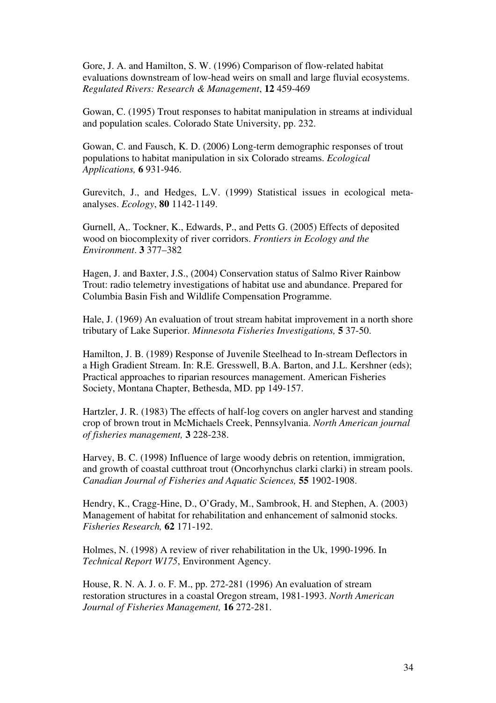Gore, J. A. and Hamilton, S. W. (1996) Comparison of flow-related habitat evaluations downstream of low-head weirs on small and large fluvial ecosystems. *Regulated Rivers: Research & Management*, **12** 459-469

Gowan, C. (1995) Trout responses to habitat manipulation in streams at individual and population scales. Colorado State University, pp. 232.

Gowan, C. and Fausch, K. D. (2006) Long-term demographic responses of trout populations to habitat manipulation in six Colorado streams. *Ecological Applications,* **6** 931-946.

Gurevitch, J., and Hedges, L.V. (1999) Statistical issues in ecological metaanalyses. *Ecology*, **80** 1142-1149.

Gurnell, A,. Tockner, K., Edwards, P., and Petts G. (2005) Effects of deposited wood on biocomplexity of river corridors. *Frontiers in Ecology and the Environment*. **3** 377–382

Hagen, J. and Baxter, J.S., (2004) Conservation status of Salmo River Rainbow Trout: radio telemetry investigations of habitat use and abundance. Prepared for Columbia Basin Fish and Wildlife Compensation Programme.

Hale, J. (1969) An evaluation of trout stream habitat improvement in a north shore tributary of Lake Superior. *Minnesota Fisheries Investigations,* **5** 37-50.

Hamilton, J. B. (1989) Response of Juvenile Steelhead to In-stream Deflectors in a High Gradient Stream. In: R.E. Gresswell, B.A. Barton, and J.L. Kershner (eds); Practical approaches to riparian resources management. American Fisheries Society, Montana Chapter, Bethesda, MD. pp 149-157.

Hartzler, J. R. (1983) The effects of half-log covers on angler harvest and standing crop of brown trout in McMichaels Creek, Pennsylvania. *North American journal of fisheries management,* **3** 228-238.

Harvey, B. C. (1998) Influence of large woody debris on retention, immigration, and growth of coastal cutthroat trout (Oncorhynchus clarki clarki) in stream pools. *Canadian Journal of Fisheries and Aquatic Sciences,* **55** 1902-1908.

Hendry, K., Cragg-Hine, D., O'Grady, M., Sambrook, H. and Stephen, A. (2003) Management of habitat for rehabilitation and enhancement of salmonid stocks. *Fisheries Research,* **62** 171-192.

Holmes, N. (1998) A review of river rehabilitation in the Uk, 1990-1996. In *Technical Report W175*, Environment Agency.

House, R. N. A. J. o. F. M., pp. 272-281 (1996) An evaluation of stream restoration structures in a coastal Oregon stream, 1981-1993. *North American Journal of Fisheries Management,* **16** 272-281.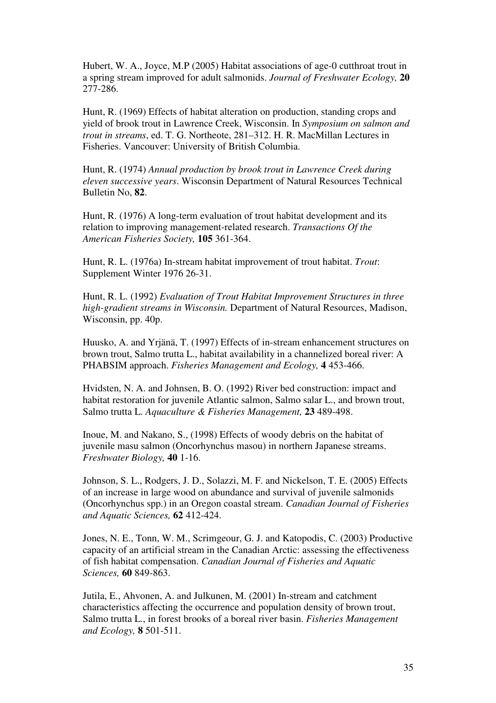Hubert, W. A., Joyce, M.P (2005) Habitat associations of age-0 cutthroat trout in a spring stream improved for adult salmonids. *Journal of Freshwater Ecology,* **20** 277-286.

Hunt, R. (1969) Effects of habitat alteration on production, standing crops and yield of brook trout in Lawrence Creek, Wisconsin. In *Symposium on salmon and trout in streams*, ed. T. G. Northeote, 281–312. H. R. MacMillan Lectures in Fisheries. Vancouver: University of British Columbia.

Hunt, R. (1974) *Annual production by brook trout in Lawrence Creek during eleven successive years*. Wisconsin Department of Natural Resources Technical Bulletin No, **82**.

Hunt, R. (1976) A long-term evaluation of trout habitat development and its relation to improving management-related research. *Transactions Of the American Fisheries Society,* **105** 361-364.

Hunt, R. L. (1976a) In-stream habitat improvement of trout habitat. *Trout*: Supplement Winter 1976 26-31.

Hunt, R. L. (1992) *Evaluation of Trout Habitat Improvement Structures in three high-gradient streams in Wisconsin.* Department of Natural Resources, Madison, Wisconsin, pp. 40p.

Huusko, A. and Yrjänä, T. (1997) Effects of in-stream enhancement structures on brown trout, Salmo trutta L., habitat availability in a channelized boreal river: A PHABSIM approach. *Fisheries Management and Ecology,* **4** 453-466.

Hvidsten, N. A. and Johnsen, B. O. (1992) River bed construction: impact and habitat restoration for juvenile Atlantic salmon, Salmo salar L., and brown trout, Salmo trutta L. *Aquaculture & Fisheries Management,* **23** 489-498.

Inoue, M. and Nakano, S., (1998) Effects of woody debris on the habitat of juvenile masu salmon (Oncorhynchus masou) in northern Japanese streams. *Freshwater Biology,* **40** 1-16.

Johnson, S. L., Rodgers, J. D., Solazzi, M. F. and Nickelson, T. E. (2005) Effects of an increase in large wood on abundance and survival of juvenile salmonids (Oncorhynchus spp.) in an Oregon coastal stream. *Canadian Journal of Fisheries and Aquatic Sciences,* **62** 412-424.

Jones, N. E., Tonn, W. M., Scrimgeour, G. J. and Katopodis, C. (2003) Productive capacity of an artificial stream in the Canadian Arctic: assessing the effectiveness of fish habitat compensation. *Canadian Journal of Fisheries and Aquatic Sciences,* **60** 849-863.

Jutila, E., Ahvonen, A. and Julkunen, M. (2001) In-stream and catchment characteristics affecting the occurrence and population density of brown trout, Salmo trutta L., in forest brooks of a boreal river basin. *Fisheries Management and Ecology,* **8** 501-511.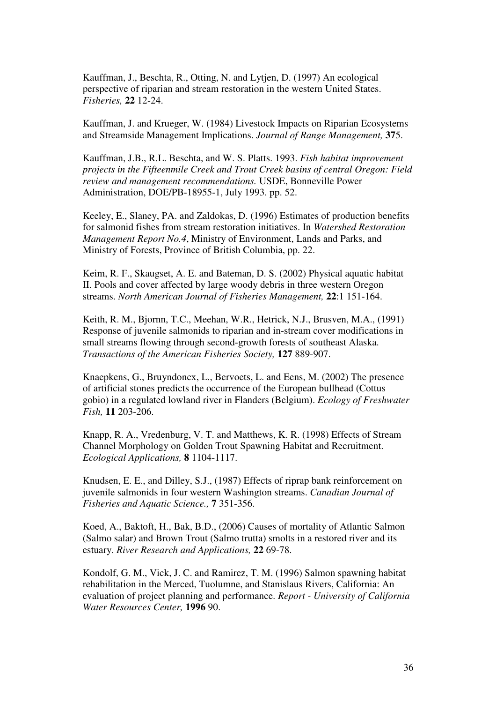Kauffman, J., Beschta, R., Otting, N. and Lytjen, D. (1997) An ecological perspective of riparian and stream restoration in the western United States. *Fisheries,* **22** 12-24.

Kauffman, J. and Krueger, W. (1984) Livestock Impacts on Riparian Ecosystems and Streamside Management Implications. *Journal of Range Management,* **37**5.

Kauffman, J.B., R.L. Beschta, and W. S. Platts. 1993. *Fish habitat improvement projects in the Fifteenmile Creek and Trout Creek basins of central Oregon: Field review and management recommendations.* USDE, Bonneville Power Administration, DOE/PB-18955-1, July 1993. pp. 52.

Keeley, E., Slaney, PA. and Zaldokas, D. (1996) Estimates of production benefits for salmonid fishes from stream restoration initiatives. In *Watershed Restoration Management Report No.4*, Ministry of Environment, Lands and Parks, and Ministry of Forests, Province of British Columbia, pp. 22.

Keim, R. F., Skaugset, A. E. and Bateman, D. S. (2002) Physical aquatic habitat II. Pools and cover affected by large woody debris in three western Oregon streams. *North American Journal of Fisheries Management,* **22**:1 151-164.

Keith, R. M., Bjornn, T.C., Meehan, W.R., Hetrick, N.J., Brusven, M.A., (1991) Response of juvenile salmonids to riparian and in-stream cover modifications in small streams flowing through second-growth forests of southeast Alaska. *Transactions of the American Fisheries Society,* **127** 889-907.

Knaepkens, G., Bruyndoncx, L., Bervoets, L. and Eens, M. (2002) The presence of artificial stones predicts the occurrence of the European bullhead (Cottus gobio) in a regulated lowland river in Flanders (Belgium). *Ecology of Freshwater Fish,* **11** 203-206.

Knapp, R. A., Vredenburg, V. T. and Matthews, K. R. (1998) Effects of Stream Channel Morphology on Golden Trout Spawning Habitat and Recruitment. *Ecological Applications,* **8** 1104-1117.

Knudsen, E. E., and Dilley, S.J., (1987) Effects of riprap bank reinforcement on juvenile salmonids in four western Washington streams. *Canadian Journal of Fisheries and Aquatic Science.,* **7** 351-356.

Koed, A., Baktoft, H., Bak, B.D., (2006) Causes of mortality of Atlantic Salmon (Salmo salar) and Brown Trout (Salmo trutta) smolts in a restored river and its estuary. *River Research and Applications,* **22** 69-78.

Kondolf, G. M., Vick, J. C. and Ramirez, T. M. (1996) Salmon spawning habitat rehabilitation in the Merced, Tuolumne, and Stanislaus Rivers, California: An evaluation of project planning and performance. *Report - University of California Water Resources Center,* **1996** 90.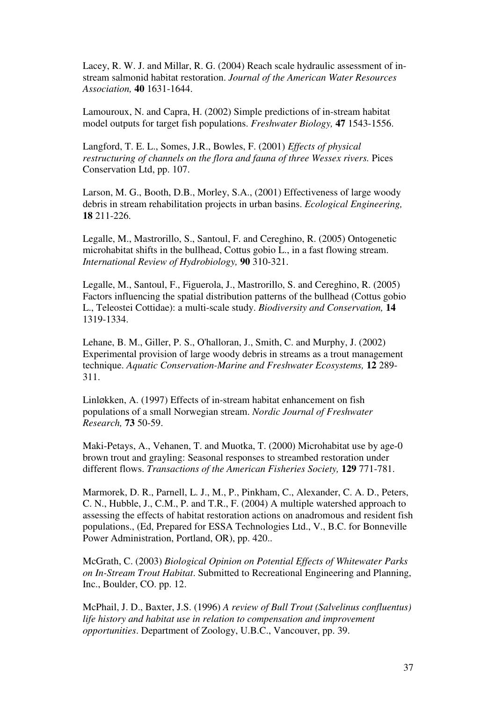Lacey, R. W. J. and Millar, R. G. (2004) Reach scale hydraulic assessment of instream salmonid habitat restoration. *Journal of the American Water Resources Association,* **40** 1631-1644.

Lamouroux, N. and Capra, H. (2002) Simple predictions of in-stream habitat model outputs for target fish populations. *Freshwater Biology,* **47** 1543-1556.

Langford, T. E. L., Somes, J.R., Bowles, F. (2001) *Effects of physical restructuring of channels on the flora and fauna of three Wessex rivers.* Pices Conservation Ltd, pp. 107.

Larson, M. G., Booth, D.B., Morley, S.A., (2001) Effectiveness of large woody debris in stream rehabilitation projects in urban basins. *Ecological Engineering,* **18** 211-226.

Legalle, M., Mastrorillo, S., Santoul, F. and Cereghino, R. (2005) Ontogenetic microhabitat shifts in the bullhead, Cottus gobio L., in a fast flowing stream. *International Review of Hydrobiology,* **90** 310-321.

Legalle, M., Santoul, F., Figuerola, J., Mastrorillo, S. and Cereghino, R. (2005) Factors influencing the spatial distribution patterns of the bullhead (Cottus gobio L., Teleostei Cottidae): a multi-scale study. *Biodiversity and Conservation,* **14** 1319-1334.

Lehane, B. M., Giller, P. S., O'halloran, J., Smith, C. and Murphy, J. (2002) Experimental provision of large woody debris in streams as a trout management technique. *Aquatic Conservation-Marine and Freshwater Ecosystems,* **12** 289- 311.

LinlØkken, A. (1997) Effects of in-stream habitat enhancement on fish populations of a small Norwegian stream. *Nordic Journal of Freshwater Research,* **73** 50-59.

Maki-Petays, A., Vehanen, T. and Muotka, T. (2000) Microhabitat use by age-0 brown trout and grayling: Seasonal responses to streambed restoration under different flows. *Transactions of the American Fisheries Society,* **129** 771-781.

Marmorek, D. R., Parnell, L. J., M., P., Pinkham, C., Alexander, C. A. D., Peters, C. N., Hubble, J., C.M., P. and T.R., F. (2004) A multiple watershed approach to assessing the effects of habitat restoration actions on anadromous and resident fish populations., (Ed, Prepared for ESSA Technologies Ltd., V., B.C. for Bonneville Power Administration, Portland, OR), pp. 420..

McGrath, C. (2003) *Biological Opinion on Potential Effects of Whitewater Parks on In-Stream Trout Habitat*. Submitted to Recreational Engineering and Planning, Inc., Boulder, CO. pp. 12.

McPhail, J. D., Baxter, J.S. (1996) *A review of Bull Trout (Salvelinus confluentus) life history and habitat use in relation to compensation and improvement opportunities*. Department of Zoology, U.B.C., Vancouver, pp. 39.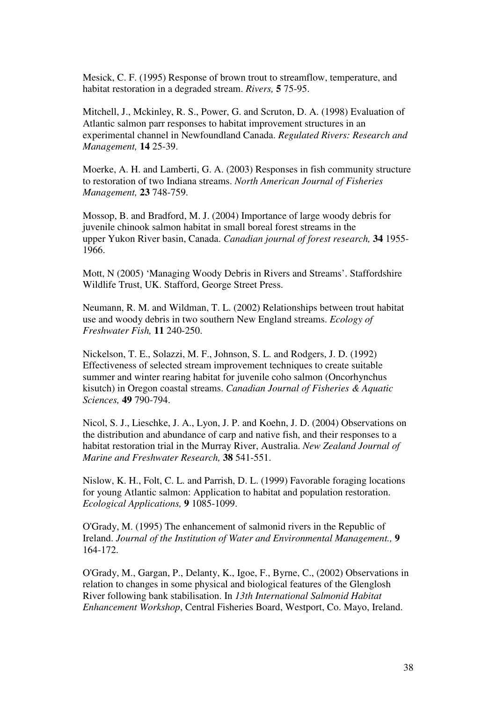Mesick, C. F. (1995) Response of brown trout to streamflow, temperature, and habitat restoration in a degraded stream. *Rivers,* **5** 75-95.

Mitchell, J., Mckinley, R. S., Power, G. and Scruton, D. A. (1998) Evaluation of Atlantic salmon parr responses to habitat improvement structures in an experimental channel in Newfoundland Canada. *Regulated Rivers: Research and Management,* **14** 25-39.

Moerke, A. H. and Lamberti, G. A. (2003) Responses in fish community structure to restoration of two Indiana streams. *North American Journal of Fisheries Management,* **23** 748-759.

Mossop, B. and Bradford, M. J. (2004) Importance of large woody debris for juvenile chinook salmon habitat in small boreal forest streams in the upper Yukon River basin, Canada. *Canadian journal of forest research,* **34** 1955- 1966.

Mott, N (2005) 'Managing Woody Debris in Rivers and Streams'. Staffordshire Wildlife Trust, UK. Stafford, George Street Press.

Neumann, R. M. and Wildman, T. L. (2002) Relationships between trout habitat use and woody debris in two southern New England streams. *Ecology of Freshwater Fish,* **11** 240-250.

Nickelson, T. E., Solazzi, M. F., Johnson, S. L. and Rodgers, J. D. (1992) Effectiveness of selected stream improvement techniques to create suitable summer and winter rearing habitat for juvenile coho salmon (Oncorhynchus kisutch) in Oregon coastal streams. *Canadian Journal of Fisheries & Aquatic Sciences,* **49** 790-794.

Nicol, S. J., Lieschke, J. A., Lyon, J. P. and Koehn, J. D. (2004) Observations on the distribution and abundance of carp and native fish, and their responses to a habitat restoration trial in the Murray River, Australia. *New Zealand Journal of Marine and Freshwater Research,* **38** 541-551.

Nislow, K. H., Folt, C. L. and Parrish, D. L. (1999) Favorable foraging locations for young Atlantic salmon: Application to habitat and population restoration. *Ecological Applications,* **9** 1085-1099.

O'Grady, M. (1995) The enhancement of salmonid rivers in the Republic of Ireland. *Journal of the Institution of Water and Environmental Management.,* **9** 164-172.

O'Grady, M., Gargan, P., Delanty, K., Igoe, F., Byrne, C., (2002) Observations in relation to changes in some physical and biological features of the Glenglosh River following bank stabilisation. In *13th International Salmonid Habitat Enhancement Workshop*, Central Fisheries Board, Westport, Co. Mayo, Ireland.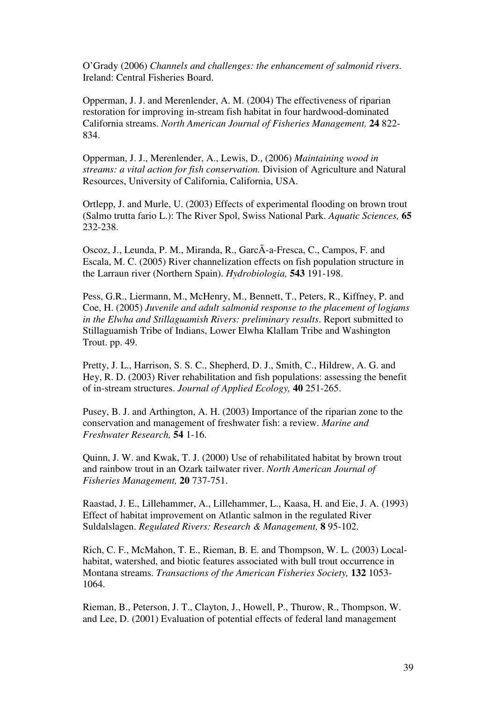O'Grady (2006) *Channels and challenges: the enhancement of salmonid rivers*. Ireland: Central Fisheries Board.

Opperman, J. J. and Merenlender, A. M. (2004) The effectiveness of riparian restoration for improving in-stream fish habitat in four hardwood-dominated California streams. *North American Journal of Fisheries Management,* **24** 822- 834.

Opperman, J. J., Merenlender, A., Lewis, D., (2006) *Maintaining wood in streams: a vital action for fish conservation.* Division of Agriculture and Natural Resources, University of California, California, USA.

Ortlepp, J. and Murle, U. (2003) Effects of experimental flooding on brown trout (Salmo trutta fario L.): The River Spol, Swiss National Park. *Aquatic Sciences,* **65** 232-238.

Oscoz, J., Leunda, P. M., Miranda, R., GarcÃ-a-Fresca, C., Campos, F. and Escala, M. C. (2005) River channelization effects on fish population structure in the Larraun river (Northern Spain). *Hydrobiologia,* **543** 191-198.

Pess, G.R., Liermann, M., McHenry, M., Bennett, T., Peters, R., Kiffney, P. and Coe, H. (2005) *Juvenile and adult salmonid response to the placement of logjams in the Elwha and Stillaguamish Rivers: preliminary results*. Report submitted to Stillaguamish Tribe of Indians, Lower Elwha Klallam Tribe and Washington Trout. pp. 49.

Pretty, J. L., Harrison, S. S. C., Shepherd, D. J., Smith, C., Hildrew, A. G. and Hey, R. D. (2003) River rehabilitation and fish populations: assessing the benefit of in-stream structures. *Journal of Applied Ecology,* **40** 251-265.

Pusey, B. J. and Arthington, A. H. (2003) Importance of the riparian zone to the conservation and management of freshwater fish: a review. *Marine and Freshwater Research,* **54** 1-16.

Quinn, J. W. and Kwak, T. J. (2000) Use of rehabilitated habitat by brown trout and rainbow trout in an Ozark tailwater river. *North American Journal of Fisheries Management,* **20** 737-751.

Raastad, J. E., Lillehammer, A., Lillehammer, L., Kaasa, H. and Eie, J. A. (1993) Effect of habitat improvement on Atlantic salmon in the regulated River Suldalslagen. *Regulated Rivers: Research & Management,* **8** 95-102.

Rich, C. F., McMahon, T. E., Rieman, B. E. and Thompson, W. L. (2003) Localhabitat, watershed, and biotic features associated with bull trout occurrence in Montana streams. *Transactions of the American Fisheries Society,* **132** 1053- 1064.

Rieman, B., Peterson, J. T., Clayton, J., Howell, P., Thurow, R., Thompson, W. and Lee, D. (2001) Evaluation of potential effects of federal land management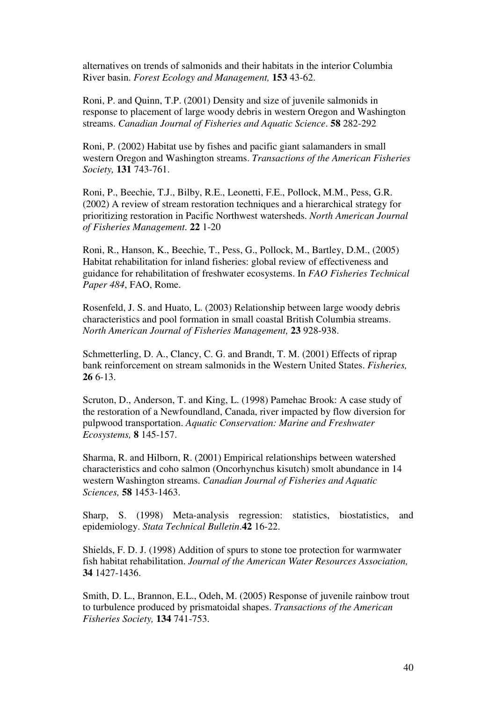alternatives on trends of salmonids and their habitats in the interior Columbia River basin. *Forest Ecology and Management,* **153** 43-62.

Roni, P. and Quinn, T.P. (2001) Density and size of juvenile salmonids in response to placement of large woody debris in western Oregon and Washington streams. *Canadian Journal of Fisheries and Aquatic Science*. **58** 282-292

Roni, P. (2002) Habitat use by fishes and pacific giant salamanders in small western Oregon and Washington streams. *Transactions of the American Fisheries Society,* **131** 743-761.

Roni, P., Beechie, T.J., Bilby, R.E., Leonetti, F.E., Pollock, M.M., Pess, G.R. (2002) A review of stream restoration techniques and a hierarchical strategy for prioritizing restoration in Pacific Northwest watersheds. *North American Journal of Fisheries Management.* **22** 1-20

Roni, R., Hanson, K., Beechie, T., Pess, G., Pollock, M., Bartley, D.M., (2005) Habitat rehabilitation for inland fisheries: global review of effectiveness and guidance for rehabilitation of freshwater ecosystems. In *FAO Fisheries Technical Paper 484*, FAO, Rome.

Rosenfeld, J. S. and Huato, L. (2003) Relationship between large woody debris characteristics and pool formation in small coastal British Columbia streams. *North American Journal of Fisheries Management,* **23** 928-938.

Schmetterling, D. A., Clancy, C. G. and Brandt, T. M. (2001) Effects of riprap bank reinforcement on stream salmonids in the Western United States. *Fisheries,* **26** 6-13.

Scruton, D., Anderson, T. and King, L. (1998) Pamehac Brook: A case study of the restoration of a Newfoundland, Canada, river impacted by flow diversion for pulpwood transportation. *Aquatic Conservation: Marine and Freshwater Ecosystems,* **8** 145-157.

Sharma, R. and Hilborn, R. (2001) Empirical relationships between watershed characteristics and coho salmon (Oncorhynchus kisutch) smolt abundance in 14 western Washington streams. *Canadian Journal of Fisheries and Aquatic Sciences,* **58** 1453-1463.

Sharp, S. (1998) Meta-analysis regression: statistics, biostatistics, and epidemiology. *Stata Technical Bulletin*.**42** 16-22.

Shields, F. D. J. (1998) Addition of spurs to stone toe protection for warmwater fish habitat rehabilitation. *Journal of the American Water Resources Association,* **34** 1427-1436.

Smith, D. L., Brannon, E.L., Odeh, M. (2005) Response of juvenile rainbow trout to turbulence produced by prismatoidal shapes. *Transactions of the American Fisheries Society,* **134** 741-753.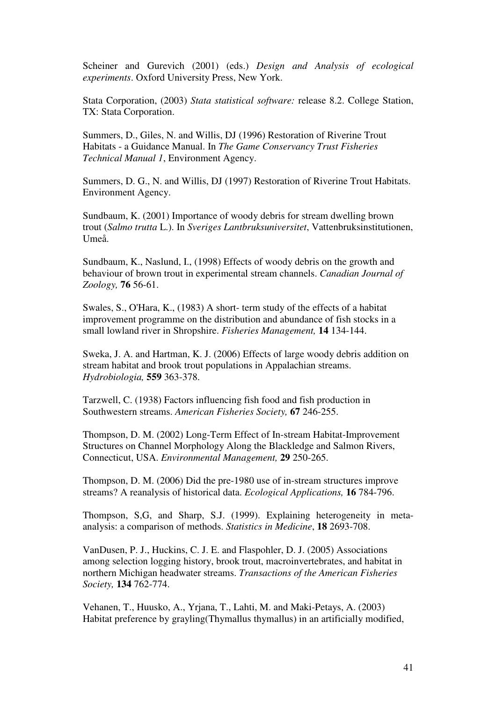Scheiner and Gurevich (2001) (eds.) *Design and Analysis of ecological experiments*. Oxford University Press, New York.

Stata Corporation, (2003) *Stata statistical software:* release 8.2. College Station, TX: Stata Corporation.

Summers, D., Giles, N. and Willis, DJ (1996) Restoration of Riverine Trout Habitats - a Guidance Manual. In *The Game Conservancy Trust Fisheries Technical Manual 1*, Environment Agency.

Summers, D. G., N. and Willis, DJ (1997) Restoration of Riverine Trout Habitats. Environment Agency.

Sundbaum, K. (2001) Importance of woody debris for stream dwelling brown trout (*Salmo trutta* L.). In *Sveriges Lantbruksuniversitet*, Vattenbruksinstitutionen, Umeå.

Sundbaum, K., Naslund, I., (1998) Effects of woody debris on the growth and behaviour of brown trout in experimental stream channels. *Canadian Journal of Zoology,* **76** 56-61.

Swales, S., O'Hara, K., (1983) A short- term study of the effects of a habitat improvement programme on the distribution and abundance of fish stocks in a small lowland river in Shropshire. *Fisheries Management,* **14** 134-144.

Sweka, J. A. and Hartman, K. J. (2006) Effects of large woody debris addition on stream habitat and brook trout populations in Appalachian streams. *Hydrobiologia,* **559** 363-378.

Tarzwell, C. (1938) Factors influencing fish food and fish production in Southwestern streams. *American Fisheries Society,* **67** 246-255.

Thompson, D. M. (2002) Long-Term Effect of In-stream Habitat-Improvement Structures on Channel Morphology Along the Blackledge and Salmon Rivers, Connecticut, USA. *Environmental Management,* **29** 250-265.

Thompson, D. M. (2006) Did the pre-1980 use of in-stream structures improve streams? A reanalysis of historical data. *Ecological Applications,* **16** 784-796.

Thompson, S,G, and Sharp, S.J. (1999). Explaining heterogeneity in metaanalysis: a comparison of methods. *Statistics in Medicine*, **18** 2693-708.

VanDusen, P. J., Huckins, C. J. E. and Flaspohler, D. J. (2005) Associations among selection logging history, brook trout, macroinvertebrates, and habitat in northern Michigan headwater streams. *Transactions of the American Fisheries Society,* **134** 762-774.

Vehanen, T., Huusko, A., Yrjana, T., Lahti, M. and Maki-Petays, A. (2003) Habitat preference by grayling(Thymallus thymallus) in an artificially modified,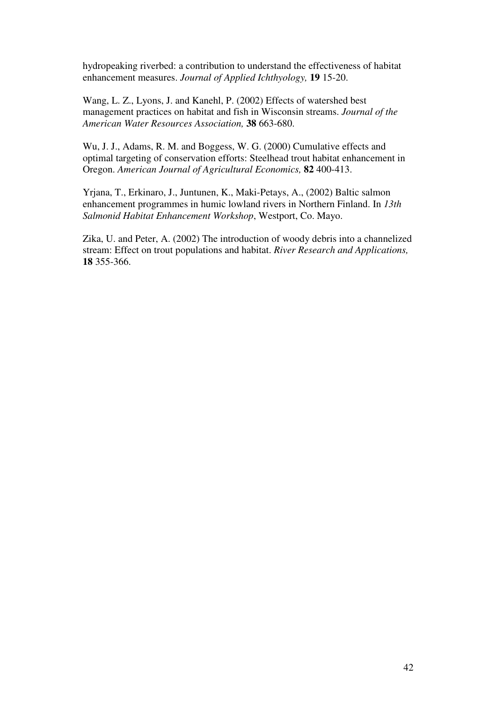hydropeaking riverbed: a contribution to understand the effectiveness of habitat enhancement measures. *Journal of Applied Ichthyology,* **19** 15-20.

Wang, L. Z., Lyons, J. and Kanehl, P. (2002) Effects of watershed best management practices on habitat and fish in Wisconsin streams. *Journal of the American Water Resources Association,* **38** 663-680.

Wu, J. J., Adams, R. M. and Boggess, W. G. (2000) Cumulative effects and optimal targeting of conservation efforts: Steelhead trout habitat enhancement in Oregon. *American Journal of Agricultural Economics,* **82** 400-413.

Yrjana, T., Erkinaro, J., Juntunen, K., Maki-Petays, A., (2002) Baltic salmon enhancement programmes in humic lowland rivers in Northern Finland. In *13th Salmonid Habitat Enhancement Workshop*, Westport, Co. Mayo.

Zika, U. and Peter, A. (2002) The introduction of woody debris into a channelized stream: Effect on trout populations and habitat. *River Research and Applications,* **18** 355-366.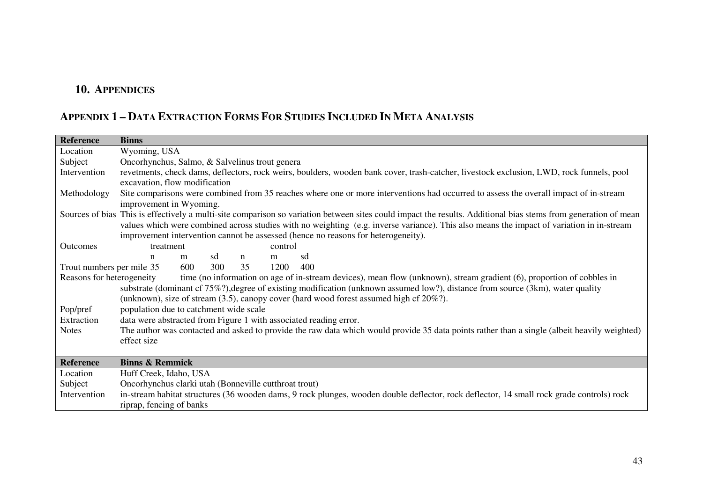## **10. APPENDICES**

## Appendix 1 - Data Extraction Forms For Studies Included In Meta Analysis

| <b>Reference</b>          | <b>Binns</b>                                          |     |     |              |         |                                                                                                                                                                |
|---------------------------|-------------------------------------------------------|-----|-----|--------------|---------|----------------------------------------------------------------------------------------------------------------------------------------------------------------|
| Location                  | Wyoming, USA                                          |     |     |              |         |                                                                                                                                                                |
| Subject                   | Oncorhynchus, Salmo, & Salvelinus trout genera        |     |     |              |         |                                                                                                                                                                |
| Intervention              |                                                       |     |     |              |         | revetments, check dams, deflectors, rock weirs, boulders, wooden bank cover, trash-catcher, livestock exclusion, LWD, rock funnels, pool                       |
|                           | excavation, flow modification                         |     |     |              |         |                                                                                                                                                                |
| Methodology               |                                                       |     |     |              |         | Site comparisons were combined from 35 reaches where one or more interventions had occurred to assess the overall impact of in-stream                          |
|                           | improvement in Wyoming.                               |     |     |              |         |                                                                                                                                                                |
|                           |                                                       |     |     |              |         | Sources of bias This is effectively a multi-site comparison so variation between sites could impact the results. Additional bias stems from generation of mean |
|                           |                                                       |     |     |              |         | values which were combined across studies with no weighting (e.g. inverse variance). This also means the impact of variation in in-stream                      |
|                           |                                                       |     |     |              |         | improvement intervention cannot be assessed (hence no reasons for heterogeneity).                                                                              |
| Outcomes                  | treatment                                             |     |     |              | control |                                                                                                                                                                |
|                           | $\mathbf n$                                           | m   | sd  | $\mathbf{n}$ | m       | sd                                                                                                                                                             |
| Trout numbers per mile 35 |                                                       | 600 | 300 | 35           | 1200    | 400                                                                                                                                                            |
| Reasons for heterogeneity |                                                       |     |     |              |         | time (no information on age of in-stream devices), mean flow (unknown), stream gradient (6), proportion of cobbles in                                          |
|                           |                                                       |     |     |              |         | substrate (dominant cf 75%?), degree of existing modification (unknown assumed low?), distance from source (3km), water quality                                |
|                           |                                                       |     |     |              |         | (unknown), size of stream $(3.5)$ , canopy cover (hard wood forest assumed high cf $20\%$ ?).                                                                  |
| Pop/pref                  | population due to catchment wide scale                |     |     |              |         |                                                                                                                                                                |
| Extraction                |                                                       |     |     |              |         | data were abstracted from Figure 1 with associated reading error.                                                                                              |
| <b>Notes</b>              |                                                       |     |     |              |         | The author was contacted and asked to provide the raw data which would provide 35 data points rather than a single (albeit heavily weighted)                   |
|                           | effect size                                           |     |     |              |         |                                                                                                                                                                |
|                           |                                                       |     |     |              |         |                                                                                                                                                                |
| Reference                 | <b>Binns &amp; Remmick</b>                            |     |     |              |         |                                                                                                                                                                |
| Location                  | Huff Creek, Idaho, USA                                |     |     |              |         |                                                                                                                                                                |
| Subject                   | Oncorhynchus clarki utah (Bonneville cutthroat trout) |     |     |              |         |                                                                                                                                                                |
| Intervention              |                                                       |     |     |              |         | in-stream habitat structures (36 wooden dams, 9 rock plunges, wooden double deflector, rock deflector, 14 small rock grade controls) rock                      |
|                           | riprap, fencing of banks                              |     |     |              |         |                                                                                                                                                                |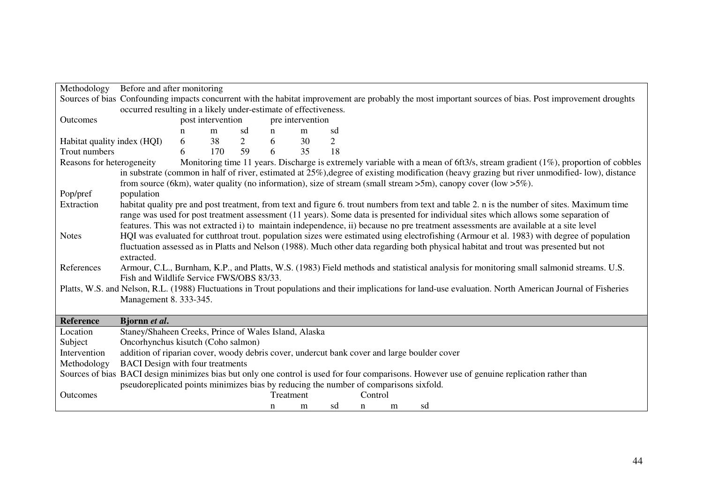| Methodology                 | Before and after monitoring                                                                 |                   |     |                |           |                  |                |         |   |                                                                                                                                                            |
|-----------------------------|---------------------------------------------------------------------------------------------|-------------------|-----|----------------|-----------|------------------|----------------|---------|---|------------------------------------------------------------------------------------------------------------------------------------------------------------|
|                             |                                                                                             |                   |     |                |           |                  |                |         |   | Sources of bias Confounding impacts concurrent with the habitat improvement are probably the most important sources of bias. Post improvement droughts     |
|                             | occurred resulting in a likely under-estimate of effectiveness.                             |                   |     |                |           |                  |                |         |   |                                                                                                                                                            |
| Outcomes                    |                                                                                             | post intervention |     |                |           | pre intervention |                |         |   |                                                                                                                                                            |
|                             |                                                                                             | n                 | m   | sd             | n         | m                | sd             |         |   |                                                                                                                                                            |
| Habitat quality index (HQI) |                                                                                             | 6                 | 38  | $\overline{2}$ | 6         | 30               | $\overline{2}$ |         |   |                                                                                                                                                            |
| Trout numbers               |                                                                                             | 6                 | 170 | 59             | 6         | 35               | 18             |         |   |                                                                                                                                                            |
| Reasons for heterogeneity   |                                                                                             |                   |     |                |           |                  |                |         |   | Monitoring time 11 years. Discharge is extremely variable with a mean of 6ft3/s, stream gradient (1%), proportion of cobbles                               |
|                             |                                                                                             |                   |     |                |           |                  |                |         |   | in substrate (common in half of river, estimated at 25%), degree of existing modification (heavy grazing but river unmodified-low), distance               |
|                             |                                                                                             |                   |     |                |           |                  |                |         |   | from source (6km), water quality (no information), size of stream (small stream $>5m$ ), canopy cover (low $>5\%$ ).                                       |
| Pop/pref                    | population                                                                                  |                   |     |                |           |                  |                |         |   |                                                                                                                                                            |
| Extraction                  |                                                                                             |                   |     |                |           |                  |                |         |   | habitat quality pre and post treatment, from text and figure 6. trout numbers from text and table 2. n is the number of sites. Maximum time                |
|                             |                                                                                             |                   |     |                |           |                  |                |         |   | range was used for post treatment assessment (11 years). Some data is presented for individual sites which allows some separation of                       |
|                             |                                                                                             |                   |     |                |           |                  |                |         |   | features. This was not extracted i) to maintain independence, ii) because no pre treatment assessments are available at a site level                       |
| <b>Notes</b>                |                                                                                             |                   |     |                |           |                  |                |         |   | HQI was evaluated for cutthroat trout. population sizes were estimated using electrofishing (Armour et al. 1983) with degree of population                 |
|                             |                                                                                             |                   |     |                |           |                  |                |         |   | fluctuation assessed as in Platts and Nelson (1988). Much other data regarding both physical habitat and trout was presented but not                       |
|                             | extracted.                                                                                  |                   |     |                |           |                  |                |         |   |                                                                                                                                                            |
| References                  |                                                                                             |                   |     |                |           |                  |                |         |   | Armour, C.L., Burnham, K.P., and Platts, W.S. (1983) Field methods and statistical analysis for monitoring small salmonid streams. U.S.                    |
|                             | Fish and Wildlife Service FWS/OBS 83/33.                                                    |                   |     |                |           |                  |                |         |   |                                                                                                                                                            |
|                             |                                                                                             |                   |     |                |           |                  |                |         |   | Platts, W.S. and Nelson, R.L. (1988) Fluctuations in Trout populations and their implications for land-use evaluation. North American Journal of Fisheries |
|                             | Management 8. 333-345.                                                                      |                   |     |                |           |                  |                |         |   |                                                                                                                                                            |
|                             |                                                                                             |                   |     |                |           |                  |                |         |   |                                                                                                                                                            |
| <b>Reference</b>            | Bjornn et al.                                                                               |                   |     |                |           |                  |                |         |   |                                                                                                                                                            |
| Location                    | Staney/Shaheen Creeks, Prince of Wales Island, Alaska                                       |                   |     |                |           |                  |                |         |   |                                                                                                                                                            |
| Subject                     | Oncorhynchus kisutch (Coho salmon)                                                          |                   |     |                |           |                  |                |         |   |                                                                                                                                                            |
| Intervention                | addition of riparian cover, woody debris cover, undercut bank cover and large boulder cover |                   |     |                |           |                  |                |         |   |                                                                                                                                                            |
| Methodology                 | <b>BACI</b> Design with four treatments                                                     |                   |     |                |           |                  |                |         |   |                                                                                                                                                            |
|                             |                                                                                             |                   |     |                |           |                  |                |         |   | Sources of bias BACI design minimizes bias but only one control is used for four comparisons. However use of genuine replication rather than               |
|                             | pseudoreplicated points minimizes bias by reducing the number of comparisons sixfold.       |                   |     |                |           |                  |                |         |   |                                                                                                                                                            |
| Outcomes                    |                                                                                             |                   |     |                | Treatment |                  |                | Control |   |                                                                                                                                                            |
|                             |                                                                                             |                   |     |                | n         | m                | sd             | n       | m | sd                                                                                                                                                         |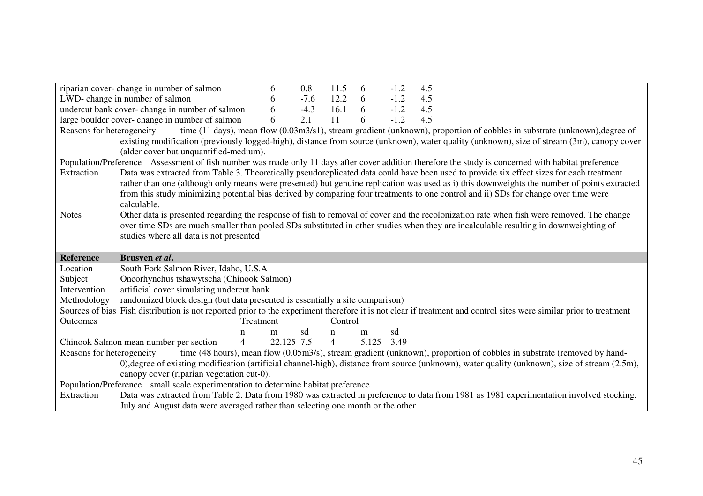|                           | riparian cover-change in number of salmon                                         | 6         | 0.8        | 11.5           | 6          | $-1.2$ | 4.5                                                                                                                                                                |
|---------------------------|-----------------------------------------------------------------------------------|-----------|------------|----------------|------------|--------|--------------------------------------------------------------------------------------------------------------------------------------------------------------------|
|                           | LWD-change in number of salmon                                                    | 6         | $-7.6$     | 12.2           | 6          | $-1.2$ | 4.5                                                                                                                                                                |
|                           | undercut bank cover-change in number of salmon                                    | 6         | $-4.3$     | 16.1           | 6          | $-1.2$ | 4.5                                                                                                                                                                |
|                           | large boulder cover-change in number of salmon                                    | 6         | 2.1        | 11             | 6          | $-1.2$ | 4.5                                                                                                                                                                |
| Reasons for heterogeneity |                                                                                   |           |            |                |            |        | time (11 days), mean flow (0.03m3/s1), stream gradient (unknown), proportion of cobbles in substrate (unknown), degree of                                          |
|                           |                                                                                   |           |            |                |            |        | existing modification (previously logged-high), distance from source (unknown), water quality (unknown), size of stream (3m), canopy cover                         |
|                           | (alder cover but unquantified-medium).                                            |           |            |                |            |        |                                                                                                                                                                    |
|                           |                                                                                   |           |            |                |            |        | Population/Preference Assessment of fish number was made only 11 days after cover addition therefore the study is concerned with habitat preference                |
| Extraction                |                                                                                   |           |            |                |            |        | Data was extracted from Table 3. Theoretically pseudoreplicated data could have been used to provide six effect sizes for each treatment                           |
|                           |                                                                                   |           |            |                |            |        | rather than one (although only means were presented) but genuine replication was used as i) this downweights the number of points extracted                        |
|                           |                                                                                   |           |            |                |            |        | from this study minimizing potential bias derived by comparing four treatments to one control and ii) SDs for change over time were                                |
|                           | calculable.                                                                       |           |            |                |            |        |                                                                                                                                                                    |
| <b>Notes</b>              |                                                                                   |           |            |                |            |        | Other data is presented regarding the response of fish to removal of cover and the recolonization rate when fish were removed. The change                          |
|                           |                                                                                   |           |            |                |            |        | over time SDs are much smaller than pooled SDs substituted in other studies when they are incalculable resulting in downweighting of                               |
|                           | studies where all data is not presented                                           |           |            |                |            |        |                                                                                                                                                                    |
|                           |                                                                                   |           |            |                |            |        |                                                                                                                                                                    |
|                           |                                                                                   |           |            |                |            |        |                                                                                                                                                                    |
| <b>Reference</b>          | Brusven et al.                                                                    |           |            |                |            |        |                                                                                                                                                                    |
| Location                  | South Fork Salmon River, Idaho, U.S.A                                             |           |            |                |            |        |                                                                                                                                                                    |
| Subject                   | Oncorhynchus tshawytscha (Chinook Salmon)                                         |           |            |                |            |        |                                                                                                                                                                    |
| Intervention              | artificial cover simulating undercut bank                                         |           |            |                |            |        |                                                                                                                                                                    |
| Methodology               | randomized block design (but data presented is essentially a site comparison)     |           |            |                |            |        |                                                                                                                                                                    |
|                           |                                                                                   |           |            |                |            |        | Sources of bias Fish distribution is not reported prior to the experiment therefore it is not clear if treatment and control sites were similar prior to treatment |
| <b>Outcomes</b>           |                                                                                   | Treatment |            | Control        |            |        |                                                                                                                                                                    |
|                           | n                                                                                 | m         | sd         | n              | m          | sd     |                                                                                                                                                                    |
|                           | Chinook Salmon mean number per section<br>$\overline{4}$                          |           | 22.125 7.5 | $\overline{4}$ | 5.125 3.49 |        |                                                                                                                                                                    |
| Reasons for heterogeneity |                                                                                   |           |            |                |            |        | time (48 hours), mean flow (0.05m3/s), stream gradient (unknown), proportion of cobbles in substrate (removed by hand-                                             |
|                           |                                                                                   |           |            |                |            |        | 0), degree of existing modification (artificial channel-high), distance from source (unknown), water quality (unknown), size of stream (2.5m),                     |
|                           | canopy cover (riparian vegetation cut-0).                                         |           |            |                |            |        |                                                                                                                                                                    |
|                           | Population/Preference small scale experimentation to determine habitat preference |           |            |                |            |        |                                                                                                                                                                    |
| Extraction                | July and August data were averaged rather than selecting one month or the other.  |           |            |                |            |        | Data was extracted from Table 2. Data from 1980 was extracted in preference to data from 1981 as 1981 experimentation involved stocking.                           |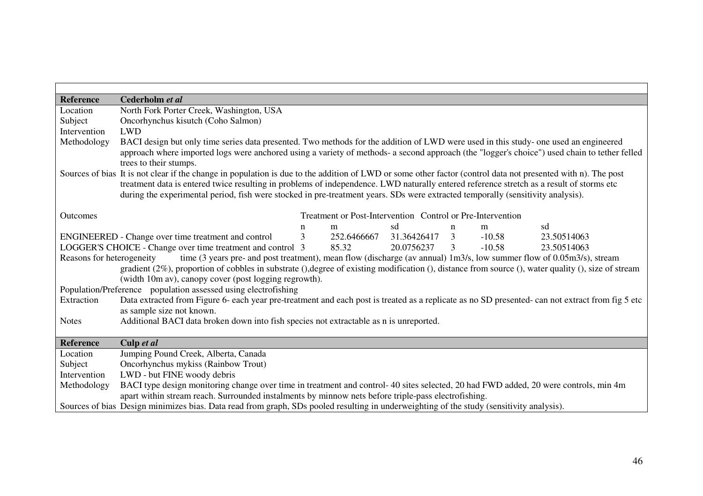| <b>Reference</b> | Cederholm et al                                                                                                                                                                                                                                                                                                                                                                                                                             |  |  |  |  |  |  |  |  |  |  |  |  |
|------------------|---------------------------------------------------------------------------------------------------------------------------------------------------------------------------------------------------------------------------------------------------------------------------------------------------------------------------------------------------------------------------------------------------------------------------------------------|--|--|--|--|--|--|--|--|--|--|--|--|
| Location         | North Fork Porter Creek, Washington, USA                                                                                                                                                                                                                                                                                                                                                                                                    |  |  |  |  |  |  |  |  |  |  |  |  |
| Subject          | Oncorhynchus kisutch (Coho Salmon)                                                                                                                                                                                                                                                                                                                                                                                                          |  |  |  |  |  |  |  |  |  |  |  |  |
| Intervention     | <b>LWD</b>                                                                                                                                                                                                                                                                                                                                                                                                                                  |  |  |  |  |  |  |  |  |  |  |  |  |
| Methodology      | BACI design but only time series data presented. Two methods for the addition of LWD were used in this study- one used an engineered<br>approach where imported logs were anchored using a variety of methods- a second approach (the "logger's choice") used chain to tether felled<br>trees to their stumps.                                                                                                                              |  |  |  |  |  |  |  |  |  |  |  |  |
|                  | Sources of bias It is not clear if the change in population is due to the addition of LWD or some other factor (control data not presented with n). The post<br>treatment data is entered twice resulting in problems of independence. LWD naturally entered reference stretch as a result of storms etc<br>during the experimental period, fish were stocked in pre-treatment years. SDs were extracted temporally (sensitivity analysis). |  |  |  |  |  |  |  |  |  |  |  |  |
| Outcomes         | Treatment or Post-Intervention Control or Pre-Intervention                                                                                                                                                                                                                                                                                                                                                                                  |  |  |  |  |  |  |  |  |  |  |  |  |
|                  | sd<br>sd<br>$\mathbf n$<br>m<br>$\mathbf n$<br>m                                                                                                                                                                                                                                                                                                                                                                                            |  |  |  |  |  |  |  |  |  |  |  |  |
|                  | $\mathfrak{Z}$<br>252.6466667 31.36426417<br>$\mathfrak{Z}$<br>$-10.58$<br>ENGINEERED - Change over time treatment and control<br>23.50514063                                                                                                                                                                                                                                                                                               |  |  |  |  |  |  |  |  |  |  |  |  |
|                  | LOGGER'S CHOICE - Change over time treatment and control 3<br>$-10.58$<br>85.32<br>20.0756237<br>3<br>23.50514063                                                                                                                                                                                                                                                                                                                           |  |  |  |  |  |  |  |  |  |  |  |  |
|                  | Reasons for heterogeneity<br>time (3 years pre- and post treatment), mean flow (discharge (av annual) 1m3/s, low summer flow of 0.05m3/s), stream<br>gradient $(2\%)$ , proportion of cobbles in substrate (), degree of existing modification (), distance from source (), water quality (), size of stream<br>(width 10m av), canopy cover (post logging regrowth).                                                                       |  |  |  |  |  |  |  |  |  |  |  |  |
|                  | Population/Preference population assessed using electrofishing                                                                                                                                                                                                                                                                                                                                                                              |  |  |  |  |  |  |  |  |  |  |  |  |
| Extraction       | Data extracted from Figure 6- each year pre-treatment and each post is treated as a replicate as no SD presented- can not extract from fig 5 etc                                                                                                                                                                                                                                                                                            |  |  |  |  |  |  |  |  |  |  |  |  |
|                  | as sample size not known.                                                                                                                                                                                                                                                                                                                                                                                                                   |  |  |  |  |  |  |  |  |  |  |  |  |
| <b>Notes</b>     | Additional BACI data broken down into fish species not extractable as n is unreported.                                                                                                                                                                                                                                                                                                                                                      |  |  |  |  |  |  |  |  |  |  |  |  |
| <b>Reference</b> | Culp et al                                                                                                                                                                                                                                                                                                                                                                                                                                  |  |  |  |  |  |  |  |  |  |  |  |  |
| Location         | Jumping Pound Creek, Alberta, Canada                                                                                                                                                                                                                                                                                                                                                                                                        |  |  |  |  |  |  |  |  |  |  |  |  |
| Subject          | Oncorhynchus mykiss (Rainbow Trout)                                                                                                                                                                                                                                                                                                                                                                                                         |  |  |  |  |  |  |  |  |  |  |  |  |
| Intervention     | LWD - but FINE woody debris                                                                                                                                                                                                                                                                                                                                                                                                                 |  |  |  |  |  |  |  |  |  |  |  |  |
| Methodology      | BACI type design monitoring change over time in treatment and control-40 sites selected, 20 had FWD added, 20 were controls, min 4m                                                                                                                                                                                                                                                                                                         |  |  |  |  |  |  |  |  |  |  |  |  |
|                  | apart within stream reach. Surrounded instalments by minnow nets before triple-pass electrofishing.                                                                                                                                                                                                                                                                                                                                         |  |  |  |  |  |  |  |  |  |  |  |  |
|                  | Sources of bias Design minimizes bias. Data read from graph, SDs pooled resulting in underweighting of the study (sensitivity analysis).                                                                                                                                                                                                                                                                                                    |  |  |  |  |  |  |  |  |  |  |  |  |

 $\overline{\phantom{0}}$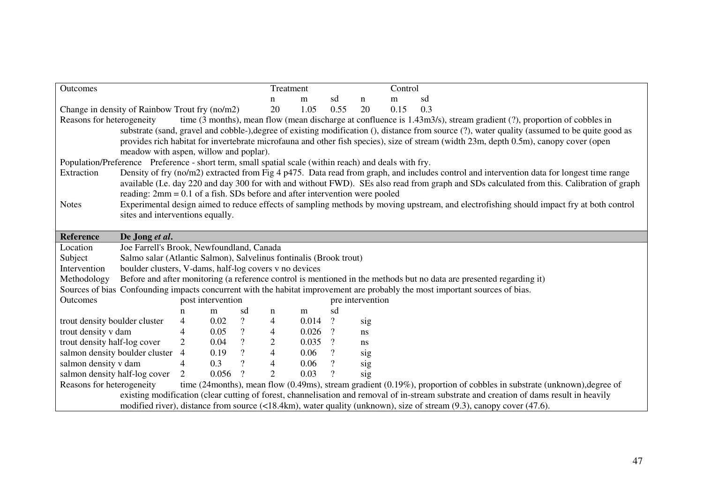| Outcomes                                                                                                                                       |                                                                                                                                       |                |                   |                |                | Treatment                                                                                                            |                          |                  | Control |                                                                                                                                            |  |  |  |  |
|------------------------------------------------------------------------------------------------------------------------------------------------|---------------------------------------------------------------------------------------------------------------------------------------|----------------|-------------------|----------------|----------------|----------------------------------------------------------------------------------------------------------------------|--------------------------|------------------|---------|--------------------------------------------------------------------------------------------------------------------------------------------|--|--|--|--|
|                                                                                                                                                |                                                                                                                                       | n              | m                 | sd             | n              | m                                                                                                                    | sd                       |                  |         |                                                                                                                                            |  |  |  |  |
|                                                                                                                                                | Change in density of Rainbow Trout fry (no/m2)                                                                                        |                |                   |                | 20             | 1.05                                                                                                                 | 0.55                     | 20               | 0.15    | 0.3                                                                                                                                        |  |  |  |  |
| Reasons for heterogeneity                                                                                                                      |                                                                                                                                       |                |                   |                |                | time (3 months), mean flow (mean discharge at confluence is 1.43m3/s), stream gradient (?), proportion of cobbles in |                          |                  |         |                                                                                                                                            |  |  |  |  |
| substrate (sand, gravel and cobble-), degree of existing modification (), distance from source (?), water quality (assumed to be quite good as |                                                                                                                                       |                |                   |                |                |                                                                                                                      |                          |                  |         |                                                                                                                                            |  |  |  |  |
|                                                                                                                                                | provides rich habitat for invertebrate microfauna and other fish species), size of stream (width 23m, depth 0.5m), canopy cover (open |                |                   |                |                |                                                                                                                      |                          |                  |         |                                                                                                                                            |  |  |  |  |
| meadow with aspen, willow and poplar).                                                                                                         |                                                                                                                                       |                |                   |                |                |                                                                                                                      |                          |                  |         |                                                                                                                                            |  |  |  |  |
| Population/Preference Preference - short term, small spatial scale (within reach) and deals with fry.                                          |                                                                                                                                       |                |                   |                |                |                                                                                                                      |                          |                  |         |                                                                                                                                            |  |  |  |  |
| Extraction                                                                                                                                     |                                                                                                                                       |                |                   |                |                |                                                                                                                      |                          |                  |         | Density of fry (no/m2) extracted from Fig 4 p475. Data read from graph, and includes control and intervention data for longest time range  |  |  |  |  |
|                                                                                                                                                |                                                                                                                                       |                |                   |                |                |                                                                                                                      |                          |                  |         | available (I.e. day 220 and day 300 for with and without FWD). SEs also read from graph and SDs calculated from this. Calibration of graph |  |  |  |  |
|                                                                                                                                                | reading: $2mm = 0.1$ of a fish. SDs before and after intervention were pooled                                                         |                |                   |                |                |                                                                                                                      |                          |                  |         |                                                                                                                                            |  |  |  |  |
| <b>Notes</b>                                                                                                                                   |                                                                                                                                       |                |                   |                |                |                                                                                                                      |                          |                  |         | Experimental design aimed to reduce effects of sampling methods by moving upstream, and electrofishing should impact fry at both control   |  |  |  |  |
|                                                                                                                                                | sites and interventions equally.                                                                                                      |                |                   |                |                |                                                                                                                      |                          |                  |         |                                                                                                                                            |  |  |  |  |
|                                                                                                                                                |                                                                                                                                       |                |                   |                |                |                                                                                                                      |                          |                  |         |                                                                                                                                            |  |  |  |  |
| <b>Reference</b>                                                                                                                               | De Jong et al.                                                                                                                        |                |                   |                |                |                                                                                                                      |                          |                  |         |                                                                                                                                            |  |  |  |  |
| Location                                                                                                                                       | Joe Farrell's Brook, Newfoundland, Canada                                                                                             |                |                   |                |                |                                                                                                                      |                          |                  |         |                                                                                                                                            |  |  |  |  |
| Subject                                                                                                                                        | Salmo salar (Atlantic Salmon), Salvelinus fontinalis (Brook trout)                                                                    |                |                   |                |                |                                                                                                                      |                          |                  |         |                                                                                                                                            |  |  |  |  |
| Intervention                                                                                                                                   | boulder clusters, V-dams, half-log covers v no devices                                                                                |                |                   |                |                |                                                                                                                      |                          |                  |         |                                                                                                                                            |  |  |  |  |
| Methodology                                                                                                                                    |                                                                                                                                       |                |                   |                |                |                                                                                                                      |                          |                  |         | Before and after monitoring (a reference control is mentioned in the methods but no data are presented regarding it)                       |  |  |  |  |
|                                                                                                                                                |                                                                                                                                       |                |                   |                |                |                                                                                                                      |                          |                  |         | Sources of bias Confounding impacts concurrent with the habitat improvement are probably the most important sources of bias.               |  |  |  |  |
| Outcomes                                                                                                                                       |                                                                                                                                       |                | post intervention |                |                |                                                                                                                      |                          | pre intervention |         |                                                                                                                                            |  |  |  |  |
|                                                                                                                                                |                                                                                                                                       | n              | m                 | sd             | n              | m                                                                                                                    | sd                       |                  |         |                                                                                                                                            |  |  |  |  |
| trout density boulder cluster                                                                                                                  |                                                                                                                                       | $\overline{4}$ | 0.02              | $\overline{?}$ | $\overline{4}$ | 0.014                                                                                                                | $\overline{?}$           | sig              |         |                                                                                                                                            |  |  |  |  |
| trout density v dam                                                                                                                            |                                                                                                                                       | $\overline{4}$ | 0.05              | $\overline{?}$ | $\overline{4}$ | 0.026                                                                                                                | $\overline{?}$           | ns               |         |                                                                                                                                            |  |  |  |  |
| trout density half-log cover                                                                                                                   |                                                                                                                                       | 2              | 0.04              | $\overline{?}$ | $\mathbf{2}$   | 0.035                                                                                                                | $\overline{?}$           | ns               |         |                                                                                                                                            |  |  |  |  |
|                                                                                                                                                | salmon density boulder cluster                                                                                                        | $\overline{4}$ | 0.19              | $\, ?$         | $\overline{4}$ | 0.06                                                                                                                 | $\overline{\mathcal{L}}$ | sig              |         |                                                                                                                                            |  |  |  |  |
| salmon density v dam                                                                                                                           |                                                                                                                                       | $\overline{4}$ | 0.3               | $\overline{?}$ | $\overline{4}$ | 0.06                                                                                                                 | $\overline{?}$           | sig              |         |                                                                                                                                            |  |  |  |  |
|                                                                                                                                                | salmon density half-log cover                                                                                                         | 2              | 0.056             | $\gamma$       | 2              | 0.03                                                                                                                 | $\overline{?}$           | sig              |         |                                                                                                                                            |  |  |  |  |
| Reasons for heterogeneity                                                                                                                      |                                                                                                                                       |                |                   |                |                |                                                                                                                      |                          |                  |         | time (24months), mean flow (0.49ms), stream gradient (0.19%), proportion of cobbles in substrate (unknown), degree of                      |  |  |  |  |
|                                                                                                                                                |                                                                                                                                       |                |                   |                |                |                                                                                                                      |                          |                  |         | existing modification (clear cutting of forest, channelisation and removal of in-stream substrate and creation of dams result in heavily   |  |  |  |  |
|                                                                                                                                                |                                                                                                                                       |                |                   |                |                |                                                                                                                      |                          |                  |         | modified river), distance from source (<18.4km), water quality (unknown), size of stream (9.3), canopy cover (47.6).                       |  |  |  |  |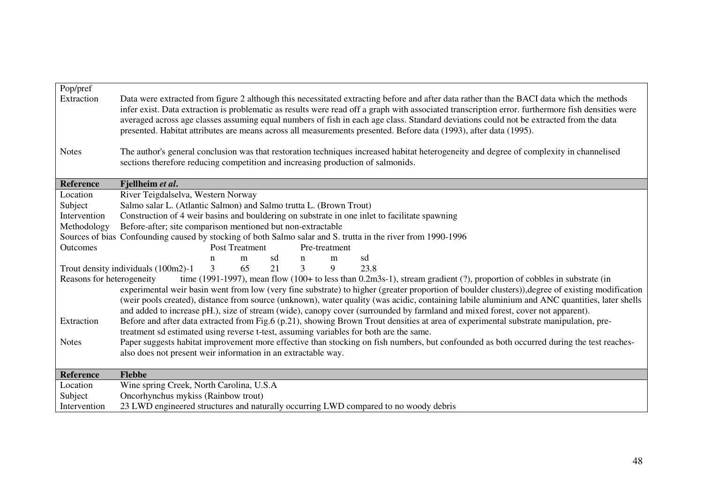| Pop/pref<br>Extraction    | Data were extracted from figure 2 although this necessitated extracting before and after data rather than the BACI data which the methods<br>infer exist. Data extraction is problematic as results were read off a graph with associated transcription error. furthermore fish densities were<br>averaged across age classes assuming equal numbers of fish in each age class. Standard deviations could not be extracted from the data<br>presented. Habitat attributes are means across all measurements presented. Before data (1993), after data (1995).           |
|---------------------------|-------------------------------------------------------------------------------------------------------------------------------------------------------------------------------------------------------------------------------------------------------------------------------------------------------------------------------------------------------------------------------------------------------------------------------------------------------------------------------------------------------------------------------------------------------------------------|
| <b>Notes</b>              | The author's general conclusion was that restoration techniques increased habitat heterogeneity and degree of complexity in channelised<br>sections therefore reducing competition and increasing production of salmonids.                                                                                                                                                                                                                                                                                                                                              |
| <b>Reference</b>          | Fjellheim et al.                                                                                                                                                                                                                                                                                                                                                                                                                                                                                                                                                        |
| Location                  | River Teigdalselva, Western Norway                                                                                                                                                                                                                                                                                                                                                                                                                                                                                                                                      |
| Subject                   | Salmo salar L. (Atlantic Salmon) and Salmo trutta L. (Brown Trout)                                                                                                                                                                                                                                                                                                                                                                                                                                                                                                      |
| Intervention              | Construction of 4 weir basins and bouldering on substrate in one inlet to facilitate spawning                                                                                                                                                                                                                                                                                                                                                                                                                                                                           |
| Methodology               | Before-after; site comparison mentioned but non-extractable                                                                                                                                                                                                                                                                                                                                                                                                                                                                                                             |
|                           | Sources of bias Confounding caused by stocking of both Salmo salar and S. trutta in the river from 1990-1996                                                                                                                                                                                                                                                                                                                                                                                                                                                            |
| <b>Outcomes</b>           | Post Treatment<br>Pre-treatment                                                                                                                                                                                                                                                                                                                                                                                                                                                                                                                                         |
|                           | sd<br>sd<br>m<br>n<br>m<br>n                                                                                                                                                                                                                                                                                                                                                                                                                                                                                                                                            |
|                           | $\overline{3}$<br>3<br>9<br>Trout density individuals (100m2)-1<br>65<br>21<br>23.8                                                                                                                                                                                                                                                                                                                                                                                                                                                                                     |
| Reasons for heterogeneity | time (1991-1997), mean flow (100+ to less than $0.2 \text{m}3s$ -1), stream gradient (?), proportion of cobbles in substrate (in<br>experimental weir basin went from low (very fine substrate) to higher (greater proportion of boulder clusters)), degree of existing modification<br>(weir pools created), distance from source (unknown), water quality (was acidic, containing labile aluminium and ANC quantities, later shells<br>and added to increase pH.), size of stream (wide), canopy cover (surrounded by farmland and mixed forest, cover not apparent). |
| Extraction                | Before and after data extracted from Fig.6 (p.21), showing Brown Trout densities at area of experimental substrate manipulation, pre-<br>treatment sd estimated using reverse t-test, assuming variables for both are the same.                                                                                                                                                                                                                                                                                                                                         |
| <b>Notes</b>              | Paper suggests habitat improvement more effective than stocking on fish numbers, but confounded as both occurred during the test reaches-<br>also does not present weir information in an extractable way.                                                                                                                                                                                                                                                                                                                                                              |
| <b>Reference</b>          | <b>Flebbe</b>                                                                                                                                                                                                                                                                                                                                                                                                                                                                                                                                                           |
| Location                  | Wine spring Creek, North Carolina, U.S.A                                                                                                                                                                                                                                                                                                                                                                                                                                                                                                                                |
| Subject                   | Oncorhynchus mykiss (Rainbow trout)                                                                                                                                                                                                                                                                                                                                                                                                                                                                                                                                     |
| Intervention              | 23 LWD engineered structures and naturally occurring LWD compared to no woody debris                                                                                                                                                                                                                                                                                                                                                                                                                                                                                    |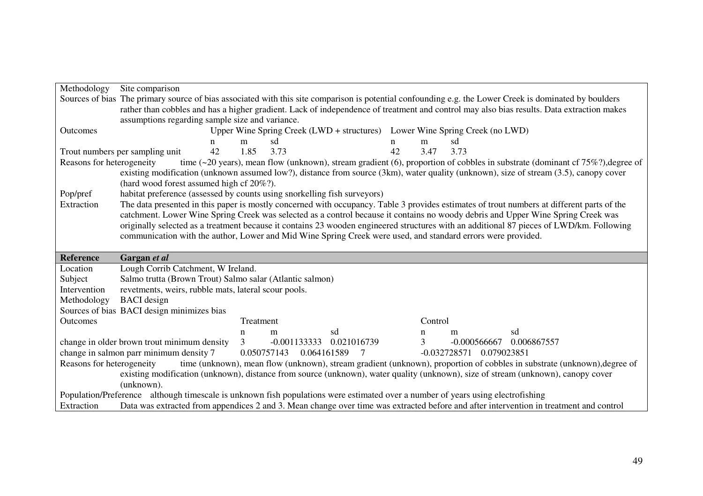| Methodology               | Site comparison                                                          |    |           |                |                               |             |         |                                                                                                                                                        |
|---------------------------|--------------------------------------------------------------------------|----|-----------|----------------|-------------------------------|-------------|---------|--------------------------------------------------------------------------------------------------------------------------------------------------------|
|                           |                                                                          |    |           |                |                               |             |         | Sources of bias The primary source of bias associated with this site comparison is potential confounding e.g. the Lower Creek is dominated by boulders |
|                           |                                                                          |    |           |                |                               |             |         | rather than cobbles and has a higher gradient. Lack of independence of treatment and control may also bias results. Data extraction makes              |
|                           | assumptions regarding sample size and variance.                          |    |           |                |                               |             |         |                                                                                                                                                        |
| Outcomes                  |                                                                          |    |           |                |                               |             |         | Upper Wine Spring Creek (LWD + structures) Lower Wine Spring Creek (no LWD)                                                                            |
|                           | n                                                                        |    | m         | sd             |                               | $\mathbf n$ | m       | sd                                                                                                                                                     |
|                           | Trout numbers per sampling unit                                          | 42 | 1.85      | 3.73           |                               | 42          | 3.47    | 3.73                                                                                                                                                   |
| Reasons for heterogeneity |                                                                          |    |           |                |                               |             |         | time (~20 years), mean flow (unknown), stream gradient (6), proportion of cobbles in substrate (dominant cf $75\%$ ?), degree of                       |
|                           |                                                                          |    |           |                |                               |             |         | existing modification (unknown assumed low?), distance from source (3km), water quality (unknown), size of stream (3.5), canopy cover                  |
|                           | (hard wood forest assumed high cf 20%?).                                 |    |           |                |                               |             |         |                                                                                                                                                        |
| Pop/pref                  | habitat preference (assessed by counts using snorkelling fish surveyors) |    |           |                |                               |             |         |                                                                                                                                                        |
| Extraction                |                                                                          |    |           |                |                               |             |         | The data presented in this paper is mostly concerned with occupancy. Table 3 provides estimates of trout numbers at different parts of the             |
|                           |                                                                          |    |           |                |                               |             |         | catchment. Lower Wine Spring Creek was selected as a control because it contains no woody debris and Upper Wine Spring Creek was                       |
|                           |                                                                          |    |           |                |                               |             |         | originally selected as a treatment because it contains 23 wooden engineered structures with an additional 87 pieces of LWD/km. Following               |
|                           |                                                                          |    |           |                |                               |             |         | communication with the author, Lower and Mid Wine Spring Creek were used, and standard errors were provided.                                           |
|                           |                                                                          |    |           |                |                               |             |         |                                                                                                                                                        |
| <b>Reference</b>          | Gargan et al                                                             |    |           |                |                               |             |         |                                                                                                                                                        |
| Location                  | Lough Corrib Catchment, W Ireland.                                       |    |           |                |                               |             |         |                                                                                                                                                        |
| Subject                   | Salmo trutta (Brown Trout) Salmo salar (Atlantic salmon)                 |    |           |                |                               |             |         |                                                                                                                                                        |
| Intervention              | revetments, weirs, rubble mats, lateral scour pools.                     |    |           |                |                               |             |         |                                                                                                                                                        |
| Methodology               | <b>BACI</b> design                                                       |    |           |                |                               |             |         |                                                                                                                                                        |
|                           | Sources of bias BACI design minimizes bias                               |    |           |                |                               |             |         |                                                                                                                                                        |
| Outcomes                  |                                                                          |    | Treatment |                |                               |             | Control |                                                                                                                                                        |
|                           |                                                                          |    | n         | m              | sd                            |             | n       | sd<br>m                                                                                                                                                |
|                           | change in older brown trout minimum density                              |    | 3         | $-0.001133333$ | 0.021016739                   |             | 3       | $-0.000566667$<br>0.006867557                                                                                                                          |
|                           |                                                                          |    |           |                |                               |             |         |                                                                                                                                                        |
|                           | change in salmon parr minimum density 7                                  |    |           | 0.050757143    | 0.064161589<br>$\overline{7}$ |             |         | -0.032728571  0.079023851                                                                                                                              |
| Reasons for heterogeneity |                                                                          |    |           |                |                               |             |         |                                                                                                                                                        |
|                           |                                                                          |    |           |                |                               |             |         | time (unknown), mean flow (unknown), stream gradient (unknown), proportion of cobbles in substrate (unknown), degree of                                |
|                           | (unknown).                                                               |    |           |                |                               |             |         | existing modification (unknown), distance from source (unknown), water quality (unknown), size of stream (unknown), canopy cover                       |
|                           |                                                                          |    |           |                |                               |             |         | Population/Preference although timescale is unknown fish populations were estimated over a number of years using electrofishing                        |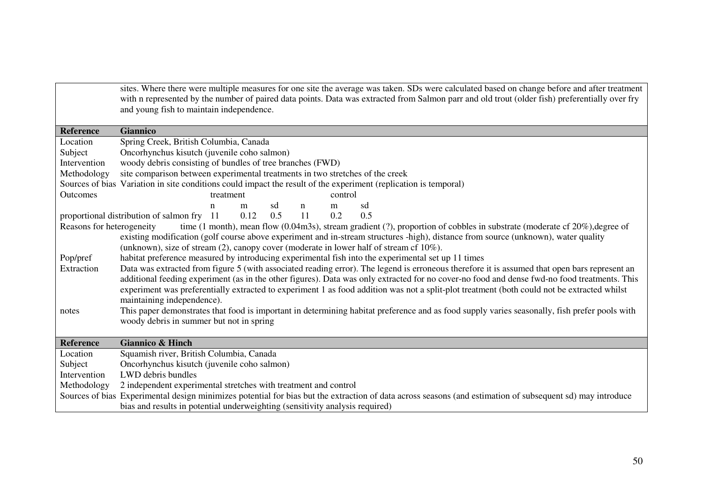|                           | sites. Where there were multiple measures for one site the average was taken. SDs were calculated based on change before and after treatment<br>with n represented by the number of paired data points. Data was extracted from Salmon parr and old trout (older fish) preferentially over fry<br>and young fish to maintain independence.                                                                                                                                 |
|---------------------------|----------------------------------------------------------------------------------------------------------------------------------------------------------------------------------------------------------------------------------------------------------------------------------------------------------------------------------------------------------------------------------------------------------------------------------------------------------------------------|
| <b>Reference</b>          | <b>Giannico</b>                                                                                                                                                                                                                                                                                                                                                                                                                                                            |
| Location                  | Spring Creek, British Columbia, Canada                                                                                                                                                                                                                                                                                                                                                                                                                                     |
| Subject                   | Oncorhynchus kisutch (juvenile coho salmon)                                                                                                                                                                                                                                                                                                                                                                                                                                |
| Intervention              | woody debris consisting of bundles of tree branches (FWD)                                                                                                                                                                                                                                                                                                                                                                                                                  |
| Methodology               | site comparison between experimental treatments in two stretches of the creek                                                                                                                                                                                                                                                                                                                                                                                              |
|                           | Sources of bias Variation in site conditions could impact the result of the experiment (replication is temporal)                                                                                                                                                                                                                                                                                                                                                           |
| Outcomes                  | control<br>treatment                                                                                                                                                                                                                                                                                                                                                                                                                                                       |
|                           | sd<br>sd<br>m<br>$\mathbf n$<br>m<br>n                                                                                                                                                                                                                                                                                                                                                                                                                                     |
|                           | 0.12<br>0.5<br>11<br>proportional distribution of salmon fry 11<br>0.2<br>0.5                                                                                                                                                                                                                                                                                                                                                                                              |
| Reasons for heterogeneity | time (1 month), mean flow (0.04m3s), stream gradient (?), proportion of cobbles in substrate (moderate cf $20\%$ ), degree of<br>existing modification (golf course above experiment and in-stream structures -high), distance from source (unknown), water quality<br>(unknown), size of stream $(2)$ , canopy cover (moderate in lower half of stream cf $10\%$ ).                                                                                                       |
| Pop/pref                  | habitat preference measured by introducing experimental fish into the experimental set up 11 times                                                                                                                                                                                                                                                                                                                                                                         |
| Extraction                | Data was extracted from figure 5 (with associated reading error). The legend is erroneous therefore it is assumed that open bars represent an<br>additional feeding experiment (as in the other figures). Data was only extracted for no cover-no food and dense fwd-no food treatments. This<br>experiment was preferentially extracted to experiment 1 as food addition was not a split-plot treatment (both could not be extracted whilst<br>maintaining independence). |
| notes                     | This paper demonstrates that food is important in determining habitat preference and as food supply varies seasonally, fish prefer pools with<br>woody debris in summer but not in spring                                                                                                                                                                                                                                                                                  |
| <b>Reference</b>          | <b>Giannico &amp; Hinch</b>                                                                                                                                                                                                                                                                                                                                                                                                                                                |
| Location                  | Squamish river, British Columbia, Canada                                                                                                                                                                                                                                                                                                                                                                                                                                   |
| Subject                   | Oncorhynchus kisutch (juvenile coho salmon)                                                                                                                                                                                                                                                                                                                                                                                                                                |
| Intervention              | LWD debris bundles                                                                                                                                                                                                                                                                                                                                                                                                                                                         |
| Methodology               | 2 independent experimental stretches with treatment and control                                                                                                                                                                                                                                                                                                                                                                                                            |
|                           | Sources of bias Experimental design minimizes potential for bias but the extraction of data across seasons (and estimation of subsequent sd) may introduce                                                                                                                                                                                                                                                                                                                 |
|                           | bias and results in potential underweighting (sensitivity analysis required)                                                                                                                                                                                                                                                                                                                                                                                               |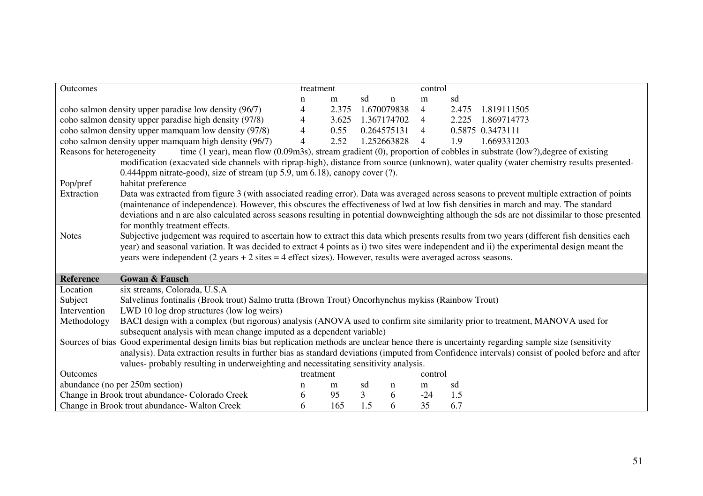| Outcomes                  |                                                                                                                                                                       | treatment      |       |                   |             | control        |                                                                                                                                                                                                                                                                                                |  |  |  |
|---------------------------|-----------------------------------------------------------------------------------------------------------------------------------------------------------------------|----------------|-------|-------------------|-------------|----------------|------------------------------------------------------------------------------------------------------------------------------------------------------------------------------------------------------------------------------------------------------------------------------------------------|--|--|--|
|                           |                                                                                                                                                                       | n              | m     | sd                | $\mathbf n$ | m              | sd                                                                                                                                                                                                                                                                                             |  |  |  |
|                           | coho salmon density upper paradise low density (96/7)                                                                                                                 | $\overline{4}$ | 2.375 |                   | 1.670079838 | $\overline{4}$ | 2.475<br>1.819111505                                                                                                                                                                                                                                                                           |  |  |  |
|                           | coho salmon density upper paradise high density (97/8)                                                                                                                | $\overline{4}$ |       | 3.625 1.367174702 |             | 4              | 2.225<br>1.869714773                                                                                                                                                                                                                                                                           |  |  |  |
|                           | coho salmon density upper mamquam low density (97/8)                                                                                                                  | $\overline{4}$ | 0.55  |                   | 0.264575131 | 4              | 0.5875 0.3473111                                                                                                                                                                                                                                                                               |  |  |  |
|                           | coho salmon density upper mamquam high density (96/7)                                                                                                                 | $\overline{4}$ | 2.52  |                   | 1.252663828 | $\overline{4}$ | 1.9<br>1.669331203                                                                                                                                                                                                                                                                             |  |  |  |
| Reasons for heterogeneity | 0.444ppm nitrate-good), size of stream (up 5.9, um 6.18), canopy cover (?).                                                                                           |                |       |                   |             |                | time $(1$ year), mean flow $(0.09 \text{m3s})$ , stream gradient $(0)$ , proportion of cobbles in substrate $(low?)$ , degree of existing<br>modification (exacvated side channels with riprap-high), distance from source (unknown), water quality (water chemistry results presented-        |  |  |  |
| Pop/pref                  | habitat preference                                                                                                                                                    |                |       |                   |             |                |                                                                                                                                                                                                                                                                                                |  |  |  |
| Extraction                | (maintenance of independence). However, this obscures the effectiveness of lwd at low fish densities in march and may. The standard<br>for monthly treatment effects. |                |       |                   |             |                | Data was extracted from figure 3 (with associated reading error). Data was averaged across seasons to prevent multiple extraction of points<br>deviations and n are also calculated across seasons resulting in potential downweighting although the sds are not dissimilar to those presented |  |  |  |
| <b>Notes</b>              | years were independent $(2 \text{ years} + 2 \text{ sites} = 4 \text{ effect sizes})$ . However, results were averaged across seasons.                                |                |       |                   |             |                | Subjective judgement was required to ascertain how to extract this data which presents results from two years (different fish densities each<br>year) and seasonal variation. It was decided to extract 4 points as i) two sites were independent and ii) the experimental design meant the    |  |  |  |
| <b>Reference</b>          | <b>Gowan &amp; Fausch</b>                                                                                                                                             |                |       |                   |             |                |                                                                                                                                                                                                                                                                                                |  |  |  |
| Location                  | six streams, Colorada, U.S.A                                                                                                                                          |                |       |                   |             |                |                                                                                                                                                                                                                                                                                                |  |  |  |
| Subject                   | Salvelinus fontinalis (Brook trout) Salmo trutta (Brown Trout) Oncorhynchus mykiss (Rainbow Trout)                                                                    |                |       |                   |             |                |                                                                                                                                                                                                                                                                                                |  |  |  |
| Intervention              | LWD 10 log drop structures (low log weirs)                                                                                                                            |                |       |                   |             |                |                                                                                                                                                                                                                                                                                                |  |  |  |
| Methodology               | BACI design with a complex (but rigorous) analysis (ANOVA used to confirm site similarity prior to treatment, MANOVA used for                                         |                |       |                   |             |                |                                                                                                                                                                                                                                                                                                |  |  |  |
|                           | subsequent analysis with mean change imputed as a dependent variable)                                                                                                 |                |       |                   |             |                |                                                                                                                                                                                                                                                                                                |  |  |  |
|                           | Sources of bias Good experimental design limits bias but replication methods are unclear hence there is uncertainty regarding sample size (sensitivity                |                |       |                   |             |                |                                                                                                                                                                                                                                                                                                |  |  |  |
|                           |                                                                                                                                                                       |                |       |                   |             |                | analysis). Data extraction results in further bias as standard deviations (imputed from Confidence intervals) consist of pooled before and after                                                                                                                                               |  |  |  |
|                           | values- probably resulting in underweighting and necessitating sensitivity analysis.                                                                                  |                |       |                   |             |                |                                                                                                                                                                                                                                                                                                |  |  |  |
| Outcomes                  |                                                                                                                                                                       | treatment      |       |                   |             | control        |                                                                                                                                                                                                                                                                                                |  |  |  |
|                           | abundance (no per 250m section)                                                                                                                                       | n              | m     | sd                | n           | m              | sd                                                                                                                                                                                                                                                                                             |  |  |  |
|                           | Change in Brook trout abundance- Colorado Creek<br>Change in Brook trout abundance- Walton Creek                                                                      | 6              | 95    | $\overline{3}$    | 6           | $-24$          | 1.5                                                                                                                                                                                                                                                                                            |  |  |  |
|                           |                                                                                                                                                                       | 6              | 165   | 1.5               | 6           | 35             | 6.7                                                                                                                                                                                                                                                                                            |  |  |  |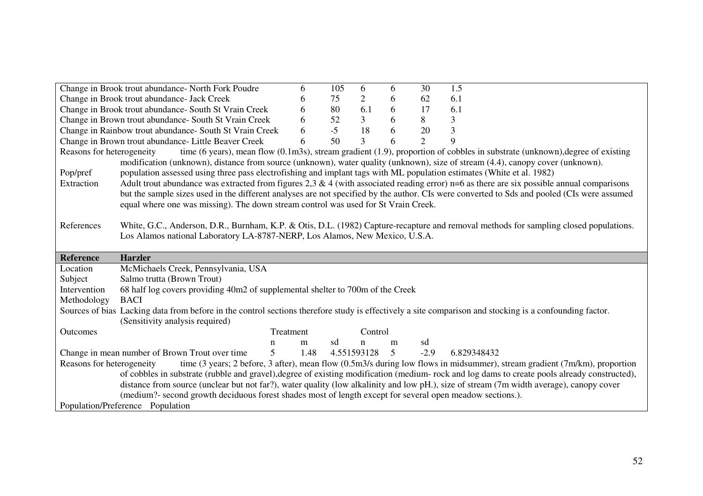|                           | Change in Brook trout abundance- North Fork Poudre                                                                                                      | 6         | 105  | 6              | 6 | 30             | 1.5                                                                                                                                           |
|---------------------------|---------------------------------------------------------------------------------------------------------------------------------------------------------|-----------|------|----------------|---|----------------|-----------------------------------------------------------------------------------------------------------------------------------------------|
|                           | Change in Brook trout abundance- Jack Creek                                                                                                             | 6         | 75   | $\overline{2}$ | 6 | 62             | 6.1                                                                                                                                           |
|                           | Change in Brook trout abundance- South St Vrain Creek                                                                                                   | 6         | 80   | 6.1            | 6 | 17             | 6.1                                                                                                                                           |
|                           | Change in Brown trout abundance- South St Vrain Creek                                                                                                   | 6         | 52   | $\mathfrak{Z}$ | 6 | 8              | 3                                                                                                                                             |
|                           | Change in Rainbow trout abundance- South St Vrain Creek                                                                                                 | 6         | $-5$ | 18             | 6 | 20             | 3                                                                                                                                             |
|                           | Change in Brown trout abundance- Little Beaver Creek                                                                                                    | 6         | 50   | 3              | 6 | $\overline{2}$ | 9                                                                                                                                             |
| Reasons for heterogeneity |                                                                                                                                                         |           |      |                |   |                | time (6 years), mean flow (0.1m3s), stream gradient $(1.9)$ , proportion of cobbles in substrate (unknown), degree of existing                |
|                           | modification (unknown), distance from source (unknown), water quality (unknown), size of stream (4.4), canopy cover (unknown).                          |           |      |                |   |                |                                                                                                                                               |
| Pop/pref                  | population assessed using three pass electrofishing and implant tags with ML population estimates (White et al. 1982)                                   |           |      |                |   |                |                                                                                                                                               |
| Extraction                |                                                                                                                                                         |           |      |                |   |                | Adult trout abundance was extracted from figures $2,3 \& 4$ (with associated reading error) n=6 as there are six possible annual comparisons  |
|                           |                                                                                                                                                         |           |      |                |   |                | but the sample sizes used in the different analyses are not specified by the author. CIs were converted to Sds and pooled (CIs were assumed   |
|                           | equal where one was missing). The down stream control was used for St Vrain Creek.                                                                      |           |      |                |   |                |                                                                                                                                               |
|                           |                                                                                                                                                         |           |      |                |   |                |                                                                                                                                               |
| References                |                                                                                                                                                         |           |      |                |   |                | White, G.C., Anderson, D.R., Burnham, K.P. & Otis, D.L. (1982) Capture-recapture and removal methods for sampling closed populations.         |
|                           | Los Alamos national Laboratory LA-8787-NERP, Los Alamos, New Mexico, U.S.A.                                                                             |           |      |                |   |                |                                                                                                                                               |
|                           |                                                                                                                                                         |           |      |                |   |                |                                                                                                                                               |
|                           |                                                                                                                                                         |           |      |                |   |                |                                                                                                                                               |
| <b>Reference</b>          | <b>Harzler</b>                                                                                                                                          |           |      |                |   |                |                                                                                                                                               |
| Location                  | McMichaels Creek, Pennsylvania, USA                                                                                                                     |           |      |                |   |                |                                                                                                                                               |
| Subject                   | Salmo trutta (Brown Trout)                                                                                                                              |           |      |                |   |                |                                                                                                                                               |
| Intervention              | 68 half log covers providing 40m2 of supplemental shelter to 700m of the Creek                                                                          |           |      |                |   |                |                                                                                                                                               |
| Methodology               | <b>BACI</b>                                                                                                                                             |           |      |                |   |                |                                                                                                                                               |
|                           | Sources of bias Lacking data from before in the control sections therefore study is effectively a site comparison and stocking is a confounding factor. |           |      |                |   |                |                                                                                                                                               |
|                           | (Sensitivity analysis required)                                                                                                                         |           |      |                |   |                |                                                                                                                                               |
| Outcomes                  |                                                                                                                                                         | Treatment |      | Control        |   |                |                                                                                                                                               |
|                           | n                                                                                                                                                       | m         | sd   | $\mathbf n$    | m | sd             |                                                                                                                                               |
|                           | $\overline{5}$<br>Change in mean number of Brown Trout over time                                                                                        | 1.48      |      | 4.551593128    | 5 | $-2.9$         | 6.829348432                                                                                                                                   |
| Reasons for heterogeneity |                                                                                                                                                         |           |      |                |   |                | time (3 years; 2 before, 3 after), mean flow (0.5m3/s during low flows in midsummer), stream gradient (7m/km), proportion                     |
|                           |                                                                                                                                                         |           |      |                |   |                | of cobbles in substrate (rubble and gravel), degree of existing modification (medium- rock and log dams to create pools already constructed), |
|                           |                                                                                                                                                         |           |      |                |   |                | distance from source (unclear but not far?), water quality (low alkalinity and low pH.), size of stream (7m width average), canopy cover      |
|                           | (medium?- second growth deciduous forest shades most of length except for several open meadow sections.).<br>Population/Preference Population           |           |      |                |   |                |                                                                                                                                               |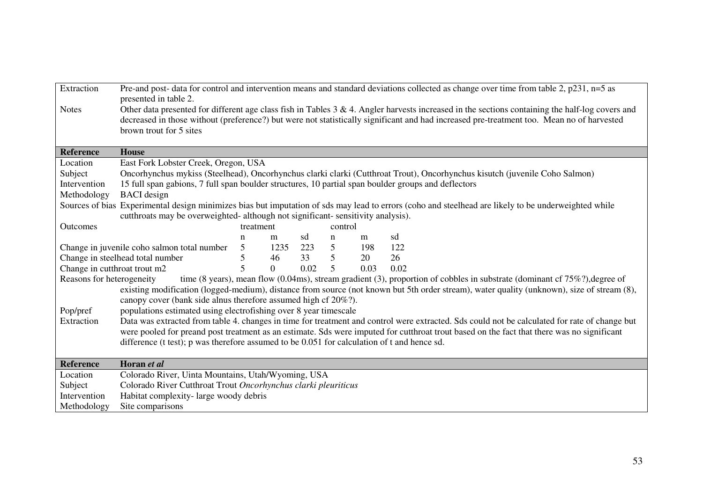| Extraction                   |                                                                                                     |                |          |      |         |      | Pre-and post- data for control and intervention means and standard deviations collected as change over time from table 2, p231, n=5 as               |
|------------------------------|-----------------------------------------------------------------------------------------------------|----------------|----------|------|---------|------|------------------------------------------------------------------------------------------------------------------------------------------------------|
|                              | presented in table 2.                                                                               |                |          |      |         |      |                                                                                                                                                      |
| <b>Notes</b>                 |                                                                                                     |                |          |      |         |      | Other data presented for different age class fish in Tables $3 \& 4$ . Angler harvests increased in the sections containing the half-log covers and  |
|                              | brown trout for 5 sites                                                                             |                |          |      |         |      | decreased in those without (preference?) but were not statistically significant and had increased pre-treatment too. Mean no of harvested            |
|                              |                                                                                                     |                |          |      |         |      |                                                                                                                                                      |
| <b>Reference</b>             | <b>House</b>                                                                                        |                |          |      |         |      |                                                                                                                                                      |
| Location                     | East Fork Lobster Creek, Oregon, USA                                                                |                |          |      |         |      |                                                                                                                                                      |
| Subject                      |                                                                                                     |                |          |      |         |      | Oncorhynchus mykiss (Steelhead), Oncorhynchus clarki clarki (Cutthroat Trout), Oncorhynchus kisutch (juvenile Coho Salmon)                           |
| Intervention                 | 15 full span gabions, 7 full span boulder structures, 10 partial span boulder groups and deflectors |                |          |      |         |      |                                                                                                                                                      |
| Methodology                  | <b>BACI</b> design                                                                                  |                |          |      |         |      |                                                                                                                                                      |
|                              |                                                                                                     |                |          |      |         |      | Sources of bias Experimental design minimizes bias but imputation of sds may lead to errors (coho and steelhead are likely to be underweighted while |
|                              | cutthroats may be overweighted- although not significant- sensitivity analysis).                    |                |          |      |         |      |                                                                                                                                                      |
| Outcomes                     |                                                                                                     | treatment      |          |      | control |      |                                                                                                                                                      |
|                              |                                                                                                     | n              | m        | sd   | n       | m    | sd                                                                                                                                                   |
|                              | Change in juvenile coho salmon total number                                                         | 5              | 1235 223 |      | 5       | 198  | 122                                                                                                                                                  |
|                              | Change in steelhead total number                                                                    | 5              | 46       | 33   | 5       | 20   | 26                                                                                                                                                   |
| Change in cutthroat trout m2 |                                                                                                     | $\overline{5}$ | $\Omega$ | 0.02 | 5       | 0.03 | 0.02                                                                                                                                                 |
| Reasons for heterogeneity    |                                                                                                     |                |          |      |         |      | time (8 years), mean flow (0.04ms), stream gradient (3), proportion of cobbles in substrate (dominant cf $75\%$ ?), degree of                        |
|                              |                                                                                                     |                |          |      |         |      | existing modification (logged-medium), distance from source (not known but 5th order stream), water quality (unknown), size of stream (8),           |
|                              | canopy cover (bank side alnus therefore assumed high cf 20%?).                                      |                |          |      |         |      |                                                                                                                                                      |
| Pop/pref                     | populations estimated using electrofishing over 8 year timescale                                    |                |          |      |         |      |                                                                                                                                                      |
| Extraction                   |                                                                                                     |                |          |      |         |      | Data was extracted from table 4. changes in time for treatment and control were extracted. Sds could not be calculated for rate of change but        |
|                              |                                                                                                     |                |          |      |         |      | were pooled for preand post treatment as an estimate. Sds were imputed for cutthroat trout based on the fact that there was no significant           |
|                              | difference (t test); p was therefore assumed to be $0.051$ for calculation of t and hence sd.       |                |          |      |         |      |                                                                                                                                                      |
| <b>Reference</b>             | Horan et al                                                                                         |                |          |      |         |      |                                                                                                                                                      |
| Location                     | Colorado River, Uinta Mountains, Utah/Wyoming, USA                                                  |                |          |      |         |      |                                                                                                                                                      |
| Subject                      | Colorado River Cutthroat Trout Oncorhynchus clarki pleuriticus                                      |                |          |      |         |      |                                                                                                                                                      |
| Intervention                 | Habitat complexity-large woody debris                                                               |                |          |      |         |      |                                                                                                                                                      |
| Methodology                  | Site comparisons                                                                                    |                |          |      |         |      |                                                                                                                                                      |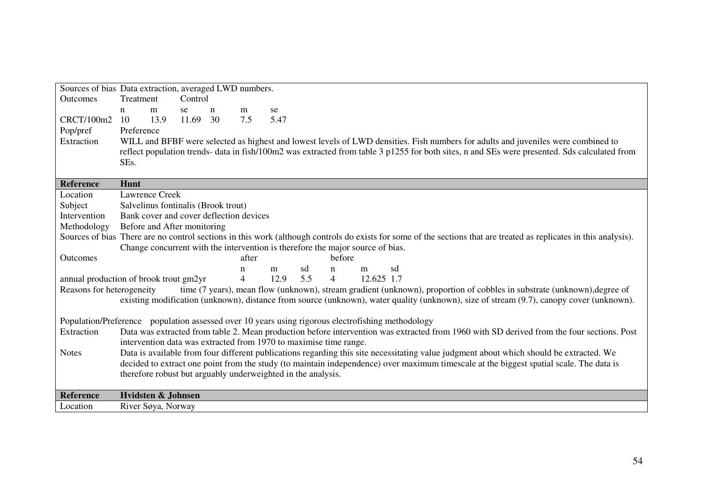| Sources of bias Data extraction, averaged LWD numbers.                                                                                                             |                                                                                |      |          |              |                |      |     |                |            |    |                                                                                                                                         |  |  |                                                                                                                                              |
|--------------------------------------------------------------------------------------------------------------------------------------------------------------------|--------------------------------------------------------------------------------|------|----------|--------------|----------------|------|-----|----------------|------------|----|-----------------------------------------------------------------------------------------------------------------------------------------|--|--|----------------------------------------------------------------------------------------------------------------------------------------------|
| <b>Outcomes</b>                                                                                                                                                    | Treatment                                                                      |      | Control  |              |                |      |     |                |            |    |                                                                                                                                         |  |  |                                                                                                                                              |
|                                                                                                                                                                    | m<br>n                                                                         |      | se       | $\mathbf{n}$ | m              | se   |     |                |            |    |                                                                                                                                         |  |  |                                                                                                                                              |
| CRCT/100m2                                                                                                                                                         | 10                                                                             | 13.9 | 11.69 30 |              | 7.5            | 5.47 |     |                |            |    |                                                                                                                                         |  |  |                                                                                                                                              |
| Pop/pref                                                                                                                                                           | Preference                                                                     |      |          |              |                |      |     |                |            |    |                                                                                                                                         |  |  |                                                                                                                                              |
| Extraction                                                                                                                                                         |                                                                                |      |          |              |                |      |     |                |            |    | WILL and BFBF were selected as highest and lowest levels of LWD densities. Fish numbers for adults and juveniles were combined to       |  |  |                                                                                                                                              |
|                                                                                                                                                                    |                                                                                |      |          |              |                |      |     |                |            |    |                                                                                                                                         |  |  | reflect population trends- data in fish/100m2 was extracted from table 3 p1255 for both sites, n and SEs were presented. Sds calculated from |
|                                                                                                                                                                    | SEs.                                                                           |      |          |              |                |      |     |                |            |    |                                                                                                                                         |  |  |                                                                                                                                              |
|                                                                                                                                                                    |                                                                                |      |          |              |                |      |     |                |            |    |                                                                                                                                         |  |  |                                                                                                                                              |
| <b>Reference</b>                                                                                                                                                   | Hunt                                                                           |      |          |              |                |      |     |                |            |    |                                                                                                                                         |  |  |                                                                                                                                              |
| Location                                                                                                                                                           | <b>Lawrence Creek</b>                                                          |      |          |              |                |      |     |                |            |    |                                                                                                                                         |  |  |                                                                                                                                              |
| Subject                                                                                                                                                            | Salvelinus fontinalis (Brook trout)                                            |      |          |              |                |      |     |                |            |    |                                                                                                                                         |  |  |                                                                                                                                              |
| Intervention                                                                                                                                                       | Bank cover and cover deflection devices                                        |      |          |              |                |      |     |                |            |    |                                                                                                                                         |  |  |                                                                                                                                              |
| Methodology                                                                                                                                                        | Before and After monitoring                                                    |      |          |              |                |      |     |                |            |    |                                                                                                                                         |  |  |                                                                                                                                              |
| Sources of bias There are no control sections in this work (although controls do exists for some of the sections that are treated as replicates in this analysis). |                                                                                |      |          |              |                |      |     |                |            |    |                                                                                                                                         |  |  |                                                                                                                                              |
|                                                                                                                                                                    | Change concurrent with the intervention is therefore the major source of bias. |      |          |              |                |      |     |                |            |    |                                                                                                                                         |  |  |                                                                                                                                              |
| <b>Outcomes</b>                                                                                                                                                    |                                                                                |      |          |              | after          |      |     | before         |            |    |                                                                                                                                         |  |  |                                                                                                                                              |
|                                                                                                                                                                    |                                                                                |      |          |              | $\mathbf n$    | m    | sd  | $\mathbf n$    | m          | sd |                                                                                                                                         |  |  |                                                                                                                                              |
| annual production of brook trout gm2yr                                                                                                                             |                                                                                |      |          |              | $\overline{4}$ | 12.9 | 5.5 | $\overline{4}$ | 12.625 1.7 |    |                                                                                                                                         |  |  |                                                                                                                                              |
| Reasons for heterogeneity                                                                                                                                          |                                                                                |      |          |              |                |      |     |                |            |    |                                                                                                                                         |  |  | time (7 years), mean flow (unknown), stream gradient (unknown), proportion of cobbles in substrate (unknown), degree of                      |
|                                                                                                                                                                    |                                                                                |      |          |              |                |      |     |                |            |    |                                                                                                                                         |  |  | existing modification (unknown), distance from source (unknown), water quality (unknown), size of stream (9.7), canopy cover (unknown).      |
|                                                                                                                                                                    |                                                                                |      |          |              |                |      |     |                |            |    |                                                                                                                                         |  |  |                                                                                                                                              |
| Population/Preference population assessed over 10 years using rigorous electrofishing methodology                                                                  |                                                                                |      |          |              |                |      |     |                |            |    |                                                                                                                                         |  |  |                                                                                                                                              |
| Extraction                                                                                                                                                         |                                                                                |      |          |              |                |      |     |                |            |    |                                                                                                                                         |  |  | Data was extracted from table 2. Mean production before intervention was extracted from 1960 with SD derived from the four sections. Post    |
|                                                                                                                                                                    | intervention data was extracted from 1970 to maximise time range.              |      |          |              |                |      |     |                |            |    |                                                                                                                                         |  |  |                                                                                                                                              |
| <b>Notes</b>                                                                                                                                                       |                                                                                |      |          |              |                |      |     |                |            |    | Data is available from four different publications regarding this site necessitating value judgment about which should be extracted. We |  |  |                                                                                                                                              |
|                                                                                                                                                                    |                                                                                |      |          |              |                |      |     |                |            |    | decided to extract one point from the study (to maintain independence) over maximum timescale at the biggest spatial scale. The data is |  |  |                                                                                                                                              |
|                                                                                                                                                                    | therefore robust but arguably underweighted in the analysis.                   |      |          |              |                |      |     |                |            |    |                                                                                                                                         |  |  |                                                                                                                                              |
| <b>Reference</b>                                                                                                                                                   | Hvidsten & Johnsen                                                             |      |          |              |                |      |     |                |            |    |                                                                                                                                         |  |  |                                                                                                                                              |
| Location                                                                                                                                                           | River Søya, Norway                                                             |      |          |              |                |      |     |                |            |    |                                                                                                                                         |  |  |                                                                                                                                              |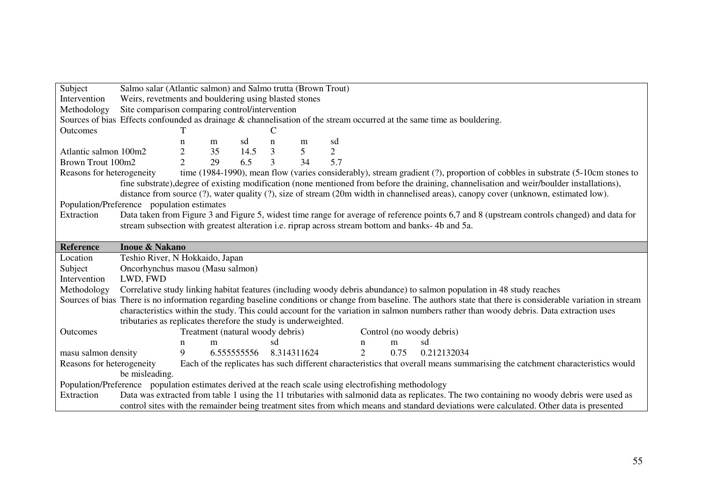| Subject                   | Salmo salar (Atlantic salmon) and Salmo trutta (Brown Trout)                                                           |                                                       |                                  |             |    |                 |                |                |      |                                                                                                                                                                 |
|---------------------------|------------------------------------------------------------------------------------------------------------------------|-------------------------------------------------------|----------------------------------|-------------|----|-----------------|----------------|----------------|------|-----------------------------------------------------------------------------------------------------------------------------------------------------------------|
| Intervention              |                                                                                                                        | Weirs, revetments and bouldering using blasted stones |                                  |             |    |                 |                |                |      |                                                                                                                                                                 |
| Methodology               | Site comparison comparing control/intervention                                                                         |                                                       |                                  |             |    |                 |                |                |      |                                                                                                                                                                 |
|                           | Sources of bias Effects confounded as drainage & channelisation of the stream occurred at the same time as bouldering. |                                                       |                                  |             |    |                 |                |                |      |                                                                                                                                                                 |
| Outcomes                  |                                                                                                                        |                                                       |                                  |             |    |                 |                |                |      |                                                                                                                                                                 |
|                           |                                                                                                                        | n                                                     | m                                | sd          | n  | m               | sd             |                |      |                                                                                                                                                                 |
| Atlantic salmon 100m2     |                                                                                                                        | $\overline{c}$                                        | 35                               | 14.5        | 3  | $5\overline{)}$ | $\overline{2}$ |                |      |                                                                                                                                                                 |
| Brown Trout 100m2         |                                                                                                                        | $\overline{2}$                                        | 29                               | 6.5         | 3  | 34              | 5.7            |                |      |                                                                                                                                                                 |
| Reasons for heterogeneity |                                                                                                                        |                                                       |                                  |             |    |                 |                |                |      | time (1984-1990), mean flow (varies considerably), stream gradient (?), proportion of cobbles in substrate (5-10cm stones to                                    |
|                           |                                                                                                                        |                                                       |                                  |             |    |                 |                |                |      | fine substrate), degree of existing modification (none mentioned from before the draining, channelisation and weir/boulder installations),                      |
|                           |                                                                                                                        |                                                       |                                  |             |    |                 |                |                |      | distance from source (?), water quality (?), size of stream (20m width in channelised areas), canopy cover (unknown, estimated low).                            |
|                           | Population/Preference population estimates                                                                             |                                                       |                                  |             |    |                 |                |                |      |                                                                                                                                                                 |
| Extraction                |                                                                                                                        |                                                       |                                  |             |    |                 |                |                |      | Data taken from Figure 3 and Figure 5, widest time range for average of reference points 6,7 and 8 (upstream controls changed) and data for                     |
|                           |                                                                                                                        |                                                       |                                  |             |    |                 |                |                |      | stream subsection with greatest alteration <i>i.e.</i> riprap across stream bottom and banks- 4b and 5a.                                                        |
|                           |                                                                                                                        |                                                       |                                  |             |    |                 |                |                |      |                                                                                                                                                                 |
| <b>Reference</b>          | <b>Inoue &amp; Nakano</b>                                                                                              |                                                       |                                  |             |    |                 |                |                |      |                                                                                                                                                                 |
| Location                  | Teshio River, N Hokkaido, Japan                                                                                        |                                                       |                                  |             |    |                 |                |                |      |                                                                                                                                                                 |
| Subject                   | Oncorhynchus masou (Masu salmon)                                                                                       |                                                       |                                  |             |    |                 |                |                |      |                                                                                                                                                                 |
| Intervention              | LWD, FWD                                                                                                               |                                                       |                                  |             |    |                 |                |                |      |                                                                                                                                                                 |
| Methodology               |                                                                                                                        |                                                       |                                  |             |    |                 |                |                |      | Correlative study linking habitat features (including woody debris abundance) to salmon population in 48 study reaches                                          |
|                           |                                                                                                                        |                                                       |                                  |             |    |                 |                |                |      | Sources of bias There is no information regarding baseline conditions or change from baseline. The authors state that there is considerable variation in stream |
|                           |                                                                                                                        |                                                       |                                  |             |    |                 |                |                |      | characteristics within the study. This could account for the variation in salmon numbers rather than woody debris. Data extraction uses                         |
|                           | tributaries as replicates therefore the study is underweighted.                                                        |                                                       |                                  |             |    |                 |                |                |      |                                                                                                                                                                 |
| Outcomes                  |                                                                                                                        |                                                       | Treatment (natural woody debris) |             |    |                 |                |                |      | Control (no woody debris)                                                                                                                                       |
|                           |                                                                                                                        | n                                                     | m                                |             | sd |                 |                | n              | m    | sd                                                                                                                                                              |
| masu salmon density       |                                                                                                                        | 9                                                     |                                  | 6.555555556 |    | 8.314311624     |                | $\overline{2}$ | 0.75 | 0.212132034                                                                                                                                                     |
| Reasons for heterogeneity |                                                                                                                        |                                                       |                                  |             |    |                 |                |                |      | Each of the replicates has such different characteristics that overall means summarising the catchment characteristics would                                    |
|                           | be misleading.                                                                                                         |                                                       |                                  |             |    |                 |                |                |      |                                                                                                                                                                 |
|                           |                                                                                                                        |                                                       |                                  |             |    |                 |                |                |      |                                                                                                                                                                 |
|                           | Population/Preference population estimates derived at the reach scale using electrofishing methodology                 |                                                       |                                  |             |    |                 |                |                |      |                                                                                                                                                                 |
| Extraction                |                                                                                                                        |                                                       |                                  |             |    |                 |                |                |      | Data was extracted from table 1 using the 11 tributaries with salmonid data as replicates. The two containing no woody debris were used as                      |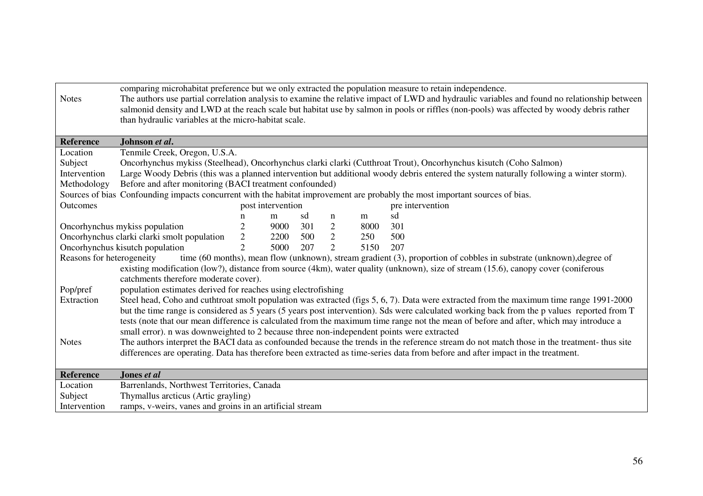| <b>Notes</b>              | than hydraulic variables at the micro-habitat scale.                                                   |                |                   |     |                |      | comparing microhabitat preference but we only extracted the population measure to retain independence.<br>The authors use partial correlation analysis to examine the relative impact of LWD and hydraulic variables and found no relationship between<br>salmonid density and LWD at the reach scale but habitat use by salmon in pools or riffles (non-pools) was affected by woody debris rather |
|---------------------------|--------------------------------------------------------------------------------------------------------|----------------|-------------------|-----|----------------|------|-----------------------------------------------------------------------------------------------------------------------------------------------------------------------------------------------------------------------------------------------------------------------------------------------------------------------------------------------------------------------------------------------------|
|                           |                                                                                                        |                |                   |     |                |      |                                                                                                                                                                                                                                                                                                                                                                                                     |
| Reference                 | Johnson et al.                                                                                         |                |                   |     |                |      |                                                                                                                                                                                                                                                                                                                                                                                                     |
| Location                  | Tenmile Creek, Oregon, U.S.A.                                                                          |                |                   |     |                |      |                                                                                                                                                                                                                                                                                                                                                                                                     |
| Subject                   |                                                                                                        |                |                   |     |                |      | Oncorhynchus mykiss (Steelhead), Oncorhynchus clarki clarki (Cutthroat Trout), Oncorhynchus kisutch (Coho Salmon)                                                                                                                                                                                                                                                                                   |
| Intervention              |                                                                                                        |                |                   |     |                |      | Large Woody Debris (this was a planned intervention but additional woody debris entered the system naturally following a winter storm).                                                                                                                                                                                                                                                             |
| Methodology               | Before and after monitoring (BACI treatment confounded)                                                |                |                   |     |                |      |                                                                                                                                                                                                                                                                                                                                                                                                     |
|                           |                                                                                                        |                |                   |     |                |      | Sources of bias Confounding impacts concurrent with the habitat improvement are probably the most important sources of bias.                                                                                                                                                                                                                                                                        |
| Outcomes                  |                                                                                                        |                | post intervention |     |                |      | pre intervention                                                                                                                                                                                                                                                                                                                                                                                    |
|                           |                                                                                                        | n              | m                 | sd  | n              | m    | sd                                                                                                                                                                                                                                                                                                                                                                                                  |
|                           | Oncorhynchus mykiss population                                                                         | $\mathfrak{2}$ | 9000              | 301 | 2              | 8000 | 301                                                                                                                                                                                                                                                                                                                                                                                                 |
|                           | Oncorhynchus clarki clarki smolt population                                                            | $\overline{2}$ | 2200 500          |     | 2              | 250  | 500                                                                                                                                                                                                                                                                                                                                                                                                 |
|                           | Oncorhynchus kisutch population                                                                        | $\overline{2}$ | 5000              | 207 | $\overline{2}$ | 5150 | 207                                                                                                                                                                                                                                                                                                                                                                                                 |
| Reasons for heterogeneity |                                                                                                        |                |                   |     |                |      | time (60 months), mean flow (unknown), stream gradient (3), proportion of cobbles in substrate (unknown), degree of                                                                                                                                                                                                                                                                                 |
|                           |                                                                                                        |                |                   |     |                |      | existing modification (low?), distance from source (4km), water quality (unknown), size of stream (15.6), canopy cover (coniferous                                                                                                                                                                                                                                                                  |
| Pop/pref                  | catchments therefore moderate cover).<br>population estimates derived for reaches using electrofishing |                |                   |     |                |      |                                                                                                                                                                                                                                                                                                                                                                                                     |
| Extraction                |                                                                                                        |                |                   |     |                |      | Steel head, Coho and cuthtroat smolt population was extracted (figs 5, 6, 7). Data were extracted from the maximum time range 1991-2000                                                                                                                                                                                                                                                             |
|                           |                                                                                                        |                |                   |     |                |      | but the time range is considered as 5 years (5 years post intervention). Sds were calculated working back from the p values reported from T                                                                                                                                                                                                                                                         |
|                           |                                                                                                        |                |                   |     |                |      | tests (note that our mean difference is calculated from the maximum time range not the mean of before and after, which may introduce a                                                                                                                                                                                                                                                              |
|                           | small error). n was downweighted to 2 because three non-independent points were extracted              |                |                   |     |                |      |                                                                                                                                                                                                                                                                                                                                                                                                     |
| <b>Notes</b>              |                                                                                                        |                |                   |     |                |      | The authors interpret the BACI data as confounded because the trends in the reference stream do not match those in the treatment- thus site                                                                                                                                                                                                                                                         |
|                           |                                                                                                        |                |                   |     |                |      | differences are operating. Data has therefore been extracted as time-series data from before and after impact in the treatment.                                                                                                                                                                                                                                                                     |
|                           |                                                                                                        |                |                   |     |                |      |                                                                                                                                                                                                                                                                                                                                                                                                     |
| <b>Reference</b>          | Jones et al                                                                                            |                |                   |     |                |      |                                                                                                                                                                                                                                                                                                                                                                                                     |
| Location                  | Barrenlands, Northwest Territories, Canada                                                             |                |                   |     |                |      |                                                                                                                                                                                                                                                                                                                                                                                                     |
| Subject                   | Thymallus arcticus (Artic grayling)                                                                    |                |                   |     |                |      |                                                                                                                                                                                                                                                                                                                                                                                                     |
| Intervention              | ramps, v-weirs, vanes and groins in an artificial stream                                               |                |                   |     |                |      |                                                                                                                                                                                                                                                                                                                                                                                                     |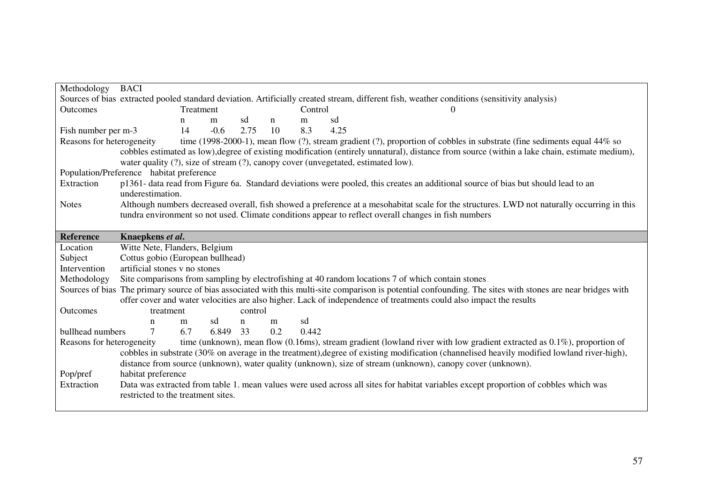| Methodology               | <b>BACI</b>                              |           |          |         |             |         |                                                                                                                                                             |
|---------------------------|------------------------------------------|-----------|----------|---------|-------------|---------|-------------------------------------------------------------------------------------------------------------------------------------------------------------|
|                           |                                          |           |          |         |             |         | Sources of bias extracted pooled standard deviation. Artificially created stream, different fish, weather conditions (sensitivity analysis)                 |
| Outcomes                  |                                          | Treatment |          |         |             | Control |                                                                                                                                                             |
|                           |                                          | n         | m        | sd      | $\mathbf n$ | m       | sd                                                                                                                                                          |
| Fish number per m-3       |                                          | 14        | $-0.6$   | 2.75    | 10          | 8.3     | 4.25                                                                                                                                                        |
| Reasons for heterogeneity |                                          |           |          |         |             |         | time (1998-2000-1), mean flow (?), stream gradient (?), proportion of cobbles in substrate (fine sediments equal 44% so                                     |
|                           |                                          |           |          |         |             |         | cobbles estimated as low), degree of existing modification (entirely unnatural), distance from source (within a lake chain, estimate medium),               |
|                           |                                          |           |          |         |             |         | water quality (?), size of stream (?), canopy cover (unvegetated, estimated low).                                                                           |
|                           | Population/Preference habitat preference |           |          |         |             |         |                                                                                                                                                             |
| Extraction                | underestimation.                         |           |          |         |             |         | p1361- data read from Figure 6a. Standard deviations were pooled, this creates an additional source of bias but should lead to an                           |
| <b>Notes</b>              |                                          |           |          |         |             |         | Although numbers decreased overall, fish showed a preference at a mesohabitat scale for the structures. LWD not naturally occurring in this                 |
|                           |                                          |           |          |         |             |         | tundra environment so not used. Climate conditions appear to reflect overall changes in fish numbers                                                        |
|                           |                                          |           |          |         |             |         |                                                                                                                                                             |
| <b>Reference</b>          | Knaepkens et al.                         |           |          |         |             |         |                                                                                                                                                             |
| Location                  | Witte Nete, Flanders, Belgium            |           |          |         |             |         |                                                                                                                                                             |
|                           |                                          |           |          |         |             |         |                                                                                                                                                             |
| Subject                   | Cottus gobio (European bullhead)         |           |          |         |             |         |                                                                                                                                                             |
| Intervention              | artificial stones v no stones            |           |          |         |             |         |                                                                                                                                                             |
| Methodology               |                                          |           |          |         |             |         | Site comparisons from sampling by electrofishing at 40 random locations 7 of which contain stones                                                           |
|                           |                                          |           |          |         |             |         | Sources of bias The primary source of bias associated with this multi-site comparison is potential confounding. The sites with stones are near bridges with |
|                           |                                          |           |          |         |             |         | offer cover and water velocities are also higher. Lack of independence of treatments could also impact the results                                          |
| <b>Outcomes</b>           | treatment                                |           |          | control |             |         |                                                                                                                                                             |
|                           | n                                        | m         | sd       | n       | m           | sd      |                                                                                                                                                             |
| bullhead numbers          | 7                                        | 6.7       | 6.849 33 |         | 0.2         | 0.442   |                                                                                                                                                             |
| Reasons for heterogeneity |                                          |           |          |         |             |         | time (unknown), mean flow (0.16ms), stream gradient (lowland river with low gradient extracted as $0.1\%$ ), proportion of                                  |
|                           |                                          |           |          |         |             |         | cobbles in substrate (30% on average in the treatment), degree of existing modification (channelised heavily modified lowland river-high),                  |
|                           |                                          |           |          |         |             |         | distance from source (unknown), water quality (unknown), size of stream (unknown), canopy cover (unknown).                                                  |
| Pop/pref                  | habitat preference                       |           |          |         |             |         |                                                                                                                                                             |
| Extraction                |                                          |           |          |         |             |         | Data was extracted from table 1. mean values were used across all sites for habitat variables except proportion of cobbles which was                        |
|                           | restricted to the treatment sites.       |           |          |         |             |         |                                                                                                                                                             |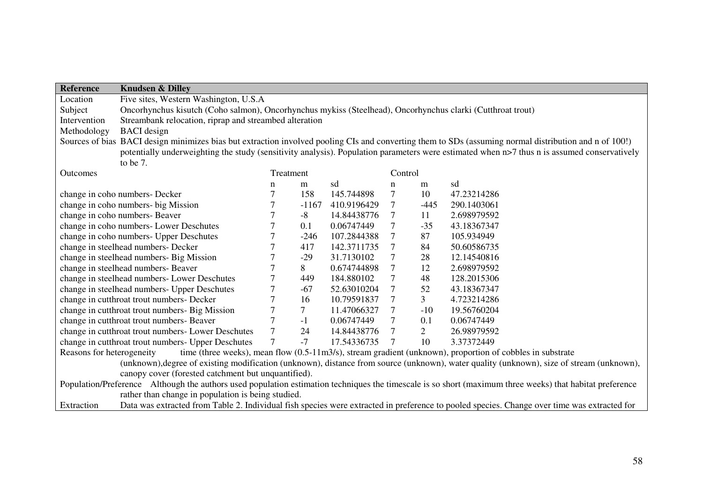| <b>Reference</b>          | <b>Knudsen &amp; Dilley</b>                                                                                                                 |                  |                 |             |                 |                |                                                                                                                                                          |  |  |  |
|---------------------------|---------------------------------------------------------------------------------------------------------------------------------------------|------------------|-----------------|-------------|-----------------|----------------|----------------------------------------------------------------------------------------------------------------------------------------------------------|--|--|--|
| Location                  | Five sites, Western Washington, U.S.A                                                                                                       |                  |                 |             |                 |                |                                                                                                                                                          |  |  |  |
| Subject                   | Oncorhynchus kisutch (Coho salmon), Oncorhynchus mykiss (Steelhead), Oncorhynchus clarki (Cutthroat trout)                                  |                  |                 |             |                 |                |                                                                                                                                                          |  |  |  |
| Intervention              | Streambank relocation, riprap and streambed alteration                                                                                      |                  |                 |             |                 |                |                                                                                                                                                          |  |  |  |
| Methodology               | <b>BACI</b> design                                                                                                                          |                  |                 |             |                 |                |                                                                                                                                                          |  |  |  |
|                           |                                                                                                                                             |                  |                 |             |                 |                | Sources of bias BACI design minimizes bias but extraction involved pooling CIs and converting them to SDs (assuming normal distribution and n of 100!)   |  |  |  |
|                           | potentially underweighting the study (sensitivity analysis). Population parameters were estimated when n>7 thus n is assumed conservatively |                  |                 |             |                 |                |                                                                                                                                                          |  |  |  |
|                           | to be 7.                                                                                                                                    |                  |                 |             |                 |                |                                                                                                                                                          |  |  |  |
| Outcomes                  |                                                                                                                                             |                  | Treatment       |             | Control         |                |                                                                                                                                                          |  |  |  |
|                           |                                                                                                                                             | $\mathbf n$      | m               | sd          | n               | m              | sd                                                                                                                                                       |  |  |  |
|                           | change in coho numbers- Decker                                                                                                              | $\overline{7}$   | 158             | 145.744898  | 7               | 10             | 47.23214286                                                                                                                                              |  |  |  |
|                           | change in coho numbers- big Mission                                                                                                         | 7                | $-1167$         | 410.9196429 | $\tau$          | $-445$         | 290.1403061                                                                                                                                              |  |  |  |
|                           | change in coho numbers- Beaver                                                                                                              | 7                | $-8$            | 14.84438776 | 7               | 11             | 2.698979592                                                                                                                                              |  |  |  |
|                           | change in coho numbers- Lower Deschutes                                                                                                     | $\overline{7}$   | 0.1             | 0.06747449  | $\overline{7}$  | $-35$          | 43.18367347                                                                                                                                              |  |  |  |
|                           | change in coho numbers- Upper Deschutes                                                                                                     | $\tau$           | $-246$          | 107.2844388 | $\overline{7}$  | 87             | 105.934949                                                                                                                                               |  |  |  |
|                           | change in steelhead numbers- Decker                                                                                                         |                  | 417             | 142.3711735 | $\overline{7}$  | 84             | 50.60586735                                                                                                                                              |  |  |  |
|                           | change in steelhead numbers- Big Mission                                                                                                    | $\boldsymbol{7}$ | $-29$           | 31.7130102  | $\tau$          | 28             | 12.14540816                                                                                                                                              |  |  |  |
|                           | change in steelhead numbers- Beaver                                                                                                         | $\overline{7}$   | 8               | 0.674744898 | $\overline{7}$  | 12             | 2.698979592                                                                                                                                              |  |  |  |
|                           | change in steelhead numbers- Lower Deschutes                                                                                                | $\overline{7}$   | 449             | 184.880102  | $\overline{7}$  | 48             | 128.2015306                                                                                                                                              |  |  |  |
|                           | change in steelhead numbers- Upper Deschutes                                                                                                | $\tau$           | $-67$           | 52.63010204 | $\tau$          | 52             | 43.18367347                                                                                                                                              |  |  |  |
|                           | change in cutthroat trout numbers- Decker                                                                                                   | $\overline{7}$   | 16              | 10.79591837 | 7               | 3 <sup>7</sup> | 4.723214286                                                                                                                                              |  |  |  |
|                           | change in cutthroat trout numbers- Big Mission                                                                                              | $\tau$           | $7\overline{ }$ | 11.47066327 | $7\phantom{.0}$ | $-10$          | 19.56760204                                                                                                                                              |  |  |  |
|                           | change in cutthroat trout numbers- Beaver                                                                                                   | $\overline{7}$   | $-1$            | 0.06747449  | $\tau$          | 0.1            | 0.06747449                                                                                                                                               |  |  |  |
|                           | change in cutthroat trout numbers- Lower Deschutes                                                                                          | $\overline{7}$   | 24              | 14.84438776 | $\overline{7}$  | $\overline{2}$ | 26.98979592                                                                                                                                              |  |  |  |
|                           | change in cutthroat trout numbers- Upper Deschutes                                                                                          | $\overline{7}$   | $-7$            | 17.54336735 | $7\phantom{.0}$ | 10             | 3.37372449                                                                                                                                               |  |  |  |
| Reasons for heterogeneity |                                                                                                                                             |                  |                 |             |                 |                | time (three weeks), mean flow $(0.5{\text -}11 \text{m}3/\text{s})$ , stream gradient (unknown), proportion of cobbles in substrate                      |  |  |  |
|                           |                                                                                                                                             |                  |                 |             |                 |                | (unknown), degree of existing modification (unknown), distance from source (unknown), water quality (unknown), size of stream (unknown),                 |  |  |  |
|                           | canopy cover (forested catchment but unquantified).                                                                                         |                  |                 |             |                 |                |                                                                                                                                                          |  |  |  |
|                           |                                                                                                                                             |                  |                 |             |                 |                | Population/Preference Although the authors used population estimation techniques the timescale is so short (maximum three weeks) that habitat preference |  |  |  |
|                           | rather than change in population is being studied.                                                                                          |                  |                 |             |                 |                |                                                                                                                                                          |  |  |  |
| Extraction                |                                                                                                                                             |                  |                 |             |                 |                | Data was extracted from Table 2. Individual fish species were extracted in preference to pooled species. Change over time was extracted for              |  |  |  |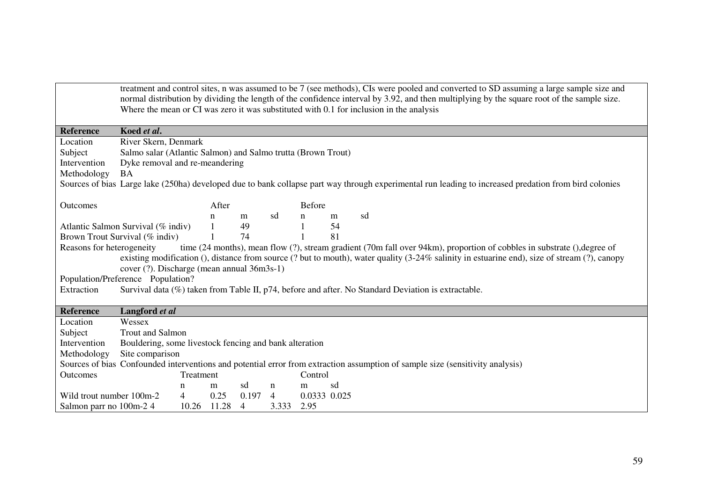|                          | treatment and control sites, n was assumed to be 7 (see methods), CIs were pooled and converted to SD assuming a large sample size and<br>normal distribution by dividing the length of the confidence interval by 3.92, and then multiplying by the square root of the sample size.                                                               |                                                                                         |             |                |                |               |    |                                                                                                                               |  |  |  |  |
|--------------------------|----------------------------------------------------------------------------------------------------------------------------------------------------------------------------------------------------------------------------------------------------------------------------------------------------------------------------------------------------|-----------------------------------------------------------------------------------------|-------------|----------------|----------------|---------------|----|-------------------------------------------------------------------------------------------------------------------------------|--|--|--|--|
|                          |                                                                                                                                                                                                                                                                                                                                                    | Where the mean or CI was zero it was substituted with 0.1 for inclusion in the analysis |             |                |                |               |    |                                                                                                                               |  |  |  |  |
|                          |                                                                                                                                                                                                                                                                                                                                                    |                                                                                         |             |                |                |               |    |                                                                                                                               |  |  |  |  |
| <b>Reference</b>         | Koed et al.                                                                                                                                                                                                                                                                                                                                        |                                                                                         |             |                |                |               |    |                                                                                                                               |  |  |  |  |
| Location                 |                                                                                                                                                                                                                                                                                                                                                    | River Skern, Denmark                                                                    |             |                |                |               |    |                                                                                                                               |  |  |  |  |
| Subject                  | Salmo salar (Atlantic Salmon) and Salmo trutta (Brown Trout)                                                                                                                                                                                                                                                                                       |                                                                                         |             |                |                |               |    |                                                                                                                               |  |  |  |  |
| Intervention             | Dyke removal and re-meandering                                                                                                                                                                                                                                                                                                                     |                                                                                         |             |                |                |               |    |                                                                                                                               |  |  |  |  |
| Methodology              | <b>BA</b>                                                                                                                                                                                                                                                                                                                                          |                                                                                         |             |                |                |               |    |                                                                                                                               |  |  |  |  |
|                          | Sources of bias Large lake (250ha) developed due to bank collapse part way through experimental run leading to increased predation from bird colonies                                                                                                                                                                                              |                                                                                         |             |                |                |               |    |                                                                                                                               |  |  |  |  |
| Outcomes                 |                                                                                                                                                                                                                                                                                                                                                    |                                                                                         | After       |                |                | <b>Before</b> |    |                                                                                                                               |  |  |  |  |
|                          |                                                                                                                                                                                                                                                                                                                                                    |                                                                                         | n           | m              | sd             | n             | m  | sd                                                                                                                            |  |  |  |  |
|                          | Atlantic Salmon Survival (% indiv)                                                                                                                                                                                                                                                                                                                 |                                                                                         |             | 49             |                |               | 54 |                                                                                                                               |  |  |  |  |
|                          | Brown Trout Survival (% indiv)                                                                                                                                                                                                                                                                                                                     |                                                                                         |             | 74             |                |               | 81 |                                                                                                                               |  |  |  |  |
|                          | Reasons for heterogeneity<br>time (24 months), mean flow (?), stream gradient (70m fall over 94km), proportion of cobbles in substrate (), degree of<br>existing modification (), distance from source (? but to mouth), water quality (3-24% salinity in estuarine end), size of stream (?), canopy<br>cover (?). Discharge (mean annual 36m3s-1) |                                                                                         |             |                |                |               |    |                                                                                                                               |  |  |  |  |
|                          | Population/Preference Population?                                                                                                                                                                                                                                                                                                                  |                                                                                         |             |                |                |               |    |                                                                                                                               |  |  |  |  |
| Extraction               |                                                                                                                                                                                                                                                                                                                                                    |                                                                                         |             |                |                |               |    | Survival data (%) taken from Table II, p74, before and after. No Standard Deviation is extractable.                           |  |  |  |  |
|                          |                                                                                                                                                                                                                                                                                                                                                    |                                                                                         |             |                |                |               |    |                                                                                                                               |  |  |  |  |
| Reference                | Langford et al                                                                                                                                                                                                                                                                                                                                     |                                                                                         |             |                |                |               |    |                                                                                                                               |  |  |  |  |
| Location                 | Wessex                                                                                                                                                                                                                                                                                                                                             |                                                                                         |             |                |                |               |    |                                                                                                                               |  |  |  |  |
| Subject                  | <b>Trout and Salmon</b>                                                                                                                                                                                                                                                                                                                            |                                                                                         |             |                |                |               |    |                                                                                                                               |  |  |  |  |
| Intervention             | Bouldering, some livestock fencing and bank alteration                                                                                                                                                                                                                                                                                             |                                                                                         |             |                |                |               |    |                                                                                                                               |  |  |  |  |
| Methodology              | Site comparison                                                                                                                                                                                                                                                                                                                                    |                                                                                         |             |                |                |               |    |                                                                                                                               |  |  |  |  |
|                          |                                                                                                                                                                                                                                                                                                                                                    |                                                                                         |             |                |                |               |    | Sources of bias Confounded interventions and potential error from extraction assumption of sample size (sensitivity analysis) |  |  |  |  |
| <b>Outcomes</b>          |                                                                                                                                                                                                                                                                                                                                                    | Treatment                                                                               |             |                |                | Control       |    |                                                                                                                               |  |  |  |  |
|                          |                                                                                                                                                                                                                                                                                                                                                    | n                                                                                       | m           | sd             | n              | m             | sd |                                                                                                                               |  |  |  |  |
| Wild trout number 100m-2 |                                                                                                                                                                                                                                                                                                                                                    | 4                                                                                       | 0.25        | 0.197          | $\overline{4}$ | 0.0333 0.025  |    |                                                                                                                               |  |  |  |  |
| Salmon parr no 100m-2 4  |                                                                                                                                                                                                                                                                                                                                                    |                                                                                         | 10.26 11.28 | $\overline{4}$ | 3.333          | 2.95          |    |                                                                                                                               |  |  |  |  |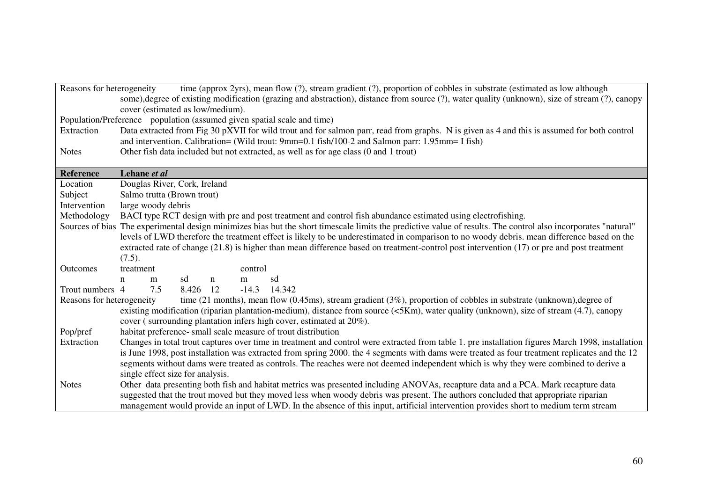| Reasons for heterogeneity                                               | time (approx 2yrs), mean flow (?), stream gradient (?), proportion of cobbles in substrate (estimated as low although<br>some), degree of existing modification (grazing and abstraction), distance from source (?), water quality (unknown), size of stream (?), canopy |  |  |  |  |  |  |  |  |  |  |
|-------------------------------------------------------------------------|--------------------------------------------------------------------------------------------------------------------------------------------------------------------------------------------------------------------------------------------------------------------------|--|--|--|--|--|--|--|--|--|--|
|                                                                         | cover (estimated as low/medium).                                                                                                                                                                                                                                         |  |  |  |  |  |  |  |  |  |  |
| Population/Preference population (assumed given spatial scale and time) |                                                                                                                                                                                                                                                                          |  |  |  |  |  |  |  |  |  |  |
| Extraction                                                              | Data extracted from Fig 30 pXVII for wild trout and for salmon parr, read from graphs. N is given as 4 and this is assumed for both control<br>and intervention. Calibration= (Wild trout: 9mm=0.1 fish/100-2 and Salmon parr: 1.95mm= I fish)                           |  |  |  |  |  |  |  |  |  |  |
| <b>Notes</b>                                                            | Other fish data included but not extracted, as well as for age class (0 and 1 trout)                                                                                                                                                                                     |  |  |  |  |  |  |  |  |  |  |
|                                                                         |                                                                                                                                                                                                                                                                          |  |  |  |  |  |  |  |  |  |  |
| Reference                                                               | Lehane et al                                                                                                                                                                                                                                                             |  |  |  |  |  |  |  |  |  |  |
| Location                                                                | Douglas River, Cork, Ireland                                                                                                                                                                                                                                             |  |  |  |  |  |  |  |  |  |  |
| Subject                                                                 | Salmo trutta (Brown trout)                                                                                                                                                                                                                                               |  |  |  |  |  |  |  |  |  |  |
| Intervention                                                            | large woody debris                                                                                                                                                                                                                                                       |  |  |  |  |  |  |  |  |  |  |
| Methodology                                                             | BACI type RCT design with pre and post treatment and control fish abundance estimated using electrofishing.                                                                                                                                                              |  |  |  |  |  |  |  |  |  |  |
|                                                                         | Sources of bias The experimental design minimizes bias but the short timescale limits the predictive value of results. The control also incorporates "natural"                                                                                                           |  |  |  |  |  |  |  |  |  |  |
|                                                                         | levels of LWD therefore the treatment effect is likely to be underestimated in comparison to no woody debris. mean difference based on the                                                                                                                               |  |  |  |  |  |  |  |  |  |  |
|                                                                         | extracted rate of change $(21.8)$ is higher than mean difference based on treatment-control post intervention $(17)$ or pre and post treatment                                                                                                                           |  |  |  |  |  |  |  |  |  |  |
|                                                                         | (7.5).                                                                                                                                                                                                                                                                   |  |  |  |  |  |  |  |  |  |  |
| Outcomes                                                                | treatment<br>control                                                                                                                                                                                                                                                     |  |  |  |  |  |  |  |  |  |  |
|                                                                         | sd<br>sd<br>$\mathbf n$<br>$\mathbf n$<br>m<br>m                                                                                                                                                                                                                         |  |  |  |  |  |  |  |  |  |  |
| Trout numbers 4                                                         | 14.342<br>7.5<br>8.426 12<br>$-14.3$                                                                                                                                                                                                                                     |  |  |  |  |  |  |  |  |  |  |
| Reasons for heterogeneity                                               | time (21 months), mean flow (0.45ms), stream gradient (3%), proportion of cobbles in substrate (unknown), degree of                                                                                                                                                      |  |  |  |  |  |  |  |  |  |  |
|                                                                         | existing modification (riparian plantation-medium), distance from source (<5Km), water quality (unknown), size of stream (4.7), canopy                                                                                                                                   |  |  |  |  |  |  |  |  |  |  |
|                                                                         | cover (surrounding plantation infers high cover, estimated at 20%).                                                                                                                                                                                                      |  |  |  |  |  |  |  |  |  |  |
| Pop/pref                                                                | habitat preference- small scale measure of trout distribution                                                                                                                                                                                                            |  |  |  |  |  |  |  |  |  |  |
| Extraction                                                              | Changes in total trout captures over time in treatment and control were extracted from table 1. pre installation figures March 1998, installation                                                                                                                        |  |  |  |  |  |  |  |  |  |  |
|                                                                         | is June 1998, post installation was extracted from spring 2000. the 4 segments with dams were treated as four treatment replicates and the 12                                                                                                                            |  |  |  |  |  |  |  |  |  |  |
|                                                                         | segments without dams were treated as controls. The reaches were not deemed independent which is why they were combined to derive a                                                                                                                                      |  |  |  |  |  |  |  |  |  |  |
|                                                                         | single effect size for analysis.                                                                                                                                                                                                                                         |  |  |  |  |  |  |  |  |  |  |
| <b>Notes</b>                                                            | Other data presenting both fish and habitat metrics was presented including ANOVAs, recapture data and a PCA. Mark recapture data                                                                                                                                        |  |  |  |  |  |  |  |  |  |  |
|                                                                         | suggested that the trout moved but they moved less when woody debris was present. The authors concluded that appropriate riparian                                                                                                                                        |  |  |  |  |  |  |  |  |  |  |
|                                                                         | management would provide an input of LWD. In the absence of this input, artificial intervention provides short to medium term stream                                                                                                                                     |  |  |  |  |  |  |  |  |  |  |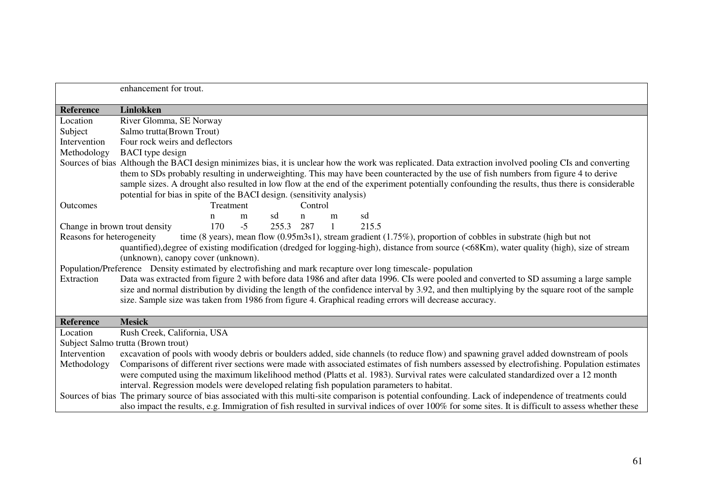|                  | enhancement for trout.                                                                                                                                                                                                                                                                                                                                                                                                                                                                                                                                                                                                                                                                                                                                                        |  |  |  |  |  |  |  |  |
|------------------|-------------------------------------------------------------------------------------------------------------------------------------------------------------------------------------------------------------------------------------------------------------------------------------------------------------------------------------------------------------------------------------------------------------------------------------------------------------------------------------------------------------------------------------------------------------------------------------------------------------------------------------------------------------------------------------------------------------------------------------------------------------------------------|--|--|--|--|--|--|--|--|
| Reference        | Linløkken                                                                                                                                                                                                                                                                                                                                                                                                                                                                                                                                                                                                                                                                                                                                                                     |  |  |  |  |  |  |  |  |
| Location         | River Glomma, SE Norway                                                                                                                                                                                                                                                                                                                                                                                                                                                                                                                                                                                                                                                                                                                                                       |  |  |  |  |  |  |  |  |
| Subject          | Salmo trutta(Brown Trout)                                                                                                                                                                                                                                                                                                                                                                                                                                                                                                                                                                                                                                                                                                                                                     |  |  |  |  |  |  |  |  |
| Intervention     | Four rock weirs and deflectors                                                                                                                                                                                                                                                                                                                                                                                                                                                                                                                                                                                                                                                                                                                                                |  |  |  |  |  |  |  |  |
| Methodology      | <b>BACI</b> type design                                                                                                                                                                                                                                                                                                                                                                                                                                                                                                                                                                                                                                                                                                                                                       |  |  |  |  |  |  |  |  |
| Outcomes         | Sources of bias Although the BACI design minimizes bias, it is unclear how the work was replicated. Data extraction involved pooling CIs and converting<br>them to SDs probably resulting in underweighting. This may have been counteracted by the use of fish numbers from figure 4 to derive<br>sample sizes. A drought also resulted in low flow at the end of the experiment potentially confounding the results, thus there is considerable<br>potential for bias in spite of the BACI design. (sensitivity analysis)<br>Treatment<br>Control                                                                                                                                                                                                                           |  |  |  |  |  |  |  |  |
|                  | sd<br>sd<br>m<br>$\mathbf n$<br>n<br>m                                                                                                                                                                                                                                                                                                                                                                                                                                                                                                                                                                                                                                                                                                                                        |  |  |  |  |  |  |  |  |
|                  | $-5$<br>170<br>255.3 287<br>215.5<br>$\mathbf{1}$                                                                                                                                                                                                                                                                                                                                                                                                                                                                                                                                                                                                                                                                                                                             |  |  |  |  |  |  |  |  |
| Extraction       | Change in brown trout density<br>Reasons for heterogeneity<br>time (8 years), mean flow (0.95m3s1), stream gradient (1.75%), proportion of cobbles in substrate (high but not<br>quantified), degree of existing modification (dredged for logging-high), distance from source (<68Km), water quality (high), size of stream<br>(unknown), canopy cover (unknown).<br>Population/Preference Density estimated by electrofishing and mark recapture over long timescale-population<br>Data was extracted from figure 2 with before data 1986 and after data 1996. CIs were pooled and converted to SD assuming a large sample<br>size and normal distribution by dividing the length of the confidence interval by 3.92, and then multiplying by the square root of the sample |  |  |  |  |  |  |  |  |
|                  | size. Sample size was taken from 1986 from figure 4. Graphical reading errors will decrease accuracy.                                                                                                                                                                                                                                                                                                                                                                                                                                                                                                                                                                                                                                                                         |  |  |  |  |  |  |  |  |
| <b>Reference</b> | <b>Mesick</b>                                                                                                                                                                                                                                                                                                                                                                                                                                                                                                                                                                                                                                                                                                                                                                 |  |  |  |  |  |  |  |  |
| Location         | Rush Creek, California, USA                                                                                                                                                                                                                                                                                                                                                                                                                                                                                                                                                                                                                                                                                                                                                   |  |  |  |  |  |  |  |  |
|                  | Subject Salmo trutta (Brown trout)                                                                                                                                                                                                                                                                                                                                                                                                                                                                                                                                                                                                                                                                                                                                            |  |  |  |  |  |  |  |  |
| Intervention     | excavation of pools with woody debris or boulders added, side channels (to reduce flow) and spawning gravel added downstream of pools                                                                                                                                                                                                                                                                                                                                                                                                                                                                                                                                                                                                                                         |  |  |  |  |  |  |  |  |
| Methodology      | Comparisons of different river sections were made with associated estimates of fish numbers assessed by electrofishing. Population estimates<br>were computed using the maximum likelihood method (Platts et al. 1983). Survival rates were calculated standardized over a 12 month<br>interval. Regression models were developed relating fish population parameters to habitat.                                                                                                                                                                                                                                                                                                                                                                                             |  |  |  |  |  |  |  |  |
|                  | Sources of bias The primary source of bias associated with this multi-site comparison is potential confounding. Lack of independence of treatments could<br>also impact the results, e.g. Immigration of fish resulted in survival indices of over 100% for some sites. It is difficult to assess whether these                                                                                                                                                                                                                                                                                                                                                                                                                                                               |  |  |  |  |  |  |  |  |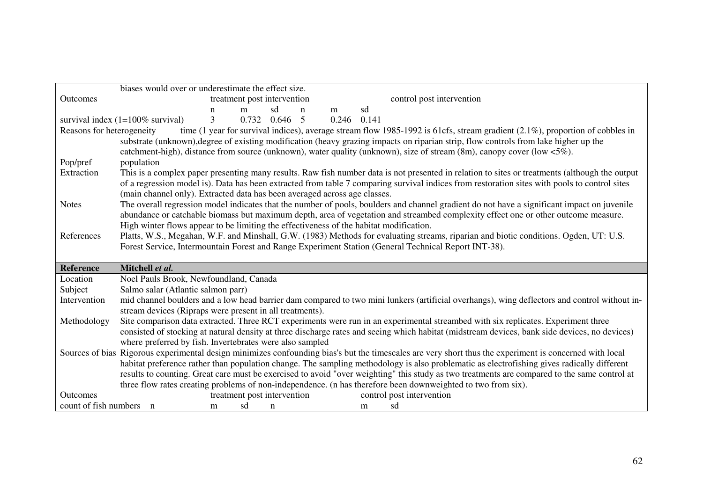|                           | biases would over or underestimate the effect size.                                                                                                                                                                                                                                                                                                                                                                                                   |
|---------------------------|-------------------------------------------------------------------------------------------------------------------------------------------------------------------------------------------------------------------------------------------------------------------------------------------------------------------------------------------------------------------------------------------------------------------------------------------------------|
| <b>Outcomes</b>           | control post intervention<br>treatment post intervention                                                                                                                                                                                                                                                                                                                                                                                              |
|                           | sd<br>sd<br>$\mathbf n$<br>m<br>m<br>n                                                                                                                                                                                                                                                                                                                                                                                                                |
|                           | 3<br>0.732<br>0.646<br>$0.246$ $0.141$<br>survival index $(1=100\%$ survival)<br>- 5                                                                                                                                                                                                                                                                                                                                                                  |
| Reasons for heterogeneity | time (1 year for survival indices), average stream flow 1985-1992 is 61cfs, stream gradient $(2.1\%)$ , proportion of cobbles in<br>substrate (unknown), degree of existing modification (heavy grazing impacts on riparian strip, flow controls from lake higher up the<br>catchment-high), distance from source (unknown), water quality (unknown), size of stream (8m), canopy cover (low <5%).                                                    |
| Pop/pref                  | population                                                                                                                                                                                                                                                                                                                                                                                                                                            |
| Extraction                | This is a complex paper presenting many results. Raw fish number data is not presented in relation to sites or treatments (although the output<br>of a regression model is). Data has been extracted from table 7 comparing survival indices from restoration sites with pools to control sites<br>(main channel only). Extracted data has been averaged across age classes.                                                                          |
| <b>Notes</b>              | The overall regression model indicates that the number of pools, boulders and channel gradient do not have a significant impact on juvenile<br>abundance or catchable biomass but maximum depth, area of vegetation and streambed complexity effect one or other outcome measure.<br>High winter flows appear to be limiting the effectiveness of the habitat modification.                                                                           |
| References                | Platts, W.S., Megahan, W.F. and Minshall, G.W. (1983) Methods for evaluating streams, riparian and biotic conditions. Ogden, UT: U.S.<br>Forest Service, Intermountain Forest and Range Experiment Station (General Technical Report INT-38).                                                                                                                                                                                                         |
| <b>Reference</b>          | Mitchell et al.                                                                                                                                                                                                                                                                                                                                                                                                                                       |
| Location                  | Noel Pauls Brook, Newfoundland, Canada                                                                                                                                                                                                                                                                                                                                                                                                                |
| Subject                   | Salmo salar (Atlantic salmon parr)                                                                                                                                                                                                                                                                                                                                                                                                                    |
| Intervention              | mid channel boulders and a low head barrier dam compared to two mini lunkers (artificial overhangs), wing deflectors and control without in-<br>stream devices (Ripraps were present in all treatments).                                                                                                                                                                                                                                              |
| Methodology               | Site comparison data extracted. Three RCT experiments were run in an experimental streambed with six replicates. Experiment three                                                                                                                                                                                                                                                                                                                     |
|                           | consisted of stocking at natural density at three discharge rates and seeing which habitat (midstream devices, bank side devices, no devices)<br>where preferred by fish. Invertebrates were also sampled                                                                                                                                                                                                                                             |
|                           | Sources of bias Rigorous experimental design minimizes confounding bias's but the timescales are very short thus the experiment is concerned with local<br>habitat preference rather than population change. The sampling methodology is also problematic as electrofishing gives radically different<br>results to counting. Great care must be exercised to avoid "over weighting" this study as two treatments are compared to the same control at |
|                           | three flow rates creating problems of non-independence. (n has therefore been downweighted to two from six).                                                                                                                                                                                                                                                                                                                                          |
| <b>Outcomes</b>           | treatment post intervention<br>control post intervention                                                                                                                                                                                                                                                                                                                                                                                              |
| count of fish numbers n   |                                                                                                                                                                                                                                                                                                                                                                                                                                                       |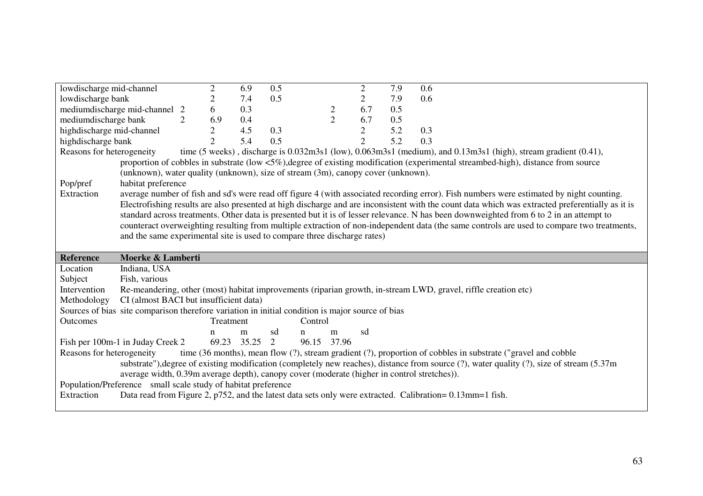| lowdischarge mid-channel                                                                         |                | $\overline{2}$ | 6.9         | 0.5 |                                                                                  | $\overline{2}$ | 7.9 | 0.6                                                                                                                                                                                                                                                                                                                                                       |
|--------------------------------------------------------------------------------------------------|----------------|----------------|-------------|-----|----------------------------------------------------------------------------------|----------------|-----|-----------------------------------------------------------------------------------------------------------------------------------------------------------------------------------------------------------------------------------------------------------------------------------------------------------------------------------------------------------|
| lowdischarge bank                                                                                |                | 2              | 7.4         | 0.5 |                                                                                  | $\overline{2}$ | 7.9 | 0.6                                                                                                                                                                                                                                                                                                                                                       |
| medium discharge mid-channel 2                                                                   |                | 6              | 0.3         |     | $\overline{c}$                                                                   | 6.7            | 0.5 |                                                                                                                                                                                                                                                                                                                                                           |
| mediumdischarge bank                                                                             | $\overline{2}$ | 6.9            | 0.4         |     | $\overline{2}$                                                                   | 6.7            | 0.5 |                                                                                                                                                                                                                                                                                                                                                           |
| highdischarge mid-channel                                                                        |                | $\overline{2}$ | 4.5         | 0.3 |                                                                                  | $\overline{2}$ | 5.2 | 0.3                                                                                                                                                                                                                                                                                                                                                       |
| highdischarge bank                                                                               |                | $\overline{2}$ | 5.4         | 0.5 |                                                                                  | $\overline{2}$ | 5.2 | 0.3                                                                                                                                                                                                                                                                                                                                                       |
| Reasons for heterogeneity                                                                        |                |                |             |     |                                                                                  |                |     | time $(5 \text{ weeks})$ , discharge is $0.032 \text{m}3s1$ (low), $0.063 \text{m}3s1$ (medium), and $0.13 \text{m}3s1$ (high), stream gradient $(0.41)$ ,                                                                                                                                                                                                |
|                                                                                                  |                |                |             |     |                                                                                  |                |     | proportion of cobbles in substrate (low <5%), degree of existing modification (experimental streambed-high), distance from source                                                                                                                                                                                                                         |
|                                                                                                  |                |                |             |     | (unknown), water quality (unknown), size of stream (3m), canopy cover (unknown). |                |     |                                                                                                                                                                                                                                                                                                                                                           |
| Pop/pref<br>habitat preference                                                                   |                |                |             |     |                                                                                  |                |     |                                                                                                                                                                                                                                                                                                                                                           |
| Extraction                                                                                       |                |                |             |     |                                                                                  |                |     | average number of fish and sd's were read off figure 4 (with associated recording error). Fish numbers were estimated by night counting.                                                                                                                                                                                                                  |
|                                                                                                  |                |                |             |     |                                                                                  |                |     | Electrofishing results are also presented at high discharge and are inconsistent with the count data which was extracted preferentially as it is                                                                                                                                                                                                          |
|                                                                                                  |                |                |             |     |                                                                                  |                |     | standard across treatments. Other data is presented but it is of lesser relevance. N has been downweighted from 6 to 2 in an attempt to                                                                                                                                                                                                                   |
|                                                                                                  |                |                |             |     |                                                                                  |                |     | counteract overweighting resulting from multiple extraction of non-independent data (the same controls are used to compare two treatments,                                                                                                                                                                                                                |
|                                                                                                  |                |                |             |     | and the same experimental site is used to compare three discharge rates)         |                |     |                                                                                                                                                                                                                                                                                                                                                           |
|                                                                                                  |                |                |             |     |                                                                                  |                |     |                                                                                                                                                                                                                                                                                                                                                           |
| Moerke & Lamberti<br><b>Reference</b>                                                            |                |                |             |     |                                                                                  |                |     |                                                                                                                                                                                                                                                                                                                                                           |
| Indiana, USA<br>Location                                                                         |                |                |             |     |                                                                                  |                |     |                                                                                                                                                                                                                                                                                                                                                           |
|                                                                                                  |                |                |             |     |                                                                                  |                |     |                                                                                                                                                                                                                                                                                                                                                           |
| Subject<br>Fish, various                                                                         |                |                |             |     |                                                                                  |                |     |                                                                                                                                                                                                                                                                                                                                                           |
| Intervention                                                                                     |                |                |             |     |                                                                                  |                |     | Re-meandering, other (most) habitat improvements (riparian growth, in-stream LWD, gravel, riffle creation etc)                                                                                                                                                                                                                                            |
| CI (almost BACI but insufficient data)<br>Methodology                                            |                |                |             |     |                                                                                  |                |     |                                                                                                                                                                                                                                                                                                                                                           |
| Sources of bias site comparison therefore variation in initial condition is major source of bias |                |                |             |     |                                                                                  |                |     |                                                                                                                                                                                                                                                                                                                                                           |
| Outcomes                                                                                         |                | Treatment      |             |     | Control                                                                          |                |     |                                                                                                                                                                                                                                                                                                                                                           |
|                                                                                                  |                | n              | m           | sd  | m<br>$\mathbf n$                                                                 | sd             |     |                                                                                                                                                                                                                                                                                                                                                           |
| Fish per 100m-1 in Juday Creek 2                                                                 |                |                | 69.23 35.25 | 2   | 96.15 37.96                                                                      |                |     |                                                                                                                                                                                                                                                                                                                                                           |
| Reasons for heterogeneity<br>Population/Preference small scale study of habitat preference       |                |                |             |     |                                                                                  |                |     | time (36 months), mean flow (?), stream gradient (?), proportion of cobbles in substrate ("gravel and cobble<br>substrate"), degree of existing modification (completely new reaches), distance from source (?), water quality (?), size of stream (5.37m)<br>average width, 0.39m average depth), canopy cover (moderate (higher in control stretches)). |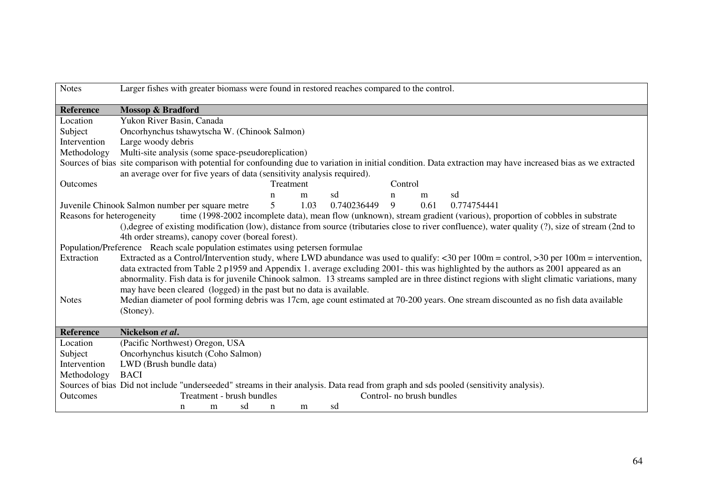| <b>Reference</b><br><b>Mossop &amp; Bradford</b><br>Yukon River Basin, Canada<br>Location<br>Subject<br>Oncorhynchus tshawytscha W. (Chinook Salmon)<br>Intervention<br>Large woody debris<br>Methodology<br>Multi-site analysis (some space-pseudoreplication)<br>Sources of bias site comparison with potential for confounding due to variation in initial condition. Data extraction may have increased bias as we extracted<br>an average over for five years of data (sensitivity analysis required).<br>Treatment<br>Control<br><b>Outcomes</b><br>sd<br>sd<br>m<br>m<br>n<br>n<br>1.03<br>5<br>0.740236449<br>9<br>0.61<br>Juvenile Chinook Salmon number per square metre<br>0.774754441<br>Reasons for heterogeneity<br>time (1998-2002 incomplete data), mean flow (unknown), stream gradient (various), proportion of cobbles in substrate<br>(), degree of existing modification (low), distance from source (tributaries close to river confluence), water quality (?), size of stream (2nd to<br>4th order streams), canopy cover (boreal forest).<br>Population/Preference Reach scale population estimates using petersen formulae<br>Extracted as a Control/Intervention study, where LWD abundance was used to qualify: <30 per 100m = control, >30 per 100m = intervention,<br>Extraction<br>data extracted from Table 2 p1959 and Appendix 1. average excluding 2001- this was highlighted by the authors as 2001 appeared as an<br>abnormality. Fish data is for juvenile Chinook salmon. 13 streams sampled are in three distinct regions with slight climatic variations, many<br>may have been cleared (logged) in the past but no data is available.<br>Median diameter of pool forming debris was 17cm, age count estimated at 70-200 years. One stream discounted as no fish data available<br><b>Notes</b><br>(Stoney).<br><b>Reference</b><br>Nickelson et al.<br>(Pacific Northwest) Oregon, USA<br>Location<br>Subject<br>Oncorhynchus kisutch (Coho Salmon)<br>Intervention<br>LWD (Brush bundle data)<br><b>BACI</b><br>Methodology<br>Sources of bias Did not include "underseeded" streams in their analysis. Data read from graph and sds pooled (sensitivity analysis). | <b>Notes</b> | Larger fishes with greater biomass were found in restored reaches compared to the control. |
|---------------------------------------------------------------------------------------------------------------------------------------------------------------------------------------------------------------------------------------------------------------------------------------------------------------------------------------------------------------------------------------------------------------------------------------------------------------------------------------------------------------------------------------------------------------------------------------------------------------------------------------------------------------------------------------------------------------------------------------------------------------------------------------------------------------------------------------------------------------------------------------------------------------------------------------------------------------------------------------------------------------------------------------------------------------------------------------------------------------------------------------------------------------------------------------------------------------------------------------------------------------------------------------------------------------------------------------------------------------------------------------------------------------------------------------------------------------------------------------------------------------------------------------------------------------------------------------------------------------------------------------------------------------------------------------------------------------------------------------------------------------------------------------------------------------------------------------------------------------------------------------------------------------------------------------------------------------------------------------------------------------------------------------------------------------------------------------------------------------------------------------------------------------------------------------------------------------|--------------|--------------------------------------------------------------------------------------------|
|                                                                                                                                                                                                                                                                                                                                                                                                                                                                                                                                                                                                                                                                                                                                                                                                                                                                                                                                                                                                                                                                                                                                                                                                                                                                                                                                                                                                                                                                                                                                                                                                                                                                                                                                                                                                                                                                                                                                                                                                                                                                                                                                                                                                               |              |                                                                                            |
|                                                                                                                                                                                                                                                                                                                                                                                                                                                                                                                                                                                                                                                                                                                                                                                                                                                                                                                                                                                                                                                                                                                                                                                                                                                                                                                                                                                                                                                                                                                                                                                                                                                                                                                                                                                                                                                                                                                                                                                                                                                                                                                                                                                                               |              |                                                                                            |
|                                                                                                                                                                                                                                                                                                                                                                                                                                                                                                                                                                                                                                                                                                                                                                                                                                                                                                                                                                                                                                                                                                                                                                                                                                                                                                                                                                                                                                                                                                                                                                                                                                                                                                                                                                                                                                                                                                                                                                                                                                                                                                                                                                                                               |              |                                                                                            |
|                                                                                                                                                                                                                                                                                                                                                                                                                                                                                                                                                                                                                                                                                                                                                                                                                                                                                                                                                                                                                                                                                                                                                                                                                                                                                                                                                                                                                                                                                                                                                                                                                                                                                                                                                                                                                                                                                                                                                                                                                                                                                                                                                                                                               |              |                                                                                            |
|                                                                                                                                                                                                                                                                                                                                                                                                                                                                                                                                                                                                                                                                                                                                                                                                                                                                                                                                                                                                                                                                                                                                                                                                                                                                                                                                                                                                                                                                                                                                                                                                                                                                                                                                                                                                                                                                                                                                                                                                                                                                                                                                                                                                               |              |                                                                                            |
|                                                                                                                                                                                                                                                                                                                                                                                                                                                                                                                                                                                                                                                                                                                                                                                                                                                                                                                                                                                                                                                                                                                                                                                                                                                                                                                                                                                                                                                                                                                                                                                                                                                                                                                                                                                                                                                                                                                                                                                                                                                                                                                                                                                                               |              |                                                                                            |
|                                                                                                                                                                                                                                                                                                                                                                                                                                                                                                                                                                                                                                                                                                                                                                                                                                                                                                                                                                                                                                                                                                                                                                                                                                                                                                                                                                                                                                                                                                                                                                                                                                                                                                                                                                                                                                                                                                                                                                                                                                                                                                                                                                                                               |              |                                                                                            |
|                                                                                                                                                                                                                                                                                                                                                                                                                                                                                                                                                                                                                                                                                                                                                                                                                                                                                                                                                                                                                                                                                                                                                                                                                                                                                                                                                                                                                                                                                                                                                                                                                                                                                                                                                                                                                                                                                                                                                                                                                                                                                                                                                                                                               |              |                                                                                            |
|                                                                                                                                                                                                                                                                                                                                                                                                                                                                                                                                                                                                                                                                                                                                                                                                                                                                                                                                                                                                                                                                                                                                                                                                                                                                                                                                                                                                                                                                                                                                                                                                                                                                                                                                                                                                                                                                                                                                                                                                                                                                                                                                                                                                               |              |                                                                                            |
|                                                                                                                                                                                                                                                                                                                                                                                                                                                                                                                                                                                                                                                                                                                                                                                                                                                                                                                                                                                                                                                                                                                                                                                                                                                                                                                                                                                                                                                                                                                                                                                                                                                                                                                                                                                                                                                                                                                                                                                                                                                                                                                                                                                                               |              |                                                                                            |
|                                                                                                                                                                                                                                                                                                                                                                                                                                                                                                                                                                                                                                                                                                                                                                                                                                                                                                                                                                                                                                                                                                                                                                                                                                                                                                                                                                                                                                                                                                                                                                                                                                                                                                                                                                                                                                                                                                                                                                                                                                                                                                                                                                                                               |              |                                                                                            |
|                                                                                                                                                                                                                                                                                                                                                                                                                                                                                                                                                                                                                                                                                                                                                                                                                                                                                                                                                                                                                                                                                                                                                                                                                                                                                                                                                                                                                                                                                                                                                                                                                                                                                                                                                                                                                                                                                                                                                                                                                                                                                                                                                                                                               |              |                                                                                            |
|                                                                                                                                                                                                                                                                                                                                                                                                                                                                                                                                                                                                                                                                                                                                                                                                                                                                                                                                                                                                                                                                                                                                                                                                                                                                                                                                                                                                                                                                                                                                                                                                                                                                                                                                                                                                                                                                                                                                                                                                                                                                                                                                                                                                               |              |                                                                                            |
|                                                                                                                                                                                                                                                                                                                                                                                                                                                                                                                                                                                                                                                                                                                                                                                                                                                                                                                                                                                                                                                                                                                                                                                                                                                                                                                                                                                                                                                                                                                                                                                                                                                                                                                                                                                                                                                                                                                                                                                                                                                                                                                                                                                                               |              |                                                                                            |
|                                                                                                                                                                                                                                                                                                                                                                                                                                                                                                                                                                                                                                                                                                                                                                                                                                                                                                                                                                                                                                                                                                                                                                                                                                                                                                                                                                                                                                                                                                                                                                                                                                                                                                                                                                                                                                                                                                                                                                                                                                                                                                                                                                                                               |              |                                                                                            |
|                                                                                                                                                                                                                                                                                                                                                                                                                                                                                                                                                                                                                                                                                                                                                                                                                                                                                                                                                                                                                                                                                                                                                                                                                                                                                                                                                                                                                                                                                                                                                                                                                                                                                                                                                                                                                                                                                                                                                                                                                                                                                                                                                                                                               |              |                                                                                            |
|                                                                                                                                                                                                                                                                                                                                                                                                                                                                                                                                                                                                                                                                                                                                                                                                                                                                                                                                                                                                                                                                                                                                                                                                                                                                                                                                                                                                                                                                                                                                                                                                                                                                                                                                                                                                                                                                                                                                                                                                                                                                                                                                                                                                               |              |                                                                                            |
|                                                                                                                                                                                                                                                                                                                                                                                                                                                                                                                                                                                                                                                                                                                                                                                                                                                                                                                                                                                                                                                                                                                                                                                                                                                                                                                                                                                                                                                                                                                                                                                                                                                                                                                                                                                                                                                                                                                                                                                                                                                                                                                                                                                                               |              |                                                                                            |
|                                                                                                                                                                                                                                                                                                                                                                                                                                                                                                                                                                                                                                                                                                                                                                                                                                                                                                                                                                                                                                                                                                                                                                                                                                                                                                                                                                                                                                                                                                                                                                                                                                                                                                                                                                                                                                                                                                                                                                                                                                                                                                                                                                                                               |              |                                                                                            |
|                                                                                                                                                                                                                                                                                                                                                                                                                                                                                                                                                                                                                                                                                                                                                                                                                                                                                                                                                                                                                                                                                                                                                                                                                                                                                                                                                                                                                                                                                                                                                                                                                                                                                                                                                                                                                                                                                                                                                                                                                                                                                                                                                                                                               |              |                                                                                            |
|                                                                                                                                                                                                                                                                                                                                                                                                                                                                                                                                                                                                                                                                                                                                                                                                                                                                                                                                                                                                                                                                                                                                                                                                                                                                                                                                                                                                                                                                                                                                                                                                                                                                                                                                                                                                                                                                                                                                                                                                                                                                                                                                                                                                               |              |                                                                                            |
|                                                                                                                                                                                                                                                                                                                                                                                                                                                                                                                                                                                                                                                                                                                                                                                                                                                                                                                                                                                                                                                                                                                                                                                                                                                                                                                                                                                                                                                                                                                                                                                                                                                                                                                                                                                                                                                                                                                                                                                                                                                                                                                                                                                                               |              |                                                                                            |
|                                                                                                                                                                                                                                                                                                                                                                                                                                                                                                                                                                                                                                                                                                                                                                                                                                                                                                                                                                                                                                                                                                                                                                                                                                                                                                                                                                                                                                                                                                                                                                                                                                                                                                                                                                                                                                                                                                                                                                                                                                                                                                                                                                                                               |              |                                                                                            |
|                                                                                                                                                                                                                                                                                                                                                                                                                                                                                                                                                                                                                                                                                                                                                                                                                                                                                                                                                                                                                                                                                                                                                                                                                                                                                                                                                                                                                                                                                                                                                                                                                                                                                                                                                                                                                                                                                                                                                                                                                                                                                                                                                                                                               |              |                                                                                            |
|                                                                                                                                                                                                                                                                                                                                                                                                                                                                                                                                                                                                                                                                                                                                                                                                                                                                                                                                                                                                                                                                                                                                                                                                                                                                                                                                                                                                                                                                                                                                                                                                                                                                                                                                                                                                                                                                                                                                                                                                                                                                                                                                                                                                               |              |                                                                                            |
|                                                                                                                                                                                                                                                                                                                                                                                                                                                                                                                                                                                                                                                                                                                                                                                                                                                                                                                                                                                                                                                                                                                                                                                                                                                                                                                                                                                                                                                                                                                                                                                                                                                                                                                                                                                                                                                                                                                                                                                                                                                                                                                                                                                                               |              |                                                                                            |
|                                                                                                                                                                                                                                                                                                                                                                                                                                                                                                                                                                                                                                                                                                                                                                                                                                                                                                                                                                                                                                                                                                                                                                                                                                                                                                                                                                                                                                                                                                                                                                                                                                                                                                                                                                                                                                                                                                                                                                                                                                                                                                                                                                                                               |              |                                                                                            |
| Treatment - brush bundles<br>Control- no brush bundles<br>Outcomes<br>sd<br>sd<br>m<br>m<br>n<br>n                                                                                                                                                                                                                                                                                                                                                                                                                                                                                                                                                                                                                                                                                                                                                                                                                                                                                                                                                                                                                                                                                                                                                                                                                                                                                                                                                                                                                                                                                                                                                                                                                                                                                                                                                                                                                                                                                                                                                                                                                                                                                                            |              |                                                                                            |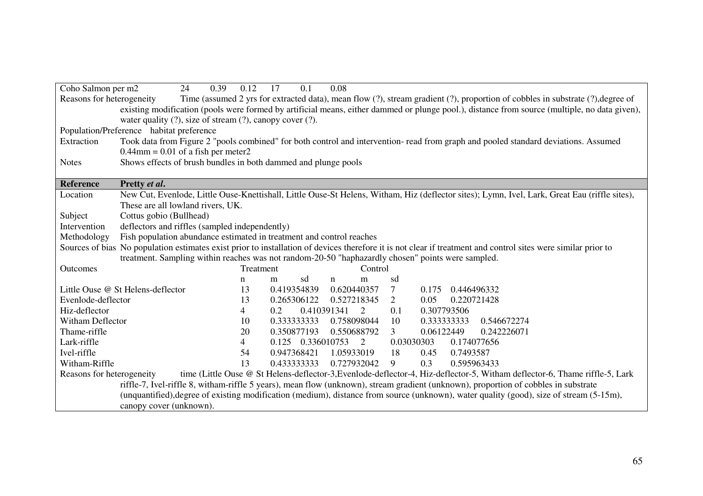| Coho Salmon per m2                                                                                                                                          | 24                                                                                                                                 | 0.39<br>0.12 | 0.1<br>17         | 0.08             |                |                                                                                                                                                               |  |  |  |  |  |
|-------------------------------------------------------------------------------------------------------------------------------------------------------------|------------------------------------------------------------------------------------------------------------------------------------|--------------|-------------------|------------------|----------------|---------------------------------------------------------------------------------------------------------------------------------------------------------------|--|--|--|--|--|
| Reasons for heterogeneity<br>Time (assumed 2 yrs for extracted data), mean flow (?), stream gradient (?), proportion of cobbles in substrate (?), degree of |                                                                                                                                    |              |                   |                  |                |                                                                                                                                                               |  |  |  |  |  |
|                                                                                                                                                             |                                                                                                                                    |              |                   |                  |                | existing modification (pools were formed by artificial means, either dammed or plunge pool.), distance from source (multiple, no data given),                 |  |  |  |  |  |
| water quality $(?)$ , size of stream $(?)$ , canopy cover $(?)$ .                                                                                           |                                                                                                                                    |              |                   |                  |                |                                                                                                                                                               |  |  |  |  |  |
| Population/Preference habitat preference                                                                                                                    |                                                                                                                                    |              |                   |                  |                |                                                                                                                                                               |  |  |  |  |  |
| Extraction                                                                                                                                                  | Took data from Figure 2 "pools combined" for both control and intervention-read from graph and pooled standard deviations. Assumed |              |                   |                  |                |                                                                                                                                                               |  |  |  |  |  |
|                                                                                                                                                             | $0.44$ mm = 0.01 of a fish per meter2                                                                                              |              |                   |                  |                |                                                                                                                                                               |  |  |  |  |  |
| <b>Notes</b>                                                                                                                                                | Shows effects of brush bundles in both dammed and plunge pools                                                                     |              |                   |                  |                |                                                                                                                                                               |  |  |  |  |  |
|                                                                                                                                                             |                                                                                                                                    |              |                   |                  |                |                                                                                                                                                               |  |  |  |  |  |
| <b>Reference</b>                                                                                                                                            | Pretty et al.                                                                                                                      |              |                   |                  |                |                                                                                                                                                               |  |  |  |  |  |
| Location                                                                                                                                                    |                                                                                                                                    |              |                   |                  |                | New Cut, Evenlode, Little Ouse-Knettishall, Little Ouse-St Helens, Witham, Hiz (deflector sites); Lymn, Ivel, Lark, Great Eau (riffle sites),                 |  |  |  |  |  |
|                                                                                                                                                             | These are all lowland rivers, UK.                                                                                                  |              |                   |                  |                |                                                                                                                                                               |  |  |  |  |  |
| Subject                                                                                                                                                     | Cottus gobio (Bullhead)                                                                                                            |              |                   |                  |                |                                                                                                                                                               |  |  |  |  |  |
| Intervention                                                                                                                                                | deflectors and riffles (sampled independently)                                                                                     |              |                   |                  |                |                                                                                                                                                               |  |  |  |  |  |
| Methodology                                                                                                                                                 | Fish population abundance estimated in treatment and control reaches                                                               |              |                   |                  |                |                                                                                                                                                               |  |  |  |  |  |
|                                                                                                                                                             |                                                                                                                                    |              |                   |                  |                | Sources of bias No population estimates exist prior to installation of devices therefore it is not clear if treatment and control sites were similar prior to |  |  |  |  |  |
|                                                                                                                                                             | treatment. Sampling within reaches was not random-20-50 "haphazardly chosen" points were sampled.                                  |              |                   |                  |                |                                                                                                                                                               |  |  |  |  |  |
| Outcomes                                                                                                                                                    |                                                                                                                                    | Treatment    |                   | Control          |                |                                                                                                                                                               |  |  |  |  |  |
|                                                                                                                                                             |                                                                                                                                    | n            | sd<br>m           | m<br>$\mathbf n$ | sd             |                                                                                                                                                               |  |  |  |  |  |
|                                                                                                                                                             | Little Ouse @ St Helens-deflector                                                                                                  | 13           | 0.419354839       | 0.620440357      | $\tau$         | 0.446496332<br>0.175                                                                                                                                          |  |  |  |  |  |
| Evenlode-deflector                                                                                                                                          |                                                                                                                                    | 13           | 0.265306122       | 0.527218345      | 2              | 0.05<br>0.220721428                                                                                                                                           |  |  |  |  |  |
| Hiz-deflector                                                                                                                                               |                                                                                                                                    | 4            | 0.2               | 0.410391341<br>2 | 0.1            | 0.307793506                                                                                                                                                   |  |  |  |  |  |
| Witham Deflector                                                                                                                                            |                                                                                                                                    | 10           | 0.333333333       | 0.758098044      | 10             | 0.333333333<br>0.546672274                                                                                                                                    |  |  |  |  |  |
| Thame-riffle                                                                                                                                                |                                                                                                                                    | 20           | 0.350877193       | 0.550688792      | $\mathfrak{Z}$ | 0.06122449<br>0.242226071                                                                                                                                     |  |  |  |  |  |
| Lark-riffle                                                                                                                                                 |                                                                                                                                    | 4            | 0.125 0.336010753 | $\overline{2}$   | 0.03030303     | 0.174077656                                                                                                                                                   |  |  |  |  |  |
| Ivel-riffle                                                                                                                                                 |                                                                                                                                    | 54           | 0.947368421       | 1.05933019       | 18             | 0.7493587<br>0.45                                                                                                                                             |  |  |  |  |  |
| Witham-Riffle                                                                                                                                               |                                                                                                                                    | 13           | 0.433333333       | 0.727932042      | 9              | 0.3<br>0.595963433                                                                                                                                            |  |  |  |  |  |
| Reasons for heterogeneity                                                                                                                                   |                                                                                                                                    |              |                   |                  |                | time (Little Ouse @ St Helens-deflector-3, Evenlode-deflector-4, Hiz-deflector-5, Witham deflector-6, Thame riffle-5, Lark                                    |  |  |  |  |  |
|                                                                                                                                                             |                                                                                                                                    |              |                   |                  |                | riffle-7, Ivel-riffle 8, witham-riffle 5 years), mean flow (unknown), stream gradient (unknown), proportion of cobbles in substrate                           |  |  |  |  |  |
|                                                                                                                                                             |                                                                                                                                    |              |                   |                  |                | (unquantified), degree of existing modification (medium), distance from source (unknown), water quality (good), size of stream (5-15m),                       |  |  |  |  |  |
|                                                                                                                                                             | canopy cover (unknown).                                                                                                            |              |                   |                  |                |                                                                                                                                                               |  |  |  |  |  |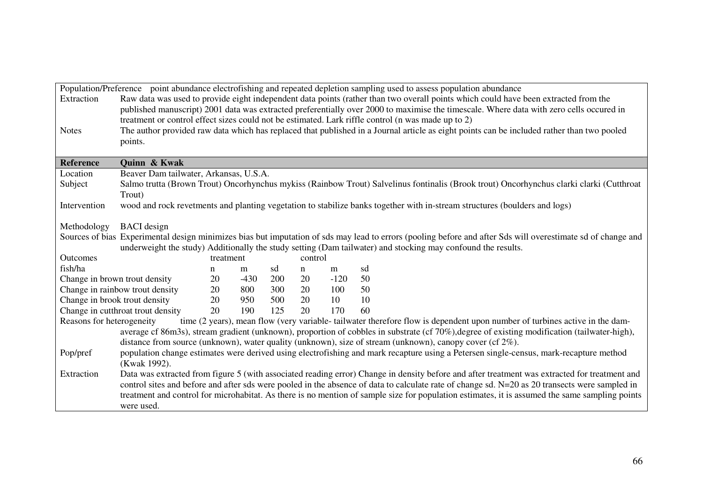|                               |                                        |           |        |     |         |        | Population/Preference point abundance electrofishing and repeated depletion sampling used to assess population abundance                                     |  |
|-------------------------------|----------------------------------------|-----------|--------|-----|---------|--------|--------------------------------------------------------------------------------------------------------------------------------------------------------------|--|
| Extraction                    |                                        |           |        |     |         |        | Raw data was used to provide eight independent data points (rather than two overall points which could have been extracted from the                          |  |
|                               |                                        |           |        |     |         |        | published manuscript) 2001 data was extracted preferentially over 2000 to maximise the timescale. Where data with zero cells occured in                      |  |
|                               |                                        |           |        |     |         |        | treatment or control effect sizes could not be estimated. Lark riffle control (n was made up to 2)                                                           |  |
| <b>Notes</b>                  |                                        |           |        |     |         |        | The author provided raw data which has replaced that published in a Journal article as eight points can be included rather than two pooled                   |  |
|                               | points.                                |           |        |     |         |        |                                                                                                                                                              |  |
|                               |                                        |           |        |     |         |        |                                                                                                                                                              |  |
| Reference                     | Quinn & Kwak                           |           |        |     |         |        |                                                                                                                                                              |  |
| Location                      | Beaver Dam tailwater, Arkansas, U.S.A. |           |        |     |         |        |                                                                                                                                                              |  |
| Subject                       |                                        |           |        |     |         |        | Salmo trutta (Brown Trout) Oncorhynchus mykiss (Rainbow Trout) Salvelinus fontinalis (Brook trout) Oncorhynchus clarki clarki (Cutthroat                     |  |
|                               | Trout)                                 |           |        |     |         |        |                                                                                                                                                              |  |
| Intervention                  |                                        |           |        |     |         |        | wood and rock revetments and planting vegetation to stabilize banks together with in-stream structures (boulders and logs)                                   |  |
|                               |                                        |           |        |     |         |        |                                                                                                                                                              |  |
| Methodology                   | <b>BACI</b> design                     |           |        |     |         |        |                                                                                                                                                              |  |
|                               |                                        |           |        |     |         |        | Sources of bias Experimental design minimizes bias but imputation of sds may lead to errors (pooling before and after Sds will overestimate sd of change and |  |
|                               |                                        |           |        |     |         |        | underweight the study) Additionally the study setting (Dam tailwater) and stocking may confound the results.                                                 |  |
| Outcomes                      |                                        | treatment |        |     | control |        |                                                                                                                                                              |  |
| fish/ha                       |                                        | n         | m      | sd  | n       | m      | sd                                                                                                                                                           |  |
|                               | Change in brown trout density          | 20        | $-430$ | 200 | 20      | $-120$ | 50                                                                                                                                                           |  |
|                               | Change in rainbow trout density        | 20        | 800    | 300 | 20      | 100    | 50                                                                                                                                                           |  |
| Change in brook trout density |                                        | 20        | 950    | 500 | 20      | 10     | 10                                                                                                                                                           |  |
|                               | Change in cutthroat trout density      | 20        | 190    | 125 | 20      | 170    | 60                                                                                                                                                           |  |
| Reasons for heterogeneity     |                                        |           |        |     |         |        | time (2 years), mean flow (very variable-tailwater therefore flow is dependent upon number of turbines active in the dam-                                    |  |
|                               |                                        |           |        |     |         |        | average cf 86m3s), stream gradient (unknown), proportion of cobbles in substrate (cf 70%), degree of existing modification (tailwater-high),                 |  |
|                               |                                        |           |        |     |         |        | distance from source (unknown), water quality (unknown), size of stream (unknown), canopy cover (cf 2%).                                                     |  |
| Pop/pref                      | (Kwak 1992).                           |           |        |     |         |        | population change estimates were derived using electrofishing and mark recapture using a Petersen single-census, mark-recapture method                       |  |
| Extraction                    |                                        |           |        |     |         |        | Data was extracted from figure 5 (with associated reading error) Change in density before and after treatment was extracted for treatment and                |  |
|                               |                                        |           |        |     |         |        | control sites and before and after sds were pooled in the absence of data to calculate rate of change sd. N=20 as 20 transects were sampled in               |  |
|                               |                                        |           |        |     |         |        | treatment and control for microhabitat. As there is no mention of sample size for population estimates, it is assumed the same sampling points               |  |
|                               | were used.                             |           |        |     |         |        |                                                                                                                                                              |  |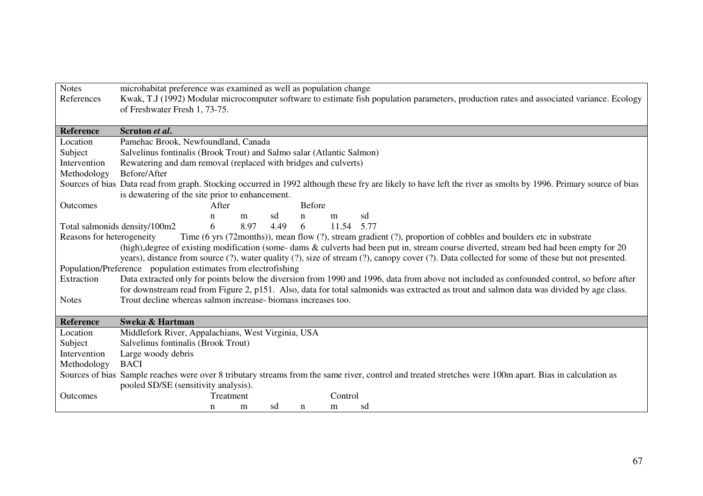| <b>Notes</b>              | microhabitat preference was examined as well as population change                                                                                                                                                 |  |  |  |  |  |
|---------------------------|-------------------------------------------------------------------------------------------------------------------------------------------------------------------------------------------------------------------|--|--|--|--|--|
| References                | Kwak, T.J (1992) Modular microcomputer software to estimate fish population parameters, production rates and associated variance. Ecology                                                                         |  |  |  |  |  |
|                           | of Freshwater Fresh 1, 73-75.                                                                                                                                                                                     |  |  |  |  |  |
|                           |                                                                                                                                                                                                                   |  |  |  |  |  |
| <b>Reference</b>          | Scruton et al.                                                                                                                                                                                                    |  |  |  |  |  |
| Location                  | Pamehac Brook, Newfoundland, Canada                                                                                                                                                                               |  |  |  |  |  |
| Subject                   | Salvelinus fontinalis (Brook Trout) and Salmo salar (Atlantic Salmon)                                                                                                                                             |  |  |  |  |  |
| Intervention              | Rewatering and dam removal (replaced with bridges and culverts)                                                                                                                                                   |  |  |  |  |  |
| Methodology               | Before/After                                                                                                                                                                                                      |  |  |  |  |  |
|                           | Sources of bias Data read from graph. Stocking occurred in 1992 although these fry are likely to have left the river as smolts by 1996. Primary source of bias<br>is dewatering of the site prior to enhancement. |  |  |  |  |  |
| <b>Outcomes</b>           | <b>Before</b><br>After                                                                                                                                                                                            |  |  |  |  |  |
|                           | sd<br>sd<br>m<br>n<br>m<br>n                                                                                                                                                                                      |  |  |  |  |  |
|                           | 8.97<br>4.49<br>6<br>6<br>11.54 5.77<br>Total salmonids density/100m2                                                                                                                                             |  |  |  |  |  |
| Reasons for heterogeneity | Time (6 yrs (72months)), mean flow (?), stream gradient (?), proportion of cobbles and boulders etc in substrate                                                                                                  |  |  |  |  |  |
|                           | (high), degree of existing modification (some-dams & culverts had been put in, stream course diverted, stream bed had been empty for 20                                                                           |  |  |  |  |  |
|                           | years), distance from source (?), water quality (?), size of stream (?), canopy cover (?). Data collected for some of these but not presented.                                                                    |  |  |  |  |  |
|                           | Population/Preference population estimates from electrofishing                                                                                                                                                    |  |  |  |  |  |
| Extraction                | Data extracted only for points below the diversion from 1990 and 1996, data from above not included as confounded control, so before after                                                                        |  |  |  |  |  |
|                           | for downstream read from Figure 2, p151. Also, data for total salmonids was extracted as trout and salmon data was divided by age class.                                                                          |  |  |  |  |  |
| <b>Notes</b>              | Trout decline whereas salmon increase-biomass increases too.                                                                                                                                                      |  |  |  |  |  |
|                           |                                                                                                                                                                                                                   |  |  |  |  |  |
| <b>Reference</b>          | Sweka & Hartman                                                                                                                                                                                                   |  |  |  |  |  |
| Location                  | Middlefork River, Appalachians, West Virginia, USA                                                                                                                                                                |  |  |  |  |  |
| Subject                   | Salvelinus fontinalis (Brook Trout)                                                                                                                                                                               |  |  |  |  |  |
| Intervention              | Large woody debris                                                                                                                                                                                                |  |  |  |  |  |
| Methodology               | <b>BACI</b>                                                                                                                                                                                                       |  |  |  |  |  |
|                           | Sources of bias Sample reaches were over 8 tributary streams from the same river, control and treated stretches were 100m apart. Bias in calculation as                                                           |  |  |  |  |  |
|                           | pooled SD/SE (sensitivity analysis).                                                                                                                                                                              |  |  |  |  |  |
| Outcomes                  | Control<br>Treatment                                                                                                                                                                                              |  |  |  |  |  |
|                           | sd<br>sd<br>n<br>m<br>n<br>m                                                                                                                                                                                      |  |  |  |  |  |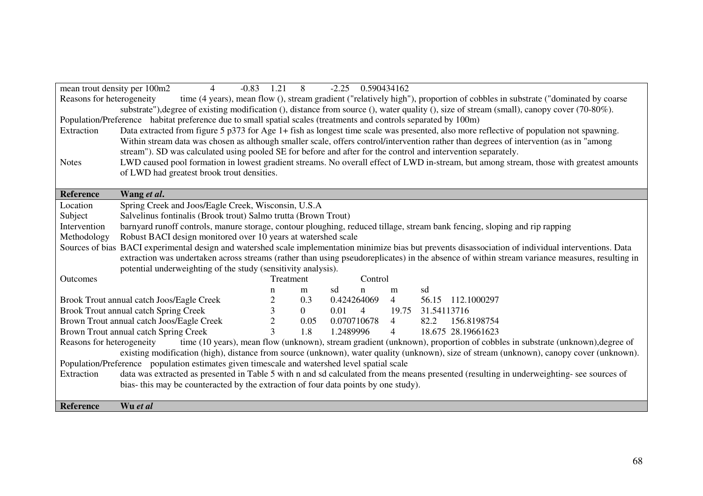|                                                                                                                                                          | mean trout density per 100m2<br>$\overline{4}$<br>$-0.83$                                                                                     | 1.21                | 8              | $-2.25$ 0.590434162 |                |                                                                                                                                                         |  |
|----------------------------------------------------------------------------------------------------------------------------------------------------------|-----------------------------------------------------------------------------------------------------------------------------------------------|---------------------|----------------|---------------------|----------------|---------------------------------------------------------------------------------------------------------------------------------------------------------|--|
| time (4 years), mean flow (), stream gradient ("relatively high"), proportion of cobbles in substrate ("dominated by coarse<br>Reasons for heterogeneity |                                                                                                                                               |                     |                |                     |                |                                                                                                                                                         |  |
|                                                                                                                                                          |                                                                                                                                               |                     |                |                     |                | substrate"), degree of existing modification (), distance from source (), water quality (), size of stream (small), canopy cover (70-80%).              |  |
|                                                                                                                                                          | Population/Preference habitat preference due to small spatial scales (treatments and controls separated by 100m)                              |                     |                |                     |                |                                                                                                                                                         |  |
| Extraction                                                                                                                                               | Data extracted from figure 5 p373 for Age 1+ fish as longest time scale was presented, also more reflective of population not spawning.       |                     |                |                     |                |                                                                                                                                                         |  |
|                                                                                                                                                          | Within stream data was chosen as although smaller scale, offers control/intervention rather than degrees of intervention (as in "among        |                     |                |                     |                |                                                                                                                                                         |  |
|                                                                                                                                                          | stream"). SD was calculated using pooled SE for before and after for the control and intervention separately.                                 |                     |                |                     |                |                                                                                                                                                         |  |
| <b>Notes</b>                                                                                                                                             |                                                                                                                                               |                     |                |                     |                | LWD caused pool formation in lowest gradient streams. No overall effect of LWD in-stream, but among stream, those with greatest amounts                 |  |
|                                                                                                                                                          | of LWD had greatest brook trout densities.                                                                                                    |                     |                |                     |                |                                                                                                                                                         |  |
|                                                                                                                                                          |                                                                                                                                               |                     |                |                     |                |                                                                                                                                                         |  |
| Reference                                                                                                                                                | Wang et al.                                                                                                                                   |                     |                |                     |                |                                                                                                                                                         |  |
| Location                                                                                                                                                 | Spring Creek and Joos/Eagle Creek, Wisconsin, U.S.A                                                                                           |                     |                |                     |                |                                                                                                                                                         |  |
| Subject                                                                                                                                                  | Salvelinus fontinalis (Brook trout) Salmo trutta (Brown Trout)                                                                                |                     |                |                     |                |                                                                                                                                                         |  |
| Intervention                                                                                                                                             |                                                                                                                                               |                     |                |                     |                | barnyard runoff controls, manure storage, contour ploughing, reduced tillage, stream bank fencing, sloping and rip rapping                              |  |
| Methodology                                                                                                                                              | Robust BACI design monitored over 10 years at watershed scale                                                                                 |                     |                |                     |                |                                                                                                                                                         |  |
|                                                                                                                                                          |                                                                                                                                               |                     |                |                     |                | Sources of bias BACI experimental design and watershed scale implementation minimize bias but prevents disassociation of individual interventions. Data |  |
|                                                                                                                                                          | extraction was undertaken across streams (rather than using pseudoreplicates) in the absence of within stream variance measures, resulting in |                     |                |                     |                |                                                                                                                                                         |  |
| potential underweighting of the study (sensitivity analysis).                                                                                            |                                                                                                                                               |                     |                |                     |                |                                                                                                                                                         |  |
| Outcomes                                                                                                                                                 |                                                                                                                                               |                     | Treatment      | Control             |                |                                                                                                                                                         |  |
|                                                                                                                                                          |                                                                                                                                               | n                   | m              | sd<br>n             | m              | sd                                                                                                                                                      |  |
|                                                                                                                                                          | Brook Trout annual catch Joos/Eagle Creek                                                                                                     | $\overline{2}$      | 0.3            | 0.424264069         | $\overline{4}$ | 56.15<br>112.1000297                                                                                                                                    |  |
|                                                                                                                                                          | Brook Trout annual catch Spring Creek                                                                                                         | 3                   | $\overline{0}$ | $0.01 \quad 4$      | 19.75          | 31.54113716                                                                                                                                             |  |
|                                                                                                                                                          | Brown Trout annual catch Joos/Eagle Creek                                                                                                     | $\overline{2}$<br>3 | 0.05           | 0.070710678         | $\overline{4}$ | 82.2<br>156.8198754                                                                                                                                     |  |
| Brown Trout annual catch Spring Creek                                                                                                                    |                                                                                                                                               |                     | 1.8            | 1.2489996           | $\overline{4}$ | 18.675 28.19661623                                                                                                                                      |  |
| Reasons for heterogeneity<br>time (10 years), mean flow (unknown), stream gradient (unknown), proportion of cobbles in substrate (unknown), degree of    |                                                                                                                                               |                     |                |                     |                |                                                                                                                                                         |  |
| existing modification (high), distance from source (unknown), water quality (unknown), size of stream (unknown), canopy cover (unknown).                 |                                                                                                                                               |                     |                |                     |                |                                                                                                                                                         |  |
| Population/Preference population estimates given timescale and watershed level spatial scale                                                             |                                                                                                                                               |                     |                |                     |                |                                                                                                                                                         |  |
| data was extracted as presented in Table 5 with n and sd calculated from the means presented (resulting in underweighting- see sources of<br>Extraction  |                                                                                                                                               |                     |                |                     |                |                                                                                                                                                         |  |
|                                                                                                                                                          | bias- this may be counteracted by the extraction of four data points by one study).                                                           |                     |                |                     |                |                                                                                                                                                         |  |
|                                                                                                                                                          |                                                                                                                                               |                     |                |                     |                |                                                                                                                                                         |  |
| Reference                                                                                                                                                | Wu et al                                                                                                                                      |                     |                |                     |                |                                                                                                                                                         |  |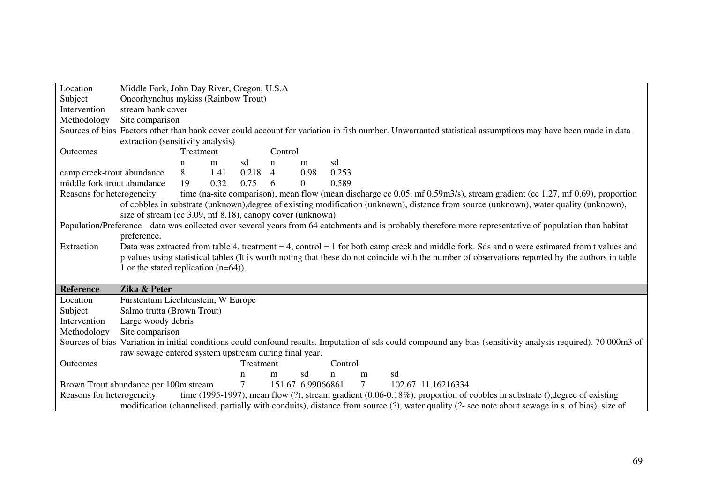| Location                                                                                                                                                         | Middle Fork, John Day River, Oregon, U.S.A                                                                                                                     |      |           |                                                            |               |         |    |  |  |                                                                                                                                                |                                                                                                                                                   |
|------------------------------------------------------------------------------------------------------------------------------------------------------------------|----------------------------------------------------------------------------------------------------------------------------------------------------------------|------|-----------|------------------------------------------------------------|---------------|---------|----|--|--|------------------------------------------------------------------------------------------------------------------------------------------------|---------------------------------------------------------------------------------------------------------------------------------------------------|
| Subject                                                                                                                                                          | Oncorhynchus mykiss (Rainbow Trout)                                                                                                                            |      |           |                                                            |               |         |    |  |  |                                                                                                                                                |                                                                                                                                                   |
| Intervention                                                                                                                                                     | stream bank cover                                                                                                                                              |      |           |                                                            |               |         |    |  |  |                                                                                                                                                |                                                                                                                                                   |
| Methodology<br>Site comparison                                                                                                                                   |                                                                                                                                                                |      |           |                                                            |               |         |    |  |  |                                                                                                                                                |                                                                                                                                                   |
| Sources of bias Factors other than bank cover could account for variation in fish number. Unwarranted statistical assumptions may have been made in data         |                                                                                                                                                                |      |           |                                                            |               |         |    |  |  |                                                                                                                                                |                                                                                                                                                   |
|                                                                                                                                                                  | extraction (sensitivity analysis)                                                                                                                              |      |           |                                                            |               |         |    |  |  |                                                                                                                                                |                                                                                                                                                   |
| Outcomes                                                                                                                                                         | Treatment                                                                                                                                                      |      |           | Control                                                    |               |         |    |  |  |                                                                                                                                                |                                                                                                                                                   |
|                                                                                                                                                                  | n                                                                                                                                                              | m    | sd        | n<br>m                                                     | sd            |         |    |  |  |                                                                                                                                                |                                                                                                                                                   |
| camp creek-trout abundance                                                                                                                                       | 8                                                                                                                                                              | 1.41 | $0.218$ 4 |                                                            | 0.98<br>0.253 |         |    |  |  |                                                                                                                                                |                                                                                                                                                   |
| middle fork-trout abundance                                                                                                                                      | 19                                                                                                                                                             | 0.32 | 0.75      | $\overline{0}$<br>6                                        | 0.589         |         |    |  |  |                                                                                                                                                |                                                                                                                                                   |
| Reasons for heterogeneity                                                                                                                                        |                                                                                                                                                                |      |           |                                                            |               |         |    |  |  | of cobbles in substrate (unknown), degree of existing modification (unknown), distance from source (unknown), water quality (unknown),         | time (na-site comparison), mean flow (mean discharge cc 0.05, mf 0.59m3/s), stream gradient (cc 1.27, mf 0.69), proportion                        |
|                                                                                                                                                                  |                                                                                                                                                                |      |           | size of stream (cc 3.09, mf 8.18), canopy cover (unknown). |               |         |    |  |  |                                                                                                                                                |                                                                                                                                                   |
| Population/Preference data was collected over several years from 64 catchments and is probably therefore more representative of population than habitat          |                                                                                                                                                                |      |           |                                                            |               |         |    |  |  |                                                                                                                                                |                                                                                                                                                   |
| preference.                                                                                                                                                      |                                                                                                                                                                |      |           |                                                            |               |         |    |  |  |                                                                                                                                                |                                                                                                                                                   |
| Extraction                                                                                                                                                       |                                                                                                                                                                |      |           |                                                            |               |         |    |  |  |                                                                                                                                                | Data was extracted from table 4. treatment $= 4$ , control $= 1$ for both camp creek and middle fork. Sds and n were estimated from t values and  |
|                                                                                                                                                                  |                                                                                                                                                                |      |           |                                                            |               |         |    |  |  |                                                                                                                                                | p values using statistical tables (It is worth noting that these do not coincide with the number of observations reported by the authors in table |
|                                                                                                                                                                  | 1 or the stated replication $(n=64)$ ).                                                                                                                        |      |           |                                                            |               |         |    |  |  |                                                                                                                                                |                                                                                                                                                   |
|                                                                                                                                                                  |                                                                                                                                                                |      |           |                                                            |               |         |    |  |  |                                                                                                                                                |                                                                                                                                                   |
| Zika & Peter<br><b>Reference</b>                                                                                                                                 |                                                                                                                                                                |      |           |                                                            |               |         |    |  |  |                                                                                                                                                |                                                                                                                                                   |
| Location                                                                                                                                                         | Furstentum Liechtenstein, W Europe                                                                                                                             |      |           |                                                            |               |         |    |  |  |                                                                                                                                                |                                                                                                                                                   |
| Subject                                                                                                                                                          | Salmo trutta (Brown Trout)                                                                                                                                     |      |           |                                                            |               |         |    |  |  |                                                                                                                                                |                                                                                                                                                   |
| Intervention<br>Large woody debris                                                                                                                               |                                                                                                                                                                |      |           |                                                            |               |         |    |  |  |                                                                                                                                                |                                                                                                                                                   |
| Methodology<br>Site comparison                                                                                                                                   |                                                                                                                                                                |      |           |                                                            |               |         |    |  |  |                                                                                                                                                |                                                                                                                                                   |
|                                                                                                                                                                  | Sources of bias Variation in initial conditions could confound results. Imputation of sds could compound any bias (sensitivity analysis required). 70 000m3 of |      |           |                                                            |               |         |    |  |  |                                                                                                                                                |                                                                                                                                                   |
|                                                                                                                                                                  |                                                                                                                                                                |      |           | raw sewage entered system upstream during final year.      |               |         |    |  |  |                                                                                                                                                |                                                                                                                                                   |
| Outcomes                                                                                                                                                         |                                                                                                                                                                |      | Treatment |                                                            |               | Control |    |  |  |                                                                                                                                                |                                                                                                                                                   |
|                                                                                                                                                                  |                                                                                                                                                                |      | n         | sd<br>m                                                    | n             | m       | sd |  |  |                                                                                                                                                |                                                                                                                                                   |
|                                                                                                                                                                  | $\tau$<br>151.67 6.99066861<br>$7\overline{ }$<br>102.67 11.16216334<br>Brown Trout abundance per 100m stream                                                  |      |           |                                                            |               |         |    |  |  |                                                                                                                                                |                                                                                                                                                   |
| time (1995-1997), mean flow $(?)$ , stream gradient $(0.06-0.18\%)$ , proportion of cobbles in substrate $(.)$ , degree of existing<br>Reasons for heterogeneity |                                                                                                                                                                |      |           |                                                            |               |         |    |  |  |                                                                                                                                                |                                                                                                                                                   |
|                                                                                                                                                                  |                                                                                                                                                                |      |           |                                                            |               |         |    |  |  | modification (channelised, partially with conduits), distance from source (?), water quality (?- see note about sewage in s. of bias), size of |                                                                                                                                                   |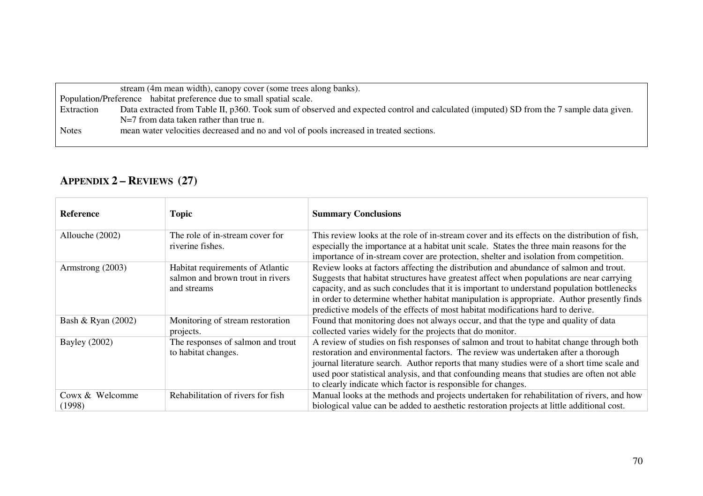|              | stream (4m mean width), canopy cover (some trees along banks).                                                                          |  |  |  |  |  |
|--------------|-----------------------------------------------------------------------------------------------------------------------------------------|--|--|--|--|--|
|              | Population/Preference habitat preference due to small spatial scale.                                                                    |  |  |  |  |  |
| Extraction   | Data extracted from Table II, p360. Took sum of observed and expected control and calculated (imputed) SD from the 7 sample data given. |  |  |  |  |  |
|              | $N=7$ from data taken rather than true n.                                                                                               |  |  |  |  |  |
| <b>Notes</b> | mean water velocities decreased and no and vol of pools increased in treated sections.                                                  |  |  |  |  |  |

## **APPENDIX 2 – <sup>R</sup>EVIEWS (27)**

| Reference                 | <b>Topic</b>                                                                        | <b>Summary Conclusions</b>                                                                                                                                                                                                                                                                                                                                                                                                                                    |
|---------------------------|-------------------------------------------------------------------------------------|---------------------------------------------------------------------------------------------------------------------------------------------------------------------------------------------------------------------------------------------------------------------------------------------------------------------------------------------------------------------------------------------------------------------------------------------------------------|
| Allouche (2002)           | The role of in-stream cover for<br>riverine fishes.                                 | This review looks at the role of in-stream cover and its effects on the distribution of fish,<br>especially the importance at a habitat unit scale. States the three main reasons for the<br>importance of in-stream cover are protection, shelter and isolation from competition.                                                                                                                                                                            |
| Armstrong (2003)          | Habitat requirements of Atlantic<br>salmon and brown trout in rivers<br>and streams | Review looks at factors affecting the distribution and abundance of salmon and trout.<br>Suggests that habitat structures have greatest affect when populations are near carrying<br>capacity, and as such concludes that it is important to understand population bottlenecks<br>in order to determine whether habitat manipulation is appropriate. Author presently finds<br>predictive models of the effects of most habitat modifications hard to derive. |
| Bash & Ryan (2002)        | Monitoring of stream restoration<br>projects.                                       | Found that monitoring does not always occur, and that the type and quality of data<br>collected varies widely for the projects that do monitor.                                                                                                                                                                                                                                                                                                               |
| <b>Bayley</b> (2002)      | The responses of salmon and trout<br>to habitat changes.                            | A review of studies on fish responses of salmon and trout to habitat change through both<br>restoration and environmental factors. The review was undertaken after a thorough<br>journal literature search. Author reports that many studies were of a short time scale and<br>used poor statistical analysis, and that confounding means that studies are often not able<br>to clearly indicate which factor is responsible for changes.                     |
| Cowx & Welcomme<br>(1998) | Rehabilitation of rivers for fish                                                   | Manual looks at the methods and projects undertaken for rehabilitation of rivers, and how<br>biological value can be added to aesthetic restoration projects at little additional cost.                                                                                                                                                                                                                                                                       |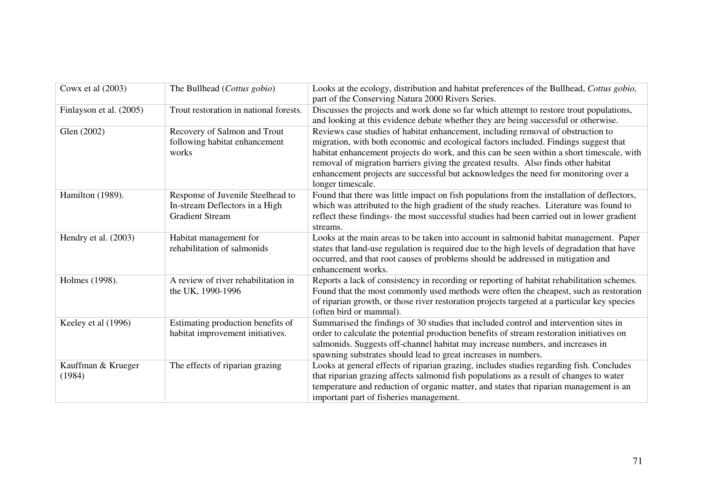| Cowx et al (2003)            | The Bullhead (Cottus gobio)                                                                   | Looks at the ecology, distribution and habitat preferences of the Bullhead, Cottus gobio,<br>part of the Conserving Natura 2000 Rivers Series.                                                                                                                                                                                                                                                                                                                           |
|------------------------------|-----------------------------------------------------------------------------------------------|--------------------------------------------------------------------------------------------------------------------------------------------------------------------------------------------------------------------------------------------------------------------------------------------------------------------------------------------------------------------------------------------------------------------------------------------------------------------------|
| Finlayson et al. (2005)      | Trout restoration in national forests.                                                        | Discusses the projects and work done so far which attempt to restore trout populations,<br>and looking at this evidence debate whether they are being successful or otherwise.                                                                                                                                                                                                                                                                                           |
| Glen (2002)                  | Recovery of Salmon and Trout<br>following habitat enhancement<br>works                        | Reviews case studies of habitat enhancement, including removal of obstruction to<br>migration, with both economic and ecological factors included. Findings suggest that<br>habitat enhancement projects do work, and this can be seen within a short timescale, with<br>removal of migration barriers giving the greatest results. Also finds other habitat<br>enhancement projects are successful but acknowledges the need for monitoring over a<br>longer timescale. |
| Hamilton (1989).             | Response of Juvenile Steelhead to<br>In-stream Deflectors in a High<br><b>Gradient Stream</b> | Found that there was little impact on fish populations from the installation of deflectors,<br>which was attributed to the high gradient of the study reaches. Literature was found to<br>reflect these findings- the most successful studies had been carried out in lower gradient<br>streams.                                                                                                                                                                         |
| Hendry et al. (2003)         | Habitat management for<br>rehabilitation of salmonids                                         | Looks at the main areas to be taken into account in salmonid habitat management. Paper<br>states that land-use regulation is required due to the high levels of degradation that have<br>occurred, and that root causes of problems should be addressed in mitigation and<br>enhancement works.                                                                                                                                                                          |
| Holmes (1998).               | A review of river rehabilitation in<br>the UK, 1990-1996                                      | Reports a lack of consistency in recording or reporting of habitat rehabilitation schemes.<br>Found that the most commonly used methods were often the cheapest, such as restoration<br>of riparian growth, or those river restoration projects targeted at a particular key species<br>(often bird or mammal).                                                                                                                                                          |
| Keeley et al (1996)          | Estimating production benefits of<br>habitat improvement initiatives.                         | Summarised the findings of 30 studies that included control and intervention sites in<br>order to calculate the potential production benefits of stream restoration initiatives on<br>salmonids. Suggests off-channel habitat may increase numbers, and increases in<br>spawning substrates should lead to great increases in numbers.                                                                                                                                   |
| Kauffman & Krueger<br>(1984) | The effects of riparian grazing                                                               | Looks at general effects of riparian grazing, includes studies regarding fish. Concludes<br>that riparian grazing affects salmonid fish populations as a result of changes to water<br>temperature and reduction of organic matter, and states that riparian management is an<br>important part of fisheries management.                                                                                                                                                 |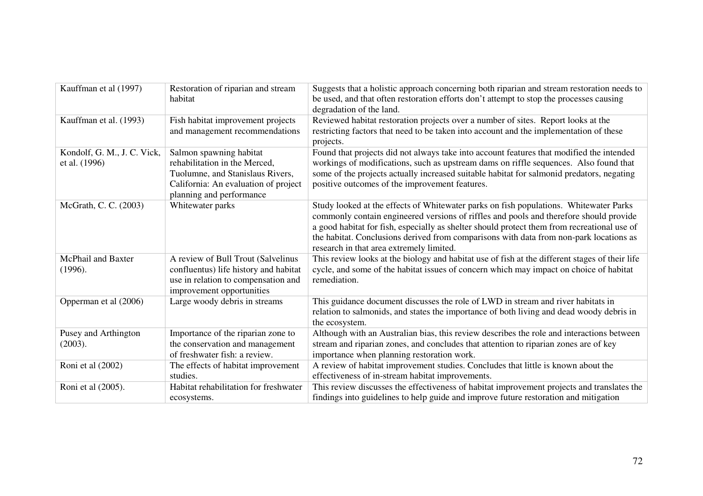| Kauffman et al (1997)                        | Restoration of riparian and stream<br>habitat                                                                                                                    | Suggests that a holistic approach concerning both riparian and stream restoration needs to<br>be used, and that often restoration efforts don't attempt to stop the processes causing<br>degradation of the land.                                                                                                                                                                                                    |
|----------------------------------------------|------------------------------------------------------------------------------------------------------------------------------------------------------------------|----------------------------------------------------------------------------------------------------------------------------------------------------------------------------------------------------------------------------------------------------------------------------------------------------------------------------------------------------------------------------------------------------------------------|
| Kauffman et al. (1993)                       | Fish habitat improvement projects<br>and management recommendations                                                                                              | Reviewed habitat restoration projects over a number of sites. Report looks at the<br>restricting factors that need to be taken into account and the implementation of these<br>projects.                                                                                                                                                                                                                             |
| Kondolf, G. M., J. C. Vick,<br>et al. (1996) | Salmon spawning habitat<br>rehabilitation in the Merced,<br>Tuolumne, and Stanislaus Rivers,<br>California: An evaluation of project<br>planning and performance | Found that projects did not always take into account features that modified the intended<br>workings of modifications, such as upstream dams on riffle sequences. Also found that<br>some of the projects actually increased suitable habitat for salmonid predators, negating<br>positive outcomes of the improvement features.                                                                                     |
| McGrath, C. C. (2003)                        | Whitewater parks                                                                                                                                                 | Study looked at the effects of Whitewater parks on fish populations. Whitewater Parks<br>commonly contain engineered versions of riffles and pools and therefore should provide<br>a good habitat for fish, especially as shelter should protect them from recreational use of<br>the habitat. Conclusions derived from comparisons with data from non-park locations as<br>research in that area extremely limited. |
| <b>McPhail and Baxter</b><br>(1996).         | A review of Bull Trout (Salvelinus<br>confluentus) life history and habitat<br>use in relation to compensation and<br>improvement opportunities                  | This review looks at the biology and habitat use of fish at the different stages of their life<br>cycle, and some of the habitat issues of concern which may impact on choice of habitat<br>remediation.                                                                                                                                                                                                             |
| Opperman et al (2006)                        | Large woody debris in streams                                                                                                                                    | This guidance document discusses the role of LWD in stream and river habitats in<br>relation to salmonids, and states the importance of both living and dead woody debris in<br>the ecosystem.                                                                                                                                                                                                                       |
| Pusey and Arthington<br>(2003).              | Importance of the riparian zone to<br>the conservation and management<br>of freshwater fish: a review.                                                           | Although with an Australian bias, this review describes the role and interactions between<br>stream and riparian zones, and concludes that attention to riparian zones are of key<br>importance when planning restoration work.                                                                                                                                                                                      |
| Roni et al (2002)                            | The effects of habitat improvement<br>studies.                                                                                                                   | A review of habitat improvement studies. Concludes that little is known about the<br>effectiveness of in-stream habitat improvements.                                                                                                                                                                                                                                                                                |
| Roni et al (2005).                           | Habitat rehabilitation for freshwater<br>ecosystems.                                                                                                             | This review discusses the effectiveness of habitat improvement projects and translates the<br>findings into guidelines to help guide and improve future restoration and mitigation                                                                                                                                                                                                                                   |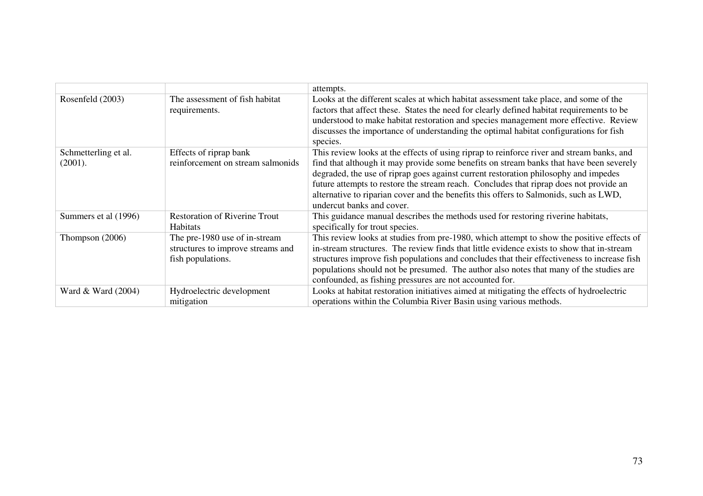|                                 |                                                                                         | attempts.                                                                                                                                                                                                                                                                                                                                                                                                                                                                                   |
|---------------------------------|-----------------------------------------------------------------------------------------|---------------------------------------------------------------------------------------------------------------------------------------------------------------------------------------------------------------------------------------------------------------------------------------------------------------------------------------------------------------------------------------------------------------------------------------------------------------------------------------------|
| Rosenfeld (2003)                | The assessment of fish habitat<br>requirements.                                         | Looks at the different scales at which habitat assessment take place, and some of the<br>factors that affect these. States the need for clearly defined habitat requirements to be<br>understood to make habitat restoration and species management more effective. Review<br>discusses the importance of understanding the optimal habitat configurations for fish<br>species.                                                                                                             |
| Schmetterling et al.<br>(2001). | Effects of riprap bank<br>reinforcement on stream salmonids                             | This review looks at the effects of using riprap to reinforce river and stream banks, and<br>find that although it may provide some benefits on stream banks that have been severely<br>degraded, the use of riprap goes against current restoration philosophy and impedes<br>future attempts to restore the stream reach. Concludes that riprap does not provide an<br>alternative to riparian cover and the benefits this offers to Salmonids, such as LWD,<br>undercut banks and cover. |
| Summers et al (1996)            | <b>Restoration of Riverine Trout</b><br><b>Habitats</b>                                 | This guidance manual describes the methods used for restoring riverine habitats,<br>specifically for trout species.                                                                                                                                                                                                                                                                                                                                                                         |
| Thompson $(2006)$               | The pre-1980 use of in-stream<br>structures to improve streams and<br>fish populations. | This review looks at studies from pre-1980, which attempt to show the positive effects of<br>in-stream structures. The review finds that little evidence exists to show that in-stream<br>structures improve fish populations and concludes that their effectiveness to increase fish<br>populations should not be presumed. The author also notes that many of the studies are<br>confounded, as fishing pressures are not accounted for.                                                  |
| Ward $& Ward(2004)$             | Hydroelectric development<br>mitigation                                                 | Looks at habitat restoration initiatives aimed at mitigating the effects of hydroelectric<br>operations within the Columbia River Basin using various methods.                                                                                                                                                                                                                                                                                                                              |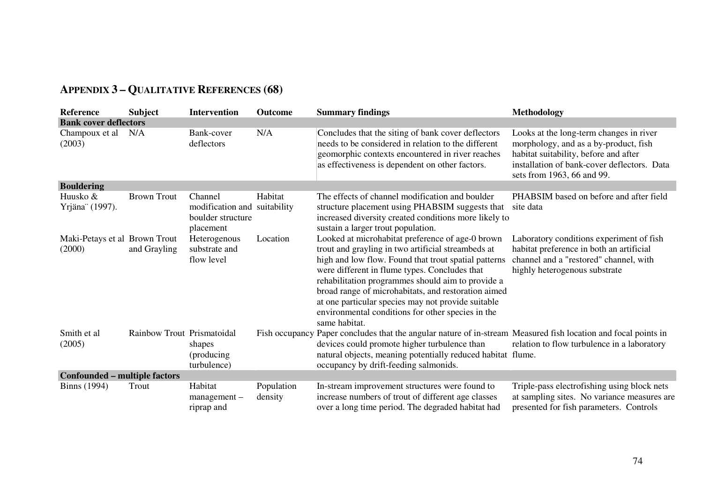| Reference                               | <b>Subject</b>             | <b>Intervention</b>                                                       | <b>Outcome</b>        | <b>Summary findings</b>                                                                                                                                                                                                                                                                                                                                                                                                                                 | Methodology                                                                                                                                                                                            |
|-----------------------------------------|----------------------------|---------------------------------------------------------------------------|-----------------------|---------------------------------------------------------------------------------------------------------------------------------------------------------------------------------------------------------------------------------------------------------------------------------------------------------------------------------------------------------------------------------------------------------------------------------------------------------|--------------------------------------------------------------------------------------------------------------------------------------------------------------------------------------------------------|
| <b>Bank cover deflectors</b>            |                            |                                                                           |                       |                                                                                                                                                                                                                                                                                                                                                                                                                                                         |                                                                                                                                                                                                        |
| Champoux et al<br>(2003)                | N/A                        | Bank-cover<br>deflectors                                                  | N/A                   | Concludes that the siting of bank cover deflectors<br>needs to be considered in relation to the different<br>geomorphic contexts encountered in river reaches<br>as effectiveness is dependent on other factors.                                                                                                                                                                                                                                        | Looks at the long-term changes in river<br>morphology, and as a by-product, fish<br>habitat suitability, before and after<br>installation of bank-cover deflectors. Data<br>sets from 1963, 66 and 99. |
| <b>Bouldering</b>                       |                            |                                                                           |                       |                                                                                                                                                                                                                                                                                                                                                                                                                                                         |                                                                                                                                                                                                        |
| Huusko &<br>Yrjäna" (1997).             | <b>Brown Trout</b>         | Channel<br>modification and suitability<br>boulder structure<br>placement | Habitat               | The effects of channel modification and boulder<br>structure placement using PHABSIM suggests that<br>increased diversity created conditions more likely to<br>sustain a larger trout population.                                                                                                                                                                                                                                                       | PHABSIM based on before and after field<br>site data                                                                                                                                                   |
| Maki-Petays et al Brown Trout<br>(2000) | and Grayling               | Heterogenous<br>substrate and<br>flow level                               | Location              | Looked at microhabitat preference of age-0 brown<br>trout and grayling in two artificial streambeds at<br>high and low flow. Found that trout spatial patterns<br>were different in flume types. Concludes that<br>rehabilitation programmes should aim to provide a<br>broad range of microhabitats, and restoration aimed<br>at one particular species may not provide suitable<br>environmental conditions for other species in the<br>same habitat. | Laboratory conditions experiment of fish<br>habitat preference in both an artificial<br>channel and a "restored" channel, with<br>highly heterogenous substrate                                        |
| Smith et al<br>(2005)                   | Rainbow Trout Prismatoidal | shapes<br>(producing)<br>turbulence)                                      |                       | Fish occupancy Paper concludes that the angular nature of in-stream Measured fish location and focal points in<br>devices could promote higher turbulence than<br>natural objects, meaning potentially reduced habitat flume.<br>occupancy by drift-feeding salmonids.                                                                                                                                                                                  | relation to flow turbulence in a laboratory                                                                                                                                                            |
| <b>Confounded – multiple factors</b>    |                            |                                                                           |                       |                                                                                                                                                                                                                                                                                                                                                                                                                                                         |                                                                                                                                                                                                        |
| <b>Binns</b> (1994)                     | Trout                      | Habitat<br>management-<br>riprap and                                      | Population<br>density | In-stream improvement structures were found to<br>increase numbers of trout of different age classes<br>over a long time period. The degraded habitat had                                                                                                                                                                                                                                                                                               | Triple-pass electrofishing using block nets<br>at sampling sites. No variance measures are<br>presented for fish parameters. Controls                                                                  |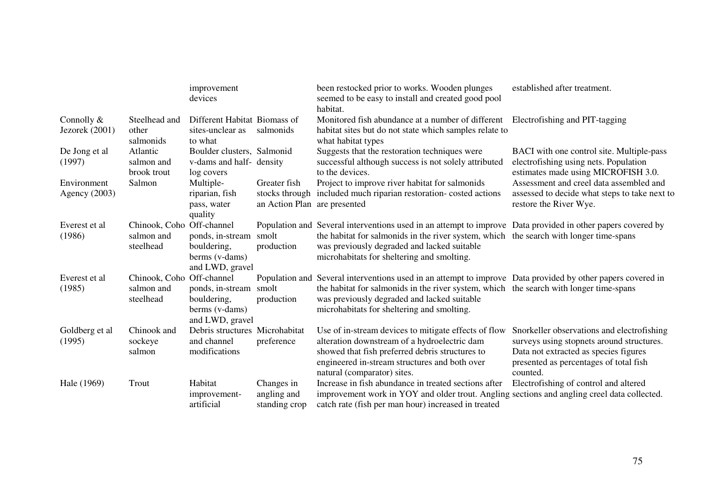|                                |                                                      | improvement<br>devices                                                     |                                              | been restocked prior to works. Wooden plunges<br>seemed to be easy to install and created good pool<br>habitat.                                                                                                                                                                                    | established after treatment.                                                                                                                                                           |
|--------------------------------|------------------------------------------------------|----------------------------------------------------------------------------|----------------------------------------------|----------------------------------------------------------------------------------------------------------------------------------------------------------------------------------------------------------------------------------------------------------------------------------------------------|----------------------------------------------------------------------------------------------------------------------------------------------------------------------------------------|
| Connolly $&$<br>Jezorek (2001) | Steelhead and<br>other<br>salmonids                  | Different Habitat Biomass of<br>sites-unclear as<br>to what                | salmonids                                    | Monitored fish abundance at a number of different<br>habitat sites but do not state which samples relate to<br>what habitat types                                                                                                                                                                  | Electrofishing and PIT-tagging                                                                                                                                                         |
| De Jong et al<br>(1997)        | Atlantic<br>salmon and<br>brook trout                | Boulder clusters, Salmonid<br>v-dams and half- density<br>log covers       |                                              | Suggests that the restoration techniques were<br>successful although success is not solely attributed<br>to the devices.                                                                                                                                                                           | BACI with one control site. Multiple-pass<br>electrofishing using nets. Population<br>estimates made using MICROFISH 3.0.                                                              |
| Environment<br>Agency (2003)   | Salmon                                               | Multiple-<br>riparian, fish<br>pass, water<br>quality                      | Greater fish<br>an Action Plan are presented | Project to improve river habitat for salmonids<br>stocks through included much riparian restoration-costed actions                                                                                                                                                                                 | Assessment and creel data assembled and<br>assessed to decide what steps to take next to<br>restore the River Wye.                                                                     |
| Everest et al<br>(1986)        | Chinook, Coho Off-channel<br>salmon and<br>steelhead | ponds, in-stream<br>bouldering,<br>berms (v-dams)<br>and LWD, gravel       | smolt<br>production                          | Population and Several interventions used in an attempt to improve Data provided in other papers covered by<br>the habitat for salmonids in the river system, which the search with longer time-spans<br>was previously degraded and lacked suitable<br>microhabitats for sheltering and smolting. |                                                                                                                                                                                        |
| Everest et al<br>(1985)        | Chinook, Coho Off-channel<br>salmon and<br>steelhead | ponds, in-stream smolt<br>bouldering,<br>berms (v-dams)<br>and LWD, gravel | production                                   | Population and Several interventions used in an attempt to improve Data provided by other papers covered in<br>the habitat for salmonids in the river system, which the search with longer time-spans<br>was previously degraded and lacked suitable<br>microhabitats for sheltering and smolting. |                                                                                                                                                                                        |
| Goldberg et al<br>(1995)       | Chinook and<br>sockeye<br>salmon                     | Debris structures Microhabitat<br>and channel<br>modifications             | preference                                   | Use of in-stream devices to mitigate effects of flow<br>alteration downstream of a hydroelectric dam<br>showed that fish preferred debris structures to<br>engineered in-stream structures and both over<br>natural (comparator) sites.                                                            | Snorkeller observations and electrofishing<br>surveys using stopnets around structures.<br>Data not extracted as species figures<br>presented as percentages of total fish<br>counted. |
| Hale (1969)                    | Trout                                                | Habitat<br>improvement-<br>artificial                                      | Changes in<br>angling and<br>standing crop   | Increase in fish abundance in treated sections after<br>improvement work in YOY and older trout. Angling sections and angling creel data collected.<br>catch rate (fish per man hour) increased in treated                                                                                         | Electrofishing of control and altered                                                                                                                                                  |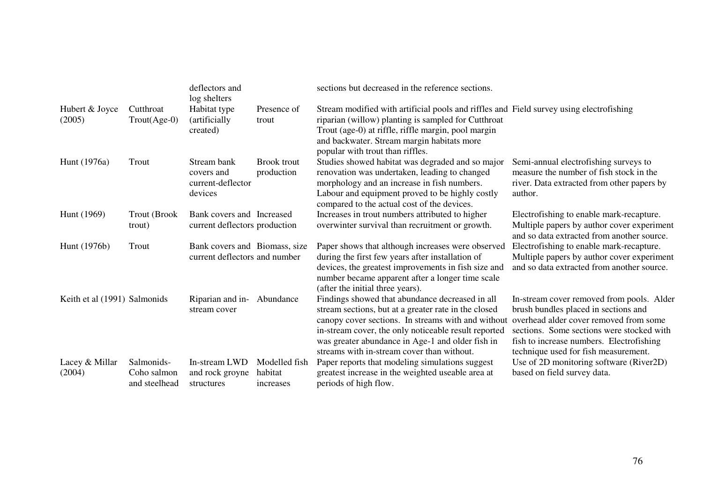|                              |                                            | deflectors and<br>log shelters                                 |                                       | sections but decreased in the reference sections.                                                                                                                                                                                                                                                                       |                                                                                                                                                                                                                                                              |
|------------------------------|--------------------------------------------|----------------------------------------------------------------|---------------------------------------|-------------------------------------------------------------------------------------------------------------------------------------------------------------------------------------------------------------------------------------------------------------------------------------------------------------------------|--------------------------------------------------------------------------------------------------------------------------------------------------------------------------------------------------------------------------------------------------------------|
| Hubert & Joyce<br>(2005)     | Cutthroat<br>Trout(Age-0)                  | Habitat type<br>(artificially)<br>created)                     | Presence of<br>trout                  | Stream modified with artificial pools and riffles and Field survey using electrofishing<br>riparian (willow) planting is sampled for Cutthroat<br>Trout (age-0) at riffle, riffle margin, pool margin<br>and backwater. Stream margin habitats more<br>popular with trout than riffles.                                 |                                                                                                                                                                                                                                                              |
| Hunt (1976a)                 | Trout                                      | Stream bank<br>covers and<br>current-deflector<br>devices      | <b>Brook</b> trout<br>production      | Studies showed habitat was degraded and so major<br>renovation was undertaken, leading to changed<br>morphology and an increase in fish numbers.<br>Labour and equipment proved to be highly costly<br>compared to the actual cost of the devices.                                                                      | Semi-annual electrofishing surveys to<br>measure the number of fish stock in the<br>river. Data extracted from other papers by<br>author.                                                                                                                    |
| Hunt (1969)                  | <b>Trout (Brook)</b><br>trout)             | Bank covers and Increased<br>current deflectors production     |                                       | Increases in trout numbers attributed to higher<br>overwinter survival than recruitment or growth.                                                                                                                                                                                                                      | Electrofishing to enable mark-recapture.<br>Multiple papers by author cover experiment<br>and so data extracted from another source.                                                                                                                         |
| Hunt (1976b)                 | Trout                                      | Bank covers and Biomass, size<br>current deflectors and number |                                       | Paper shows that although increases were observed<br>during the first few years after installation of<br>devices, the greatest improvements in fish size and<br>number became apparent after a longer time scale<br>(after the initial three years).                                                                    | Electrofishing to enable mark-recapture.<br>Multiple papers by author cover experiment<br>and so data extracted from another source.                                                                                                                         |
| Keith et al (1991) Salmonids |                                            | Riparian and in- Abundance<br>stream cover                     |                                       | Findings showed that abundance decreased in all<br>stream sections, but at a greater rate in the closed<br>canopy cover sections. In streams with and without<br>in-stream cover, the only noticeable result reported<br>was greater abundance in Age-1 and older fish in<br>streams with in-stream cover than without. | In-stream cover removed from pools. Alder<br>brush bundles placed in sections and<br>overhead alder cover removed from some<br>sections. Some sections were stocked with<br>fish to increase numbers. Electrofishing<br>technique used for fish measurement. |
| Lacey & Millar<br>(2004)     | Salmonids-<br>Coho salmon<br>and steelhead | In-stream LWD<br>and rock groyne<br>structures                 | Modelled fish<br>habitat<br>increases | Paper reports that modeling simulations suggest<br>greatest increase in the weighted useable area at<br>periods of high flow.                                                                                                                                                                                           | Use of 2D monitoring software (River2D)<br>based on field survey data.                                                                                                                                                                                       |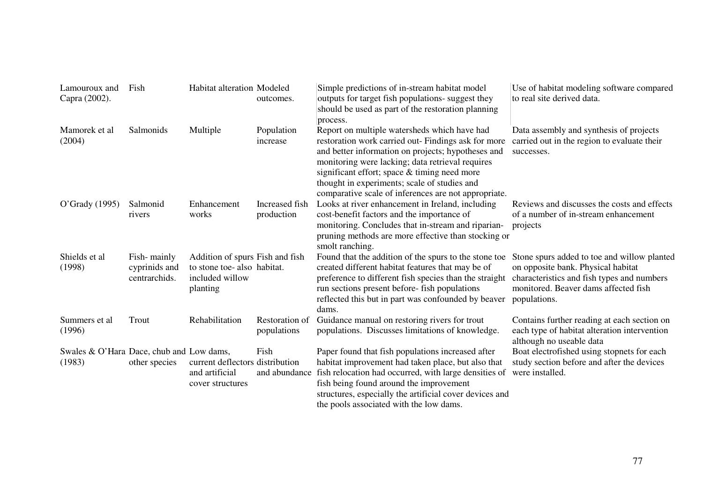| Lamouroux and<br>Capra (2002).                     | Fish                                          | <b>Habitat alteration Modeled</b>                                                            | outcomes.                     | Simple predictions of in-stream habitat model<br>outputs for target fish populations- suggest they<br>should be used as part of the restoration planning<br>process.                                                                                                                                                                                                  | Use of habitat modeling software compared<br>to real site derived data.                                                                                                                 |
|----------------------------------------------------|-----------------------------------------------|----------------------------------------------------------------------------------------------|-------------------------------|-----------------------------------------------------------------------------------------------------------------------------------------------------------------------------------------------------------------------------------------------------------------------------------------------------------------------------------------------------------------------|-----------------------------------------------------------------------------------------------------------------------------------------------------------------------------------------|
| Mamorek et al<br>(2004)                            | Salmonids                                     | Multiple                                                                                     | Population<br>increase        | Report on multiple watersheds which have had<br>restoration work carried out- Findings ask for more<br>and better information on projects; hypotheses and<br>monitoring were lacking; data retrieval requires<br>significant effort; space & timing need more<br>thought in experiments; scale of studies and<br>comparative scale of inferences are not appropriate. | Data assembly and synthesis of projects<br>carried out in the region to evaluate their<br>successes.                                                                                    |
| O'Grady (1995)                                     | Salmonid<br>rivers                            | Enhancement<br>works                                                                         | Increased fish<br>production  | Looks at river enhancement in Ireland, including<br>cost-benefit factors and the importance of<br>monitoring. Concludes that in-stream and riparian-<br>pruning methods are more effective than stocking or<br>smolt ranching.                                                                                                                                        | Reviews and discusses the costs and effects<br>of a number of in-stream enhancement<br>projects                                                                                         |
| Shields et al.<br>(1998)                           | Fish-mainly<br>cyprinids and<br>centrarchids. | Addition of spurs Fish and fish<br>to stone toe-also habitat.<br>included willow<br>planting |                               | Found that the addition of the spurs to the stone toe<br>created different habitat features that may be of<br>preference to different fish species than the straight<br>run sections present before-fish populations<br>reflected this but in part was confounded by beaver<br>dams.                                                                                  | Stone spurs added to toe and willow planted<br>on opposite bank. Physical habitat<br>characteristics and fish types and numbers<br>monitored. Beaver dams affected fish<br>populations. |
| Summers et al.<br>(1996)                           | Trout                                         | Rehabilitation                                                                               | Restoration of<br>populations | Guidance manual on restoring rivers for trout<br>populations. Discusses limitations of knowledge.                                                                                                                                                                                                                                                                     | Contains further reading at each section on<br>each type of habitat alteration intervention<br>although no useable data                                                                 |
| Swales & O'Hara Dace, chub and Low dams,<br>(1983) | other species                                 | current deflectors distribution<br>and artificial<br>cover structures                        | Fish<br>and abundance         | Paper found that fish populations increased after<br>habitat improvement had taken place, but also that<br>fish relocation had occurred, with large densities of<br>fish being found around the improvement<br>structures, especially the artificial cover devices and<br>the pools associated with the low dams.                                                     | Boat electrofished using stopnets for each<br>study section before and after the devices<br>were installed.                                                                             |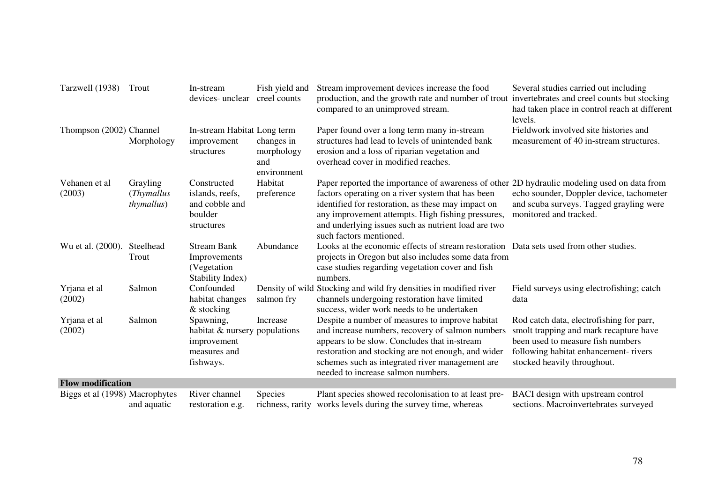| Tarzwell (1938)                | Trout                                                | In-stream<br>devices- unclear creel counts                                             | Fish yield and                                 | Stream improvement devices increase the food<br>production, and the growth rate and number of trout invertebrates and creel counts but stocking<br>compared to an unimproved stream.                                                                                                                                                          | Several studies carried out including<br>had taken place in control reach at different<br>levels.                                                                                              |
|--------------------------------|------------------------------------------------------|----------------------------------------------------------------------------------------|------------------------------------------------|-----------------------------------------------------------------------------------------------------------------------------------------------------------------------------------------------------------------------------------------------------------------------------------------------------------------------------------------------|------------------------------------------------------------------------------------------------------------------------------------------------------------------------------------------------|
| Thompson (2002) Channel        | Morphology                                           | In-stream Habitat Long term<br>improvement<br>structures                               | changes in<br>morphology<br>and<br>environment | Paper found over a long term many in-stream<br>structures had lead to levels of unintended bank<br>erosion and a loss of riparian vegetation and<br>overhead cover in modified reaches.                                                                                                                                                       | Fieldwork involved site histories and<br>measurement of 40 in-stream structures.                                                                                                               |
| Vehanen et al<br>(2003)        | Grayling<br>( <i>Thymallus</i><br><i>thymallus</i> ) | Constructed<br>islands, reefs,<br>and cobble and<br>boulder<br>structures              | Habitat<br>preference                          | Paper reported the importance of awareness of other 2D hydraulic modeling used on data from<br>factors operating on a river system that has been<br>identified for restoration, as these may impact on<br>any improvement attempts. High fishing pressures,<br>and underlying issues such as nutrient load are two<br>such factors mentioned. | echo sounder, Doppler device, tachometer<br>and scuba surveys. Tagged grayling were<br>monitored and tracked.                                                                                  |
| Wu et al. (2000).              | Steelhead<br>Trout                                   | <b>Stream Bank</b><br>Improvements<br>(Vegetation)<br>Stability Index)                 | Abundance                                      | Looks at the economic effects of stream restoration Data sets used from other studies.<br>projects in Oregon but also includes some data from<br>case studies regarding vegetation cover and fish<br>numbers.                                                                                                                                 |                                                                                                                                                                                                |
| Yrjana et al<br>(2002)         | Salmon                                               | Confounded<br>habitat changes<br>& stocking                                            | salmon fry                                     | Density of wild Stocking and wild fry densities in modified river<br>channels undergoing restoration have limited<br>success, wider work needs to be undertaken                                                                                                                                                                               | Field surveys using electrofishing; catch<br>data                                                                                                                                              |
| Yrjana et al<br>(2002)         | Salmon                                               | Spawning,<br>habitat & nursery populations<br>improvement<br>measures and<br>fishways. | Increase                                       | Despite a number of measures to improve habitat<br>and increase numbers, recovery of salmon numbers<br>appears to be slow. Concludes that in-stream<br>restoration and stocking are not enough, and wider<br>schemes such as integrated river management are<br>needed to increase salmon numbers.                                            | Rod catch data, electrofishing for parr,<br>smolt trapping and mark recapture have<br>been used to measure fish numbers<br>following habitat enhancement-rivers<br>stocked heavily throughout. |
| <b>Flow modification</b>       |                                                      |                                                                                        |                                                |                                                                                                                                                                                                                                                                                                                                               |                                                                                                                                                                                                |
| Biggs et al (1998) Macrophytes | and aquatic                                          | River channel<br>restoration e.g.                                                      | Species<br>richness, rarity                    | Plant species showed recolonisation to at least pre-<br>works levels during the survey time, whereas                                                                                                                                                                                                                                          | BACI design with upstream control<br>sections. Macroinvertebrates surveyed                                                                                                                     |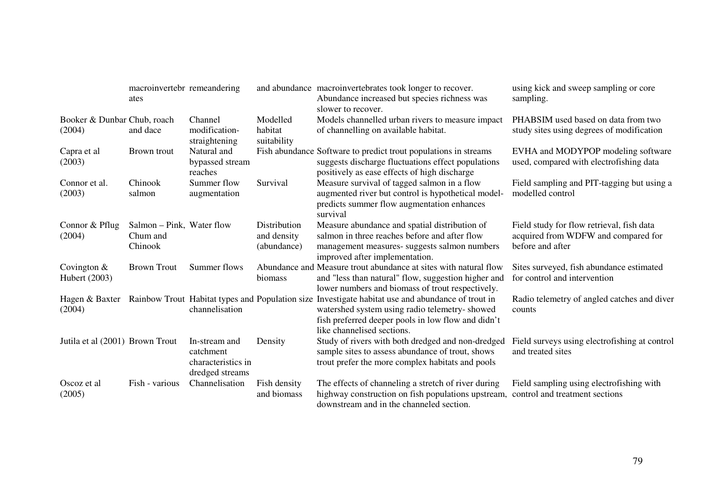|                                       | macroinvertebr remeandering<br>ates              |                                                                     |                                            | and abundance macroinvertebrates took longer to recover.<br>Abundance increased but species richness was<br>slower to recover.                                                                                                                         | using kick and sweep sampling or core<br>sampling.                                                   |
|---------------------------------------|--------------------------------------------------|---------------------------------------------------------------------|--------------------------------------------|--------------------------------------------------------------------------------------------------------------------------------------------------------------------------------------------------------------------------------------------------------|------------------------------------------------------------------------------------------------------|
| Booker & Dunbar Chub, roach<br>(2004) | and dace                                         | Channel<br>modification-<br>straightening                           | Modelled<br>habitat<br>suitability         | Models channelled urban rivers to measure impact<br>of channelling on available habitat.                                                                                                                                                               | PHABSIM used based on data from two<br>study sites using degrees of modification                     |
| Capra et al<br>(2003)                 | Brown trout                                      | Natural and<br>bypassed stream<br>reaches                           |                                            | Fish abundance Software to predict trout populations in streams<br>suggests discharge fluctuations effect populations<br>positively as ease effects of high discharge                                                                                  | EVHA and MODYPOP modeling software<br>used, compared with electrofishing data                        |
| Connor et al.<br>(2003)               | Chinook<br>salmon                                | Summer flow<br>augmentation                                         | Survival                                   | Measure survival of tagged salmon in a flow<br>augmented river but control is hypothetical model-<br>predicts summer flow augmentation enhances<br>survival                                                                                            | Field sampling and PIT-tagging but using a<br>modelled control                                       |
| Connor & Pflug<br>(2004)              | Salmon – Pink, Water flow<br>Chum and<br>Chinook |                                                                     | Distribution<br>and density<br>(abundance) | Measure abundance and spatial distribution of<br>salmon in three reaches before and after flow<br>management measures- suggests salmon numbers<br>improved after implementation.                                                                       | Field study for flow retrieval, fish data<br>acquired from WDFW and compared for<br>before and after |
| Covington $&$<br>Hubert (2003)        | <b>Brown Trout</b>                               | Summer flows                                                        | biomass                                    | Abundance and Measure trout abundance at sites with natural flow<br>and "less than natural" flow, suggestion higher and<br>lower numbers and biomass of trout respectively.                                                                            | Sites surveyed, fish abundance estimated<br>for control and intervention                             |
| (2004)                                |                                                  | channelisation                                                      |                                            | Hagen & Baxter Rainbow Trout Habitat types and Population size Investigate habitat use and abundance of trout in<br>watershed system using radio telemetry- showed<br>fish preferred deeper pools in low flow and didn't<br>like channelised sections. | Radio telemetry of angled catches and diver<br>counts                                                |
| Jutila et al (2001) Brown Trout       |                                                  | In-stream and<br>catchment<br>characteristics in<br>dredged streams | Density                                    | Study of rivers with both dredged and non-dredged<br>sample sites to assess abundance of trout, shows<br>trout prefer the more complex habitats and pools                                                                                              | Field surveys using electrofishing at control<br>and treated sites                                   |
| Oscoz et al<br>(2005)                 | Fish - various                                   | Channelisation                                                      | Fish density<br>and biomass                | The effects of channeling a stretch of river during<br>highway construction on fish populations upstream,<br>downstream and in the channeled section.                                                                                                  | Field sampling using electrofishing with<br>control and treatment sections                           |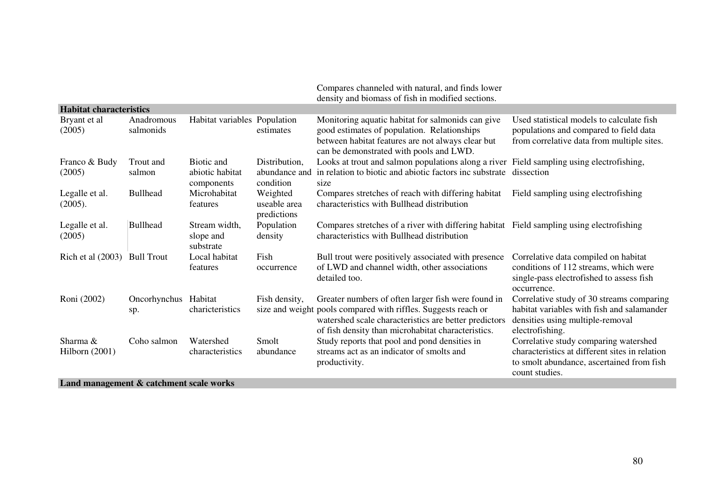|                                                                                                       |                             |                                             |                                             | Compares channeled with natural, and finds lower<br>density and biomass of fish in modified sections.                                                                                                                               |                                                                                                                                                        |
|-------------------------------------------------------------------------------------------------------|-----------------------------|---------------------------------------------|---------------------------------------------|-------------------------------------------------------------------------------------------------------------------------------------------------------------------------------------------------------------------------------------|--------------------------------------------------------------------------------------------------------------------------------------------------------|
| <b>Habitat characteristics</b>                                                                        |                             |                                             |                                             |                                                                                                                                                                                                                                     |                                                                                                                                                        |
| Bryant et al<br>(2005)                                                                                | Anadromous<br>salmonids     | Habitat variables Population                | estimates                                   | Monitoring aquatic habitat for salmonids can give<br>good estimates of population. Relationships<br>between habitat features are not always clear but<br>can be demonstrated with pools and LWD.                                    | Used statistical models to calculate fish<br>populations and compared to field data<br>from correlative data from multiple sites.                      |
| Franco & Budy<br>(2005)                                                                               | Trout and<br>salmon         | Biotic and<br>abiotic habitat<br>components | Distribution,<br>abundance and<br>condition | Looks at trout and salmon populations along a river Field sampling using electrofishing,<br>in relation to biotic and abiotic factors inc substrate<br>size                                                                         | dissection                                                                                                                                             |
| Legalle et al.<br>(2005).                                                                             | <b>Bullhead</b>             | Microhabitat<br>features                    | Weighted<br>useable area<br>predictions     | Compares stretches of reach with differing habitat<br>characteristics with Bullhead distribution                                                                                                                                    | Field sampling using electrofishing                                                                                                                    |
| Legalle et al.<br>(2005)                                                                              | <b>Bullhead</b>             | Stream width,<br>slope and<br>substrate     | Population<br>density                       | Compares stretches of a river with differing habitat Field sampling using electrofishing<br>characteristics with Bullhead distribution                                                                                              |                                                                                                                                                        |
| Rich et al (2003) Bull Trout                                                                          |                             | Local habitat<br>features                   | Fish<br>occurrence                          | Bull trout were positively associated with presence<br>of LWD and channel width, other associations<br>detailed too.                                                                                                                | Correlative data compiled on habitat<br>conditions of 112 streams, which were<br>single-pass electrofished to assess fish<br>occurrence.               |
| Roni (2002)                                                                                           | Oncorhynchus Habitat<br>sp. | charicteristics                             | Fish density,                               | Greater numbers of often larger fish were found in<br>size and weight pools compared with riffles. Suggests reach or<br>watershed scale characteristics are better predictors<br>of fish density than microhabitat characteristics. | Correlative study of 30 streams comparing<br>habitat variables with fish and salamander<br>densities using multiple-removal<br>electrofishing.         |
| Sharma &<br>Hilborn $(2001)$<br>$\mathbf{I}$ and more convent $\mathbf{0}$ and because the sale model | Coho salmon                 | Watershed<br>characteristics                | Smolt<br>abundance                          | Study reports that pool and pond densities in<br>streams act as an indicator of smolts and<br>productivity.                                                                                                                         | Correlative study comparing watershed<br>characteristics at different sites in relation<br>to smolt abundance, ascertained from fish<br>count studies. |

**Land management & catchment scale works**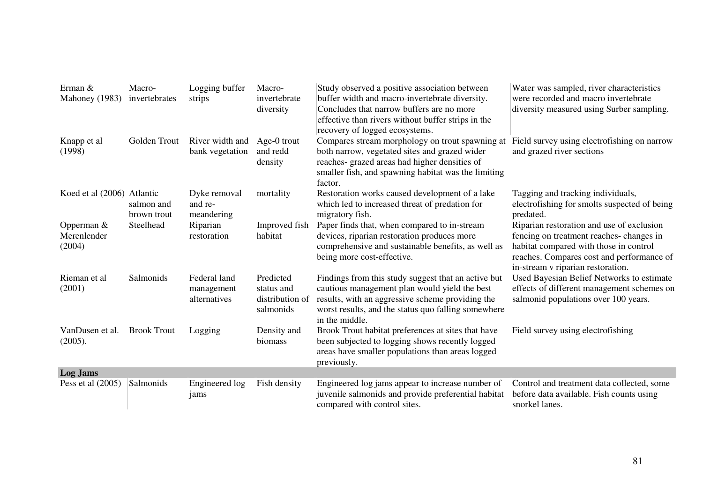| Erman &<br>Mahoney (1983)             | Macro-<br>invertebrates   | Logging buffer<br>strips                   | Macro-<br>invertebrate<br>diversity                     | Study observed a positive association between<br>buffer width and macro-invertebrate diversity.<br>Concludes that narrow buffers are no more<br>effective than rivers without buffer strips in the<br>recovery of logged ecosystems. | Water was sampled, river characteristics<br>were recorded and macro invertebrate<br>diversity measured using Surber sampling.                                                                                    |
|---------------------------------------|---------------------------|--------------------------------------------|---------------------------------------------------------|--------------------------------------------------------------------------------------------------------------------------------------------------------------------------------------------------------------------------------------|------------------------------------------------------------------------------------------------------------------------------------------------------------------------------------------------------------------|
| Knapp et al<br>(1998)                 | Golden Trout              | River width and<br>bank vegetation         | Age-0 trout<br>and redd<br>density                      | Compares stream morphology on trout spawning at<br>both narrow, vegetated sites and grazed wider<br>reaches- grazed areas had higher densities of<br>smaller fish, and spawning habitat was the limiting<br>factor.                  | Field survey using electrofishing on narrow<br>and grazed river sections                                                                                                                                         |
| Koed et al (2006) Atlantic            | salmon and<br>brown trout | Dyke removal<br>and re-<br>meandering      | mortality                                               | Restoration works caused development of a lake<br>which led to increased threat of predation for<br>migratory fish.                                                                                                                  | Tagging and tracking individuals,<br>electrofishing for smolts suspected of being<br>predated.                                                                                                                   |
| Opperman $&$<br>Merenlender<br>(2004) | Steelhead                 | Riparian<br>restoration                    | Improved fish<br>habitat                                | Paper finds that, when compared to in-stream<br>devices, riparian restoration produces more<br>comprehensive and sustainable benefits, as well as<br>being more cost-effective.                                                      | Riparian restoration and use of exclusion<br>fencing on treatment reaches-changes in<br>habitat compared with those in control<br>reaches. Compares cost and performance of<br>in-stream v riparian restoration. |
| Rieman et al<br>(2001)                | Salmonids                 | Federal land<br>management<br>alternatives | Predicted<br>status and<br>distribution of<br>salmonids | Findings from this study suggest that an active but<br>cautious management plan would yield the best<br>results, with an aggressive scheme providing the<br>worst results, and the status quo falling somewhere<br>in the middle.    | Used Bayesian Belief Networks to estimate<br>effects of different management schemes on<br>salmonid populations over 100 years.                                                                                  |
| VanDusen et al.<br>(2005).            | <b>Brook Trout</b>        | Logging                                    | Density and<br>biomass                                  | Brook Trout habitat preferences at sites that have<br>been subjected to logging shows recently logged<br>areas have smaller populations than areas logged<br>previously.                                                             | Field survey using electrofishing                                                                                                                                                                                |
| <b>Log Jams</b>                       |                           |                                            |                                                         |                                                                                                                                                                                                                                      |                                                                                                                                                                                                                  |
| Pess et al $(2005)$                   | Salmonids                 | Engineered log<br>jams                     | Fish density                                            | Engineered log jams appear to increase number of<br>juvenile salmonids and provide preferential habitat<br>compared with control sites.                                                                                              | Control and treatment data collected, some<br>before data available. Fish counts using<br>snorkel lanes.                                                                                                         |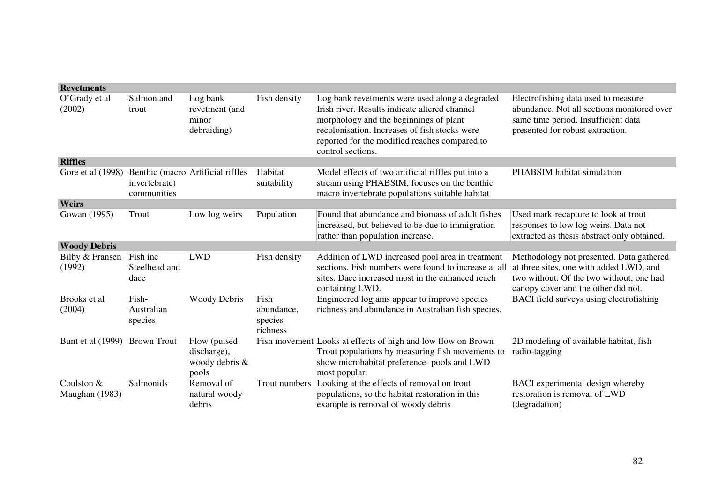| <b>Revetments</b>             |                                   |                                                        |                                           |                                                                                                                                                                                                                                                                  |                                                                                                                                                                        |
|-------------------------------|-----------------------------------|--------------------------------------------------------|-------------------------------------------|------------------------------------------------------------------------------------------------------------------------------------------------------------------------------------------------------------------------------------------------------------------|------------------------------------------------------------------------------------------------------------------------------------------------------------------------|
| O'Grady et al<br>(2002)       | Salmon and<br>trout               | Log bank<br>revetment (and<br>minor<br>debraiding)     | Fish density                              | Log bank revetments were used along a degraded<br>Irish river. Results indicate altered channel<br>morphology and the beginnings of plant<br>recolonisation. Increases of fish stocks were<br>reported for the modified reaches compared to<br>control sections. | Electrofishing data used to measure<br>abundance. Not all sections monitored over<br>same time period. Insufficient data<br>presented for robust extraction.           |
| <b>Riffles</b>                |                                   |                                                        |                                           |                                                                                                                                                                                                                                                                  |                                                                                                                                                                        |
| Gore et al (1998)             | invertebrate)<br>communities      | Benthic (macro Artificial riffles                      | Habitat<br>suitability                    | Model effects of two artificial riffles put into a<br>stream using PHABSIM, focuses on the benthic<br>macro invertebrate populations suitable habitat                                                                                                            | PHABSIM habitat simulation                                                                                                                                             |
| <b>Weirs</b>                  |                                   |                                                        |                                           |                                                                                                                                                                                                                                                                  |                                                                                                                                                                        |
| Gowan (1995)                  | Trout                             | Low log weirs                                          | Population                                | Found that abundance and biomass of adult fishes<br>increased, but believed to be due to immigration<br>rather than population increase.                                                                                                                         | Used mark-recapture to look at trout<br>responses to low log weirs. Data not<br>extracted as thesis abstract only obtained.                                            |
| <b>Woody Debris</b>           |                                   |                                                        |                                           |                                                                                                                                                                                                                                                                  |                                                                                                                                                                        |
| Bilby & Fransen<br>(1992)     | Fish inc<br>Steelhead and<br>dace | <b>LWD</b>                                             | Fish density                              | Addition of LWD increased pool area in treatment<br>sections. Fish numbers were found to increase at all<br>sites. Dace increased most in the enhanced reach<br>containing LWD.                                                                                  | Methodology not presented. Data gathered<br>at three sites, one with added LWD, and<br>two without. Of the two without, one had<br>canopy cover and the other did not. |
| Brooks et al<br>(2004)        | Fish-<br>Australian<br>species    | <b>Woody Debris</b>                                    | Fish<br>abundance,<br>species<br>richness | Engineered logjams appear to improve species<br>richness and abundance in Australian fish species.                                                                                                                                                               | BACI field surveys using electrofishing                                                                                                                                |
| Bunt et al (1999) Brown Trout |                                   | Flow (pulsed<br>discharge),<br>woody debris &<br>pools |                                           | Fish movement Looks at effects of high and low flow on Brown<br>Trout populations by measuring fish movements to<br>show microhabitat preference- pools and LWD<br>most popular.                                                                                 | 2D modeling of available habitat, fish<br>radio-tagging                                                                                                                |
| Coulston &<br>Maughan (1983)  | Salmonids                         | Removal of<br>natural woody<br>debris                  |                                           | Trout numbers Looking at the effects of removal on trout<br>populations, so the habitat restoration in this<br>example is removal of woody debris                                                                                                                | BACI experimental design whereby<br>restoration is removal of LWD<br>(degradation)                                                                                     |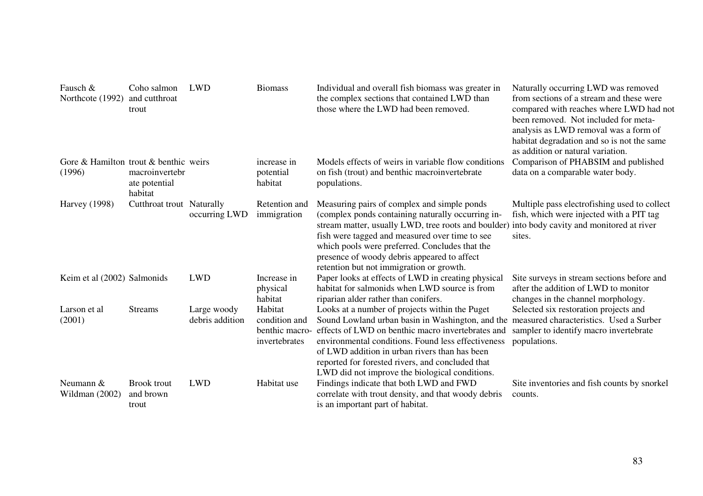| Fausch &<br>Northcote (1992)                    | Coho salmon<br>and cutthroat<br>trout      | <b>LWD</b>                     | <b>Biomass</b>                                              | Individual and overall fish biomass was greater in<br>the complex sections that contained LWD than<br>those where the LWD had been removed.                                                                                                                                                                                                                                                    | Naturally occurring LWD was removed<br>from sections of a stream and these were<br>compared with reaches where LWD had not<br>been removed. Not included for meta-<br>analysis as LWD removal was a form of<br>habitat degradation and so is not the same<br>as addition or natural variation. |
|-------------------------------------------------|--------------------------------------------|--------------------------------|-------------------------------------------------------------|------------------------------------------------------------------------------------------------------------------------------------------------------------------------------------------------------------------------------------------------------------------------------------------------------------------------------------------------------------------------------------------------|------------------------------------------------------------------------------------------------------------------------------------------------------------------------------------------------------------------------------------------------------------------------------------------------|
| Gore & Hamilton trout & benthic weirs<br>(1996) | macroinvertebr<br>ate potential<br>habitat |                                | increase in<br>potential<br>habitat                         | Models effects of weirs in variable flow conditions<br>on fish (trout) and benthic macroinvertebrate<br>populations.                                                                                                                                                                                                                                                                           | Comparison of PHABSIM and published<br>data on a comparable water body.                                                                                                                                                                                                                        |
| <b>Harvey</b> (1998)                            | Cutthroat trout Naturally                  | occurring LWD                  | Retention and<br>immigration                                | Measuring pairs of complex and simple ponds<br>(complex ponds containing naturally occurring in-<br>stream matter, usually LWD, tree roots and boulder) into body cavity and monitored at river<br>fish were tagged and measured over time to see<br>which pools were preferred. Concludes that the<br>presence of woody debris appeared to affect<br>retention but not immigration or growth. | Multiple pass electrofishing used to collect<br>fish, which were injected with a PIT tag<br>sites.                                                                                                                                                                                             |
| Keim et al (2002) Salmonids                     |                                            | <b>LWD</b>                     | Increase in<br>physical<br>habitat                          | Paper looks at effects of LWD in creating physical<br>habitat for salmonids when LWD source is from<br>riparian alder rather than conifers.                                                                                                                                                                                                                                                    | Site surveys in stream sections before and<br>after the addition of LWD to monitor<br>changes in the channel morphology.                                                                                                                                                                       |
| Larson et al<br>(2001)                          | <b>Streams</b>                             | Large woody<br>debris addition | Habitat<br>condition and<br>benthic macro-<br>invertebrates | Looks at a number of projects within the Puget<br>Sound Lowland urban basin in Washington, and the<br>effects of LWD on benthic macro invertebrates and<br>environmental conditions. Found less effectiveness<br>of LWD addition in urban rivers than has been<br>reported for forested rivers, and concluded that<br>LWD did not improve the biological conditions.                           | Selected six restoration projects and<br>measured characteristics. Used a Surber<br>sampler to identify macro invertebrate<br>populations.                                                                                                                                                     |
| Neumann &<br>Wildman $(2002)$                   | <b>Brook</b> trout<br>and brown<br>trout   | <b>LWD</b>                     | Habitat use                                                 | Findings indicate that both LWD and FWD<br>correlate with trout density, and that woody debris<br>is an important part of habitat.                                                                                                                                                                                                                                                             | Site inventories and fish counts by snorkel<br>counts.                                                                                                                                                                                                                                         |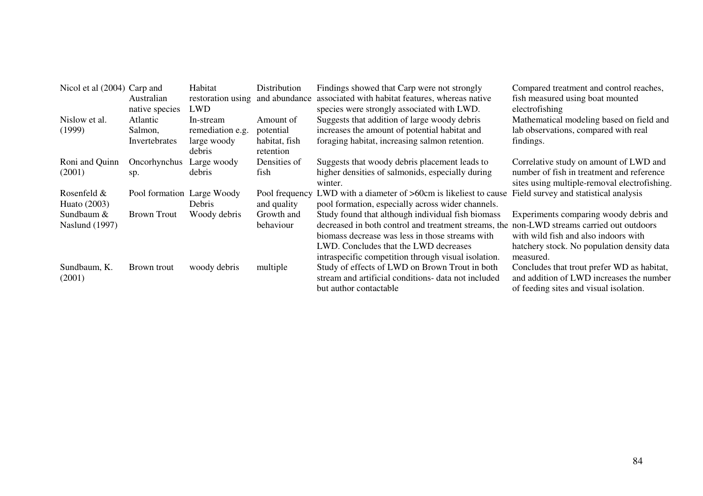| Nicol et al (2004) Carp and |                            | Habitat                         | Distribution   | Findings showed that Carp were not strongly                                               | Compared treatment and control reaches,      |
|-----------------------------|----------------------------|---------------------------------|----------------|-------------------------------------------------------------------------------------------|----------------------------------------------|
|                             | Australian                 | restoration using and abundance |                | associated with habitat features, whereas native                                          | fish measured using boat mounted             |
|                             | native species             | <b>LWD</b>                      |                | species were strongly associated with LWD.                                                | electrofishing                               |
| Nislow et al.               | Atlantic                   | In-stream                       | Amount of      | Suggests that addition of large woody debris                                              | Mathematical modeling based on field and     |
| (1999)                      | Salmon,                    | remediation e.g.                | potential      | increases the amount of potential habitat and                                             | lab observations, compared with real         |
|                             | Invertebrates              | large woody                     | habitat, fish  | foraging habitat, increasing salmon retention.                                            | findings.                                    |
|                             |                            | debris                          | retention      |                                                                                           |                                              |
| Roni and Quinn              | Oncorhynchus               | Large woody                     | Densities of   | Suggests that woody debris placement leads to                                             | Correlative study on amount of LWD and       |
| (2001)                      | sp.                        | debris                          | fish           | higher densities of salmonids, especially during                                          | number of fish in treatment and reference    |
|                             |                            |                                 |                | winter.                                                                                   | sites using multiple-removal electrofishing. |
| Rosenfeld $&$               | Pool formation Large Woody |                                 | Pool frequency | LWD with a diameter of >60cm is likeliest to cause                                        | Field survey and statistical analysis        |
| Huato (2003)                |                            | <b>Debris</b>                   | and quality    | pool formation, especially across wider channels.                                         |                                              |
| Sundbaum &                  | Brown Trout                | Woody debris                    | Growth and     | Study found that although individual fish biomass                                         | Experiments comparing woody debris and       |
| Naslund (1997)              |                            |                                 | behaviour      | decreased in both control and treatment streams, the non-LWD streams carried out outdoors |                                              |
|                             |                            |                                 |                | biomass decrease was less in those streams with                                           | with wild fish and also indoors with         |
|                             |                            |                                 |                | LWD. Concludes that the LWD decreases                                                     | hatchery stock. No population density data   |
|                             |                            |                                 |                | intraspecific competition through visual isolation.                                       | measured.                                    |
| Sundbaum, K.                | Brown trout                | woody debris                    | multiple       | Study of effects of LWD on Brown Trout in both                                            | Concludes that trout prefer WD as habitat,   |
| (2001)                      |                            |                                 |                | stream and artificial conditions- data not included                                       | and addition of LWD increases the number     |
|                             |                            |                                 |                | but author contactable                                                                    | of feeding sites and visual isolation.       |